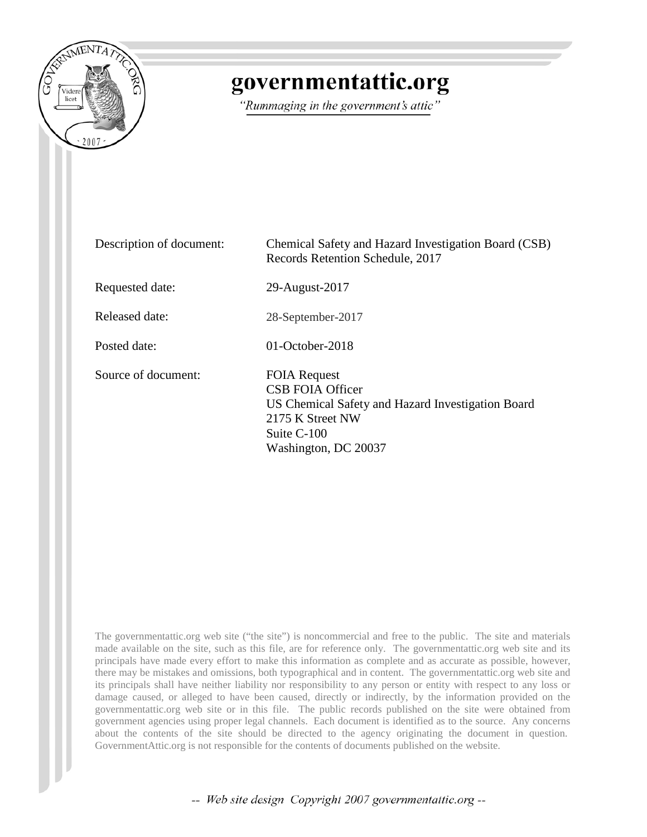

# governmentattic.org

"Rummaging in the government's attic"

| Description of document: | Chemical Safety and Hazard Investigation Board (CSB)<br>Records Retention Schedule, 2017                                                                       |
|--------------------------|----------------------------------------------------------------------------------------------------------------------------------------------------------------|
| Requested date:          | 29-August-2017                                                                                                                                                 |
| Released date:           | 28-September-2017                                                                                                                                              |
| Posted date:             | $01$ -October-2018                                                                                                                                             |
| Source of document:      | <b>FOIA Request</b><br><b>CSB FOIA Officer</b><br>US Chemical Safety and Hazard Investigation Board<br>2175 K Street NW<br>Suite C-100<br>Washington, DC 20037 |

The governmentattic.org web site ("the site") is noncommercial and free to the public. The site and materials made available on the site, such as this file, are for reference only. The governmentattic.org web site and its principals have made every effort to make this information as complete and as accurate as possible, however, there may be mistakes and omissions, both typographical and in content. The governmentattic.org web site and its principals shall have neither liability nor responsibility to any person or entity with respect to any loss or damage caused, or alleged to have been caused, directly or indirectly, by the information provided on the governmentattic.org web site or in this file. The public records published on the site were obtained from government agencies using proper legal channels. Each document is identified as to the source. Any concerns about the contents of the site should be directed to the agency originating the document in question. GovernmentAttic.org is not responsible for the contents of documents published on the website.

-- Web site design Copyright 2007 governmentattic.org --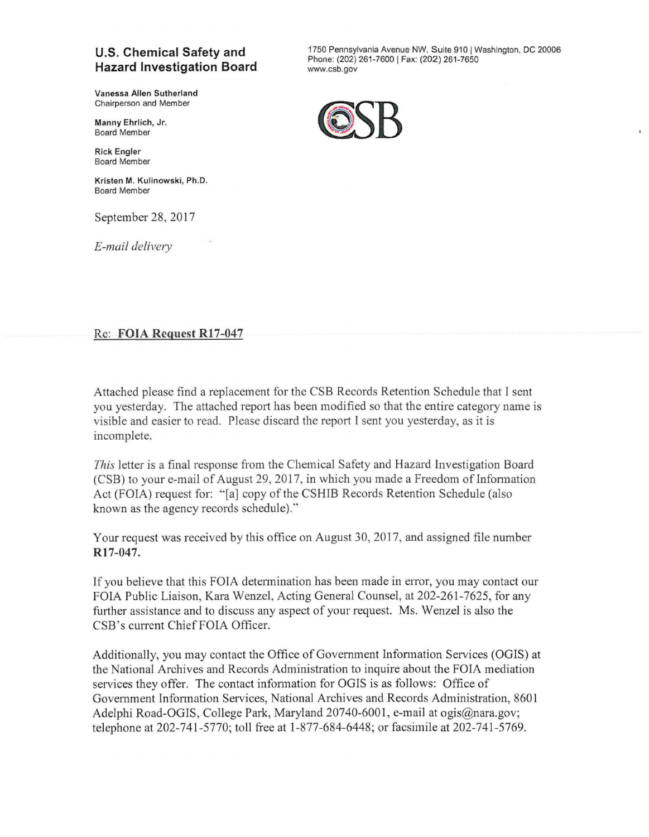### **U.S. Chemical Safety and Hazard Investigation Board**

**Vanessa Allen Sutherland**  Chairperson and Member

Manny Ehrlich, Jr. Board Member

**Rick** Engler Board Member

**Kristen M. Kulinowski, Ph.D.**  Board Member

September 28, 2017

*E-mail delivery* 

1750 Pennsylvania Avenue NW, Suite 910 I Washington. DC 20006 Phone: (202) 261-7600 | Fax: (202) 261-7650 www.csb.gov



## Re: **FOIA Request R17-047**

Attached please find a replacement for the CSB Records Retention Schedule that I sent you yesterday. The attached report has been modified so that the entire category name is visible and easier to read. Please discard the report I sent you yesterday, as it is incomplete.

*This* letter is a final response from the Chemical Safety and Hazard Investigation Board (CSB) to your e-mail of August 29, 2017, in which you made a Freedom of lnfonnation Act (FOIA) request for: "[a] copy of the CSHIB Records Retention Schedule (also known as the agency records schedule).''

Your request was received by this office on August 30,2017, and assigned file number **R17-047.** 

If you believe that this FOIA detennination has been made in error, you may contact our FOIA Public Liaison, Kara Wenzel, Acting General Counsel, at 202-261-7625, for any further assistance and to discuss any aspect of your request. Ms. Wenzel is also the CSB's current Chief FOIA Officer.

Additionally, you may contact the Office of Government Infonnation Services (OGIS) at the National Archives and Records Administration to inquire about the FOIA mediation services they offer. The contact infonnation for OGIS is as follows: Office of Government Information Services, National Archives and Records Administration, 8601 Adelphi Road-OGIS, College Park, Maryland 20740-6001, e-mail at ogis@nara.gov; telephone at 202-741-5770; toll free at 1-877-684-6448; or facsimile at 202-741-5769.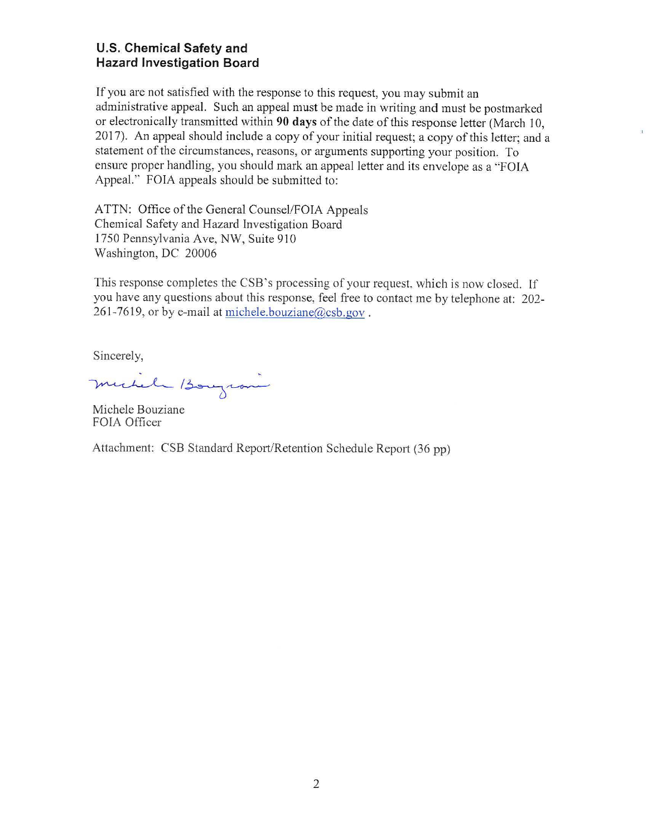#### **U.S. Chemical Safety and Hazard Investigation Board**

If you are not satisfied with the response to this request, you may submit an administrative appeal. Such an appeal must be made in writing and must be postmarked or electronically transmitted within 90 days of the date of this response letter (March 10, 2017). An appeal should include a copy of your initial request; a copy of this letter; and a statement of the circumstances, reasons, or arguments supporting your position. To ensure proper handling, you should mark an appeal letter and its envelope as a "FOIA Appeal." FOIA appeals should be submitted to:

 $\overline{1}$ 

ATTN: Office of the General Counsel/FOIA Appeals Chemical Safety and Hazard Investigation Board 1750 Pennsylvania Ave, NW, Suite 910 Washington, DC 20006

This response completes the CSB's processing of your request, which is now closed. If you have any questions about this response, feel free to contact me by telephone at: 202- 261-7619, or by e-mail at michele.bouziane@csb.gov.

Sincerely,

~ sincerely,

Michele Bouziane FOIA Officer

Attachment: CSB Standard Report/Retention Schedule Report (36 pp)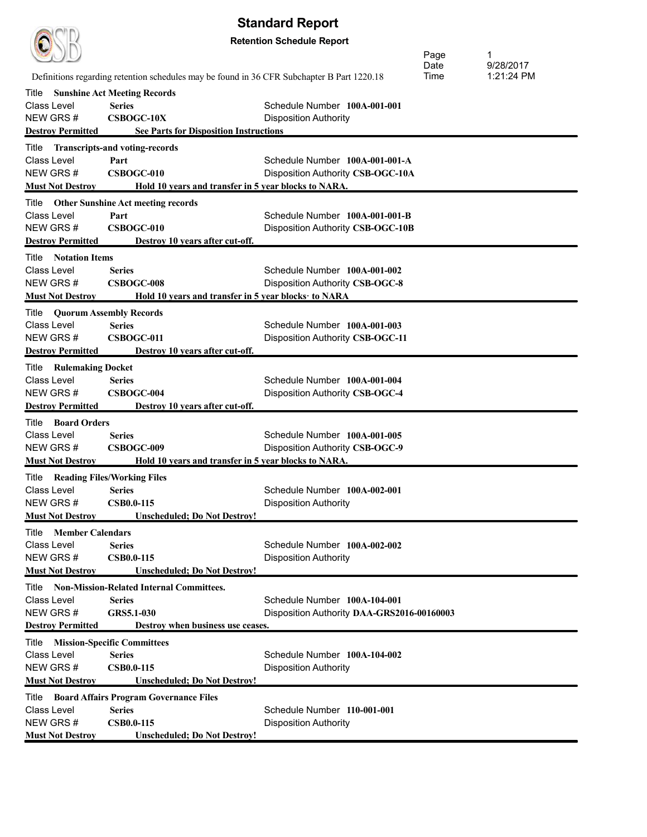|                                          | <b>Standard Report</b>                                                                     |                                            |      |            |
|------------------------------------------|--------------------------------------------------------------------------------------------|--------------------------------------------|------|------------|
|                                          |                                                                                            | <b>Retention Schedule Report</b>           |      |            |
|                                          |                                                                                            |                                            | Page | 1          |
|                                          |                                                                                            |                                            | Date | 9/28/2017  |
|                                          | Definitions regarding retention schedules may be found in 36 CFR Subchapter B Part 1220.18 |                                            | Time | 1:21:24 PM |
| Title                                    | <b>Sunshine Act Meeting Records</b>                                                        |                                            |      |            |
| Class Level                              | <b>Series</b>                                                                              | Schedule Number 100A-001-001               |      |            |
| NEW GRS#                                 | <b>CSBOGC-10X</b>                                                                          | <b>Disposition Authority</b>               |      |            |
| <b>Destroy Permitted</b>                 | <b>See Parts for Disposition Instructions</b>                                              |                                            |      |            |
| Title                                    | <b>Transcripts-and voting-records</b>                                                      |                                            |      |            |
| <b>Class Level</b>                       | Part                                                                                       | Schedule Number 100A-001-001-A             |      |            |
| NEW GRS#                                 | CSBOGC-010                                                                                 | Disposition Authority CSB-OGC-10A          |      |            |
| <b>Must Not Destroy</b>                  | Hold 10 years and transfer in 5 year blocks to NARA.                                       |                                            |      |            |
| Title                                    | <b>Other Sunshine Act meeting records</b>                                                  |                                            |      |            |
| Class Level                              | Part                                                                                       | Schedule Number 100A-001-001-B             |      |            |
| NEW GRS#                                 | CSBOGC-010                                                                                 | Disposition Authority CSB-OGC-10B          |      |            |
| <b>Destroy Permitted</b>                 | Destroy 10 years after cut-off.                                                            |                                            |      |            |
| Title<br><b>Notation Items</b>           |                                                                                            |                                            |      |            |
| Class Level                              | <b>Series</b>                                                                              | Schedule Number 100A-001-002               |      |            |
| NEW GRS#                                 | <b>CSBOGC-008</b>                                                                          | Disposition Authority CSB-OGC-8            |      |            |
| <b>Must Not Destroy</b>                  | Hold 10 years and transfer in 5 year blocks to NARA                                        |                                            |      |            |
| Title                                    | <b>Quorum Assembly Records</b>                                                             |                                            |      |            |
| <b>Class Level</b>                       | <b>Series</b>                                                                              | Schedule Number 100A-001-003               |      |            |
| NEW GRS#                                 | <b>CSBOGC-011</b>                                                                          | Disposition Authority CSB-OGC-11           |      |            |
| <b>Destroy Permitted</b>                 | Destroy 10 years after cut-off.                                                            |                                            |      |            |
| <b>Rulemaking Docket</b><br>Title        |                                                                                            |                                            |      |            |
| Class Level                              | <b>Series</b>                                                                              | Schedule Number 100A-001-004               |      |            |
| NEW GRS#                                 | CSBOGC-004                                                                                 | Disposition Authority CSB-OGC-4            |      |            |
| <b>Destroy Permitted</b>                 | Destroy 10 years after cut-off.                                                            |                                            |      |            |
| <b>Board Orders</b><br>Title             |                                                                                            |                                            |      |            |
| Class Level                              | Series                                                                                     | Schedule Number 100A-001-005               |      |            |
| NEW GRS#                                 | CSBOGC-009                                                                                 | Disposition Authority CSB-OGC-9            |      |            |
| <b>Must Not Destroy</b>                  | Hold 10 years and transfer in 5 year blocks to NARA.                                       |                                            |      |            |
| Title Reading Files/Working Files        |                                                                                            |                                            |      |            |
| Class Level                              | <b>Series</b>                                                                              | Schedule Number 100A-002-001               |      |            |
| NEW GRS #                                | <b>CSB0.0-115</b>                                                                          | <b>Disposition Authority</b>               |      |            |
| <b>Must Not Destroy</b>                  | <b>Unscheduled; Do Not Destroy!</b>                                                        |                                            |      |            |
| Title<br><b>Member Calendars</b>         |                                                                                            |                                            |      |            |
| Class Level                              | <b>Series</b>                                                                              | Schedule Number 100A-002-002               |      |            |
| NEW GRS#                                 | <b>CSB0.0-115</b>                                                                          | <b>Disposition Authority</b>               |      |            |
| <b>Must Not Destroy</b>                  | <b>Unscheduled; Do Not Destroy!</b>                                                        |                                            |      |            |
|                                          | Title Non-Mission-Related Internal Committees.                                             |                                            |      |            |
| <b>Class Level</b>                       | Series                                                                                     | Schedule Number 100A-104-001               |      |            |
| NEW GRS#                                 | GRS5.1-030                                                                                 | Disposition Authority DAA-GRS2016-00160003 |      |            |
| <b>Destroy Permitted</b>                 | Destroy when business use ceases.                                                          |                                            |      |            |
| <b>Title Mission-Specific Committees</b> |                                                                                            |                                            |      |            |
| Class Level                              | <b>Series</b>                                                                              | Schedule Number 100A-104-002               |      |            |
| NEW GRS#                                 | <b>CSB0.0-115</b>                                                                          | <b>Disposition Authority</b>               |      |            |
| <b>Must Not Destroy</b>                  | <b>Unscheduled; Do Not Destroy!</b>                                                        |                                            |      |            |
|                                          | Title Board Affairs Program Governance Files                                               |                                            |      |            |
| <b>Class Level</b>                       | <b>Series</b>                                                                              | Schedule Number 110-001-001                |      |            |
| NEW GRS#                                 | <b>CSB0.0-115</b>                                                                          | <b>Disposition Authority</b>               |      |            |
| <b>Must Not Destroy</b>                  | <b>Unscheduled; Do Not Destroy!</b>                                                        |                                            |      |            |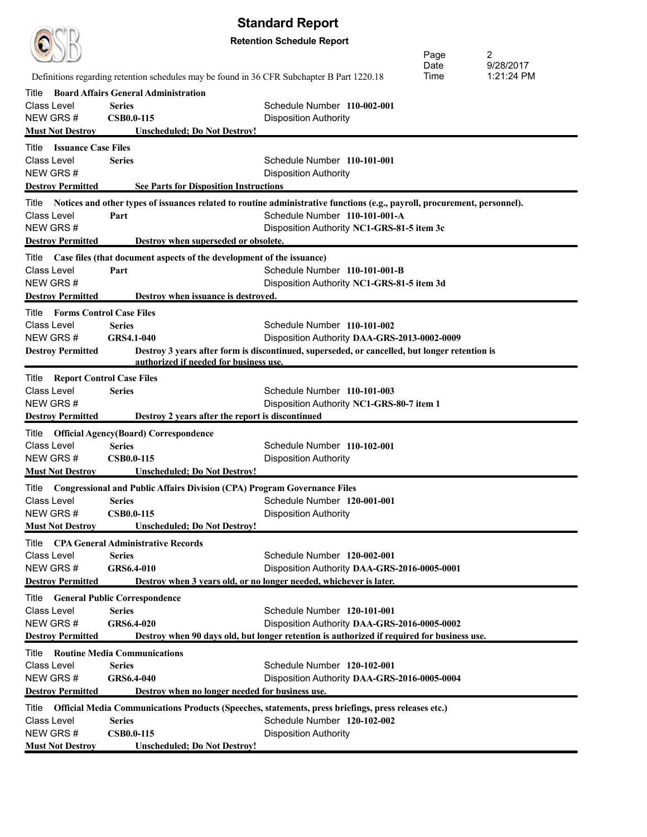|                                          | <b>Standard Report</b>                                                                     |                                                                                                                           |      |            |  |
|------------------------------------------|--------------------------------------------------------------------------------------------|---------------------------------------------------------------------------------------------------------------------------|------|------------|--|
|                                          | <b>Retention Schedule Report</b>                                                           |                                                                                                                           |      |            |  |
|                                          |                                                                                            |                                                                                                                           | Page | 2          |  |
|                                          |                                                                                            |                                                                                                                           | Date | 9/28/2017  |  |
|                                          | Definitions regarding retention schedules may be found in 36 CFR Subchapter B Part 1220.18 |                                                                                                                           | Time | 1:21:24 PM |  |
| Title                                    | <b>Board Affairs General Administration</b>                                                |                                                                                                                           |      |            |  |
| Class Level                              | <b>Series</b>                                                                              | Schedule Number 110-002-001                                                                                               |      |            |  |
| NEW GRS#                                 | <b>CSB0.0-115</b>                                                                          | <b>Disposition Authority</b>                                                                                              |      |            |  |
| <b>Must Not Destroy</b>                  | <b>Unscheduled; Do Not Destroy!</b>                                                        |                                                                                                                           |      |            |  |
| <b>Issuance Case Files</b><br>Title      |                                                                                            |                                                                                                                           |      |            |  |
| Class Level                              | <b>Series</b>                                                                              | Schedule Number 110-101-001                                                                                               |      |            |  |
| NEW GRS#                                 |                                                                                            | <b>Disposition Authority</b>                                                                                              |      |            |  |
| <b>Destroy Permitted</b>                 | <b>See Parts for Disposition Instructions</b>                                              |                                                                                                                           |      |            |  |
| Title                                    |                                                                                            | Notices and other types of issuances related to routine administrative functions (e.g., payroll, procurement, personnel). |      |            |  |
| Class Level                              | Part                                                                                       | Schedule Number 110-101-001-A                                                                                             |      |            |  |
| NEW GRS#                                 |                                                                                            | Disposition Authority NC1-GRS-81-5 item 3c                                                                                |      |            |  |
| <b>Destroy Permitted</b>                 | Destroy when superseded or obsolete.                                                       |                                                                                                                           |      |            |  |
| Title                                    | Case files (that document aspects of the development of the issuance)                      |                                                                                                                           |      |            |  |
| Class Level                              | Part                                                                                       | Schedule Number 110-101-001-B                                                                                             |      |            |  |
| NEW GRS#                                 |                                                                                            | Disposition Authority NC1-GRS-81-5 item 3d                                                                                |      |            |  |
| <b>Destroy Permitted</b>                 | Destroy when issuance is destroyed.                                                        |                                                                                                                           |      |            |  |
| <b>Forms Control Case Files</b><br>Title |                                                                                            |                                                                                                                           |      |            |  |
| Class Level                              | <b>Series</b>                                                                              | Schedule Number 110-101-002                                                                                               |      |            |  |
| NEW GRS#                                 | <b>GRS4.1-040</b>                                                                          | Disposition Authority DAA-GRS-2013-0002-0009                                                                              |      |            |  |
| <b>Destroy Permitted</b>                 |                                                                                            | Destroy 3 years after form is discontinued, superseded, or cancelled, but longer retention is                             |      |            |  |
|                                          | authorized if needed for business use.                                                     |                                                                                                                           |      |            |  |
| Title Report Control Case Files          |                                                                                            |                                                                                                                           |      |            |  |
| <b>Class Level</b>                       | <b>Series</b>                                                                              | Schedule Number 110-101-003                                                                                               |      |            |  |
| NEW GRS#                                 |                                                                                            | Disposition Authority NC1-GRS-80-7 item 1                                                                                 |      |            |  |
| <b>Destroy Permitted</b>                 | Destroy 2 years after the report is discontinued                                           |                                                                                                                           |      |            |  |
| Title                                    | <b>Official Agency(Board) Correspondence</b>                                               |                                                                                                                           |      |            |  |
| Class Level                              | <b>Series</b>                                                                              | Schedule Number 110-102-001                                                                                               |      |            |  |
| NEW GRS #                                | <b>CSB0.0-115</b>                                                                          | <b>Disposition Authority</b>                                                                                              |      |            |  |
| <b>Must Not Destroy</b>                  | <b>Unscheduled: Do Not Destroy!</b>                                                        |                                                                                                                           |      |            |  |
| Title                                    | <b>Congressional and Public Affairs Division (CPA) Program Governance Files</b>            |                                                                                                                           |      |            |  |
| Class Level                              | <b>Series</b>                                                                              | Schedule Number 120-001-001                                                                                               |      |            |  |
| NEW GRS#                                 | <b>CSB0.0-115</b>                                                                          | <b>Disposition Authority</b>                                                                                              |      |            |  |
| <b>Must Not Destroy</b>                  | <b>Unscheduled; Do Not Destroy!</b>                                                        |                                                                                                                           |      |            |  |
|                                          | Title CPA General Administrative Records                                                   |                                                                                                                           |      |            |  |
| <b>Class Level</b>                       | <b>Series</b>                                                                              | Schedule Number 120-002-001                                                                                               |      |            |  |
| NEW GRS#                                 | GRS6.4-010                                                                                 | Disposition Authority DAA-GRS-2016-0005-0001                                                                              |      |            |  |
| <b>Destroy Permitted</b>                 |                                                                                            | Destroy when 3 years old, or no longer needed, whichever is later.                                                        |      |            |  |
| Title                                    | <b>General Public Correspondence</b>                                                       |                                                                                                                           |      |            |  |
| Class Level                              | <b>Series</b>                                                                              | Schedule Number 120-101-001                                                                                               |      |            |  |
| NEW GRS#                                 | GRS6.4-020                                                                                 | Disposition Authority DAA-GRS-2016-0005-0002                                                                              |      |            |  |
| <b>Destroy Permitted</b>                 |                                                                                            | Destroy when 90 days old, but longer retention is authorized if required for business use.                                |      |            |  |
| Title                                    | <b>Routine Media Communications</b>                                                        |                                                                                                                           |      |            |  |
| <b>Class Level</b>                       | <b>Series</b>                                                                              | Schedule Number 120-102-001                                                                                               |      |            |  |
| NEW GRS#                                 | GRS6.4-040                                                                                 | Disposition Authority DAA-GRS-2016-0005-0004                                                                              |      |            |  |
| <b>Destroy Permitted</b>                 | Destroy when no longer needed for business use.                                            |                                                                                                                           |      |            |  |
| Title                                    |                                                                                            | Official Media Communications Products (Speeches, statements, press briefings, press releases etc.)                       |      |            |  |
| <b>Class Level</b>                       | <b>Series</b>                                                                              | Schedule Number 120-102-002                                                                                               |      |            |  |
| NEW GRS#                                 | <b>CSB0.0-115</b>                                                                          | <b>Disposition Authority</b>                                                                                              |      |            |  |
| <b>Must Not Destroy</b>                  | <b>Unscheduled; Do Not Destroy!</b>                                                        |                                                                                                                           |      |            |  |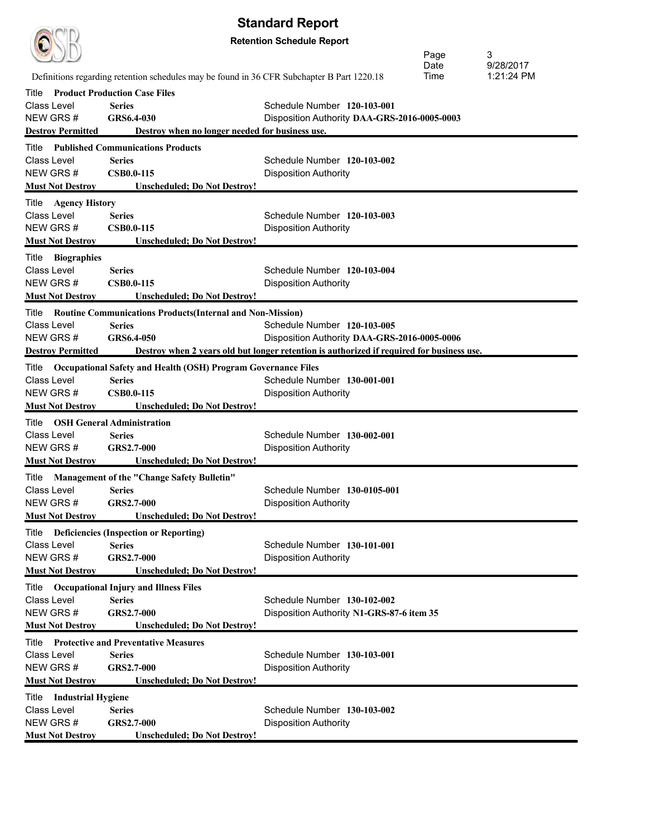|                                     |                                                                                            | <b>Standard Report</b>                                                                    |      |            |
|-------------------------------------|--------------------------------------------------------------------------------------------|-------------------------------------------------------------------------------------------|------|------------|
|                                     |                                                                                            | <b>Retention Schedule Report</b>                                                          |      |            |
|                                     |                                                                                            |                                                                                           | Page | 3          |
|                                     |                                                                                            |                                                                                           | Date | 9/28/2017  |
|                                     | Definitions regarding retention schedules may be found in 36 CFR Subchapter B Part 1220.18 |                                                                                           | Time | 1:21:24 PM |
| Title                               | <b>Product Production Case Files</b>                                                       |                                                                                           |      |            |
| Class Level                         | <b>Series</b>                                                                              | Schedule Number 120-103-001                                                               |      |            |
| NEW GRS#                            | GRS6.4-030                                                                                 | Disposition Authority DAA-GRS-2016-0005-0003                                              |      |            |
| <b>Destroy Permitted</b>            | Destroy when no longer needed for business use.                                            |                                                                                           |      |            |
| Title                               | <b>Published Communications Products</b>                                                   |                                                                                           |      |            |
| Class Level<br>NEW GRS#             | <b>Series</b><br><b>CSB0.0-115</b>                                                         | Schedule Number 120-103-002                                                               |      |            |
| <b>Must Not Destroy</b>             | <b>Unscheduled: Do Not Destroy!</b>                                                        | <b>Disposition Authority</b>                                                              |      |            |
|                                     |                                                                                            |                                                                                           |      |            |
| Title Agency History<br>Class Level | <b>Series</b>                                                                              | Schedule Number 120-103-003                                                               |      |            |
| NEW GRS#                            | <b>CSB0.0-115</b>                                                                          | <b>Disposition Authority</b>                                                              |      |            |
| <b>Must Not Destroy</b>             | Unscheduled; Do Not Destroy!                                                               |                                                                                           |      |            |
| Title Biographies                   |                                                                                            |                                                                                           |      |            |
| Class Level                         | <b>Series</b>                                                                              | Schedule Number 120-103-004                                                               |      |            |
| NEW GRS#                            | <b>CSB0.0-115</b>                                                                          | <b>Disposition Authority</b>                                                              |      |            |
| <b>Must Not Destroy</b>             | <b>Unscheduled; Do Not Destroy!</b>                                                        |                                                                                           |      |            |
| Title                               | <b>Routine Communications Products (Internal and Non-Mission)</b>                          |                                                                                           |      |            |
| Class Level                         | <b>Series</b>                                                                              | Schedule Number 120-103-005                                                               |      |            |
| NEW GRS#                            | GRS6.4-050                                                                                 | Disposition Authority DAA-GRS-2016-0005-0006                                              |      |            |
| <b>Destroy Permitted</b>            |                                                                                            | Destroy when 2 years old but longer retention is authorized if required for business use. |      |            |
| Title                               | <b>Occupational Safety and Health (OSH) Program Governance Files</b>                       |                                                                                           |      |            |
| Class Level                         | <b>Series</b>                                                                              | Schedule Number 130-001-001                                                               |      |            |
| NEW GRS#                            | <b>CSB0.0-115</b>                                                                          | <b>Disposition Authority</b>                                                              |      |            |
| <b>Must Not Destroy</b>             | Unscheduled; Do Not Destroy!                                                               |                                                                                           |      |            |
| Title OSH General Administration    |                                                                                            |                                                                                           |      |            |
| Class Level                         | <b>Series</b>                                                                              | Schedule Number 130-002-001                                                               |      |            |
| NEW GRS#                            | GRS2.7-000                                                                                 | <b>Disposition Authority</b>                                                              |      |            |
| <b>Must Not Destroy</b>             | <b>Unscheduled; Do Not Destroy!</b>                                                        |                                                                                           |      |            |
|                                     | Title Management of the "Change Safety Bulletin"                                           |                                                                                           |      |            |
| Class Level                         | <b>Series</b><br>GRS2.7-000                                                                | Schedule Number 130-0105-001                                                              |      |            |
| NEW GRS#<br><b>Must Not Destroy</b> | <b>Unscheduled; Do Not Destroy!</b>                                                        | <b>Disposition Authority</b>                                                              |      |            |
|                                     |                                                                                            |                                                                                           |      |            |
| Class Level                         | Title Deficiencies (Inspection or Reporting)<br><b>Series</b>                              | Schedule Number 130-101-001                                                               |      |            |
| NEW GRS#                            | GRS2.7-000                                                                                 | <b>Disposition Authority</b>                                                              |      |            |
| <b>Must Not Destroy</b>             | <b>Unscheduled; Do Not Destroy!</b>                                                        |                                                                                           |      |            |
|                                     | Title Occupational Injury and Illness Files                                                |                                                                                           |      |            |
| Class Level                         | <b>Series</b>                                                                              | Schedule Number 130-102-002                                                               |      |            |
| NEW GRS#                            | GRS2.7-000                                                                                 | Disposition Authority N1-GRS-87-6 item 35                                                 |      |            |
| <b>Must Not Destroy</b>             | <b>Unscheduled; Do Not Destroy!</b>                                                        |                                                                                           |      |            |
|                                     | Title Protective and Preventative Measures                                                 |                                                                                           |      |            |
| Class Level                         | <b>Series</b>                                                                              | Schedule Number 130-103-001                                                               |      |            |
| NEW GRS#                            | GRS2.7-000                                                                                 | <b>Disposition Authority</b>                                                              |      |            |
| <b>Must Not Destroy</b>             | <b>Unscheduled; Do Not Destroy!</b>                                                        |                                                                                           |      |            |
| Title Industrial Hygiene            |                                                                                            |                                                                                           |      |            |
| Class Level                         | <b>Series</b>                                                                              | Schedule Number 130-103-002                                                               |      |            |
| NEW GRS#                            | GRS2.7-000                                                                                 | <b>Disposition Authority</b>                                                              |      |            |
| <b>Must Not Destroy</b>             | <b>Unscheduled; Do Not Destroy!</b>                                                        |                                                                                           |      |            |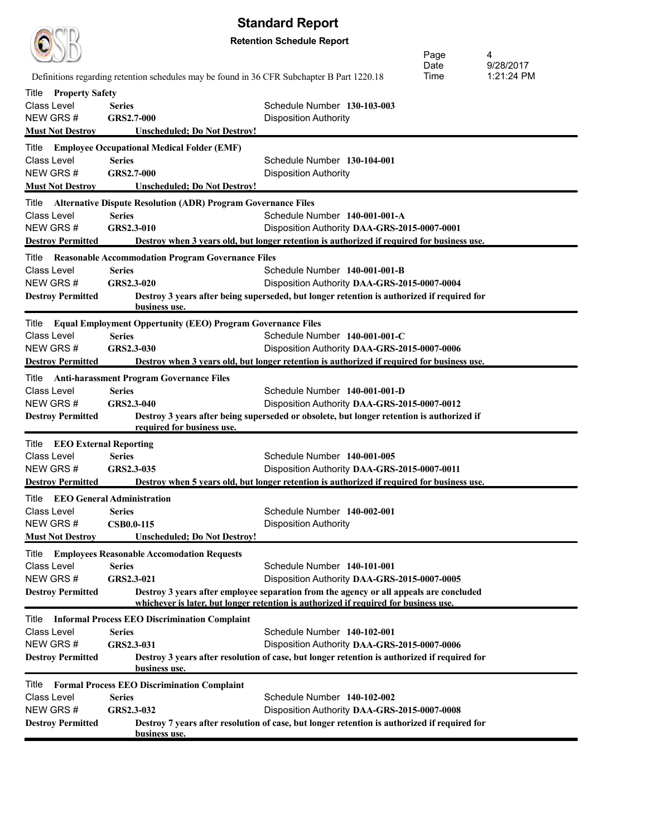

|                                        |                                                                                            |                                                                                                                                                                                | Page<br>Date | 4<br>9/28/2017 |
|----------------------------------------|--------------------------------------------------------------------------------------------|--------------------------------------------------------------------------------------------------------------------------------------------------------------------------------|--------------|----------------|
|                                        | Definitions regarding retention schedules may be found in 36 CFR Subchapter B Part 1220.18 |                                                                                                                                                                                | Time         | 1:21:24 PM     |
| <b>Property Safety</b><br>Title        |                                                                                            |                                                                                                                                                                                |              |                |
| Class Level                            | <b>Series</b>                                                                              | Schedule Number 130-103-003                                                                                                                                                    |              |                |
| NEW GRS#                               | GRS2.7-000                                                                                 | <b>Disposition Authority</b>                                                                                                                                                   |              |                |
| <b>Must Not Destroy</b>                | Unscheduled; Do Not Destroy!                                                               |                                                                                                                                                                                |              |                |
| Title                                  | <b>Employee Occupational Medical Folder (EMF)</b>                                          |                                                                                                                                                                                |              |                |
| Class Level                            | <b>Series</b>                                                                              | Schedule Number 130-104-001                                                                                                                                                    |              |                |
| NEW GRS#                               | GRS2.7-000                                                                                 | <b>Disposition Authority</b>                                                                                                                                                   |              |                |
| <b>Must Not Destroy</b>                | <b>Unscheduled; Do Not Destroy!</b>                                                        |                                                                                                                                                                                |              |                |
| Title                                  | <b>Alternative Dispute Resolution (ADR) Program Governance Files</b>                       |                                                                                                                                                                                |              |                |
| <b>Class Level</b>                     | <b>Series</b>                                                                              | Schedule Number 140-001-001-A                                                                                                                                                  |              |                |
| NEW GRS#<br><b>Destroy Permitted</b>   | GRS2.3-010                                                                                 | Disposition Authority DAA-GRS-2015-0007-0001<br>Destroy when 3 years old, but longer retention is authorized if required for business use.                                     |              |                |
|                                        |                                                                                            |                                                                                                                                                                                |              |                |
| Title<br>Class Level                   | <b>Reasonable Accommodation Program Governance Files</b><br><b>Series</b>                  | Schedule Number 140-001-001-B                                                                                                                                                  |              |                |
| NEW GRS#                               | GRS2.3-020                                                                                 | Disposition Authority DAA-GRS-2015-0007-0004                                                                                                                                   |              |                |
| <b>Destroy Permitted</b>               |                                                                                            | Destroy 3 years after being superseded, but longer retention is authorized if required for                                                                                     |              |                |
|                                        | business use.                                                                              |                                                                                                                                                                                |              |                |
| Title                                  | <b>Equal Employment Oppertunity (EEO) Program Governance Files</b>                         |                                                                                                                                                                                |              |                |
| Class Level                            | <b>Series</b>                                                                              | Schedule Number 140-001-001-C                                                                                                                                                  |              |                |
| NEW GRS#                               | GRS2.3-030                                                                                 | Disposition Authority DAA-GRS-2015-0007-0006                                                                                                                                   |              |                |
| <b>Destroy Permitted</b>               |                                                                                            | Destroy when 3 years old, but longer retention is authorized if required for business use.                                                                                     |              |                |
| Title                                  | <b>Anti-harassment Program Governance Files</b>                                            |                                                                                                                                                                                |              |                |
| Class Level                            | <b>Series</b>                                                                              | Schedule Number 140-001-001-D                                                                                                                                                  |              |                |
| NEW GRS#                               | GRS2.3-040                                                                                 | Disposition Authority DAA-GRS-2015-0007-0012                                                                                                                                   |              |                |
| <b>Destroy Permitted</b>               | required for business use.                                                                 | Destroy 3 years after being superseded or obsolete, but longer retention is authorized if                                                                                      |              |                |
| Title<br><b>EEO External Reporting</b> |                                                                                            |                                                                                                                                                                                |              |                |
| Class Level                            | <b>Series</b>                                                                              | Schedule Number 140-001-005                                                                                                                                                    |              |                |
| NEW GRS#                               | GRS2.3-035                                                                                 | Disposition Authority DAA-GRS-2015-0007-0011                                                                                                                                   |              |                |
| <b>Destroy Permitted</b>               |                                                                                            | Destroy when 5 years old, but longer retention is authorized if required for business use.                                                                                     |              |                |
| Title                                  | <b>EEO General Administration</b>                                                          |                                                                                                                                                                                |              |                |
| Class Level                            | <b>Series</b>                                                                              | Schedule Number 140-002-001                                                                                                                                                    |              |                |
| NEW GRS#                               | <b>CSB0.0-115</b>                                                                          | <b>Disposition Authority</b>                                                                                                                                                   |              |                |
| <b>Must Not Destroy</b>                | <b>Unscheduled; Do Not Destroy!</b>                                                        |                                                                                                                                                                                |              |                |
| Title                                  | <b>Employees Reasonable Accomodation Requests</b>                                          |                                                                                                                                                                                |              |                |
| Class Level                            | <b>Series</b>                                                                              | Schedule Number 140-101-001                                                                                                                                                    |              |                |
| NEW GRS#                               | GRS2.3-021                                                                                 | Disposition Authority DAA-GRS-2015-0007-0005                                                                                                                                   |              |                |
| <b>Destroy Permitted</b>               |                                                                                            | Destroy 3 years after employee separation from the agency or all appeals are concluded<br>whichever is later, but longer retention is authorized if required for business use. |              |                |
| Title                                  |                                                                                            |                                                                                                                                                                                |              |                |
| <b>Class Level</b>                     | <b>Informal Process EEO Discrimination Complaint</b><br><b>Series</b>                      | Schedule Number 140-102-001                                                                                                                                                    |              |                |
| NEW GRS#                               | GRS2.3-031                                                                                 | Disposition Authority DAA-GRS-2015-0007-0006                                                                                                                                   |              |                |
| <b>Destroy Permitted</b>               |                                                                                            | Destroy 3 years after resolution of case, but longer retention is authorized if required for                                                                                   |              |                |
|                                        | business use.                                                                              |                                                                                                                                                                                |              |                |
| Title                                  | <b>Formal Process EEO Discrimination Complaint</b>                                         |                                                                                                                                                                                |              |                |
| Class Level                            | <b>Series</b>                                                                              | Schedule Number 140-102-002                                                                                                                                                    |              |                |
| NEW GRS#                               | GRS2.3-032                                                                                 | Disposition Authority DAA-GRS-2015-0007-0008                                                                                                                                   |              |                |
| <b>Destroy Permitted</b>               | business use.                                                                              | Destroy 7 years after resolution of case, but longer retention is authorized if required for                                                                                   |              |                |
|                                        |                                                                                            |                                                                                                                                                                                |              |                |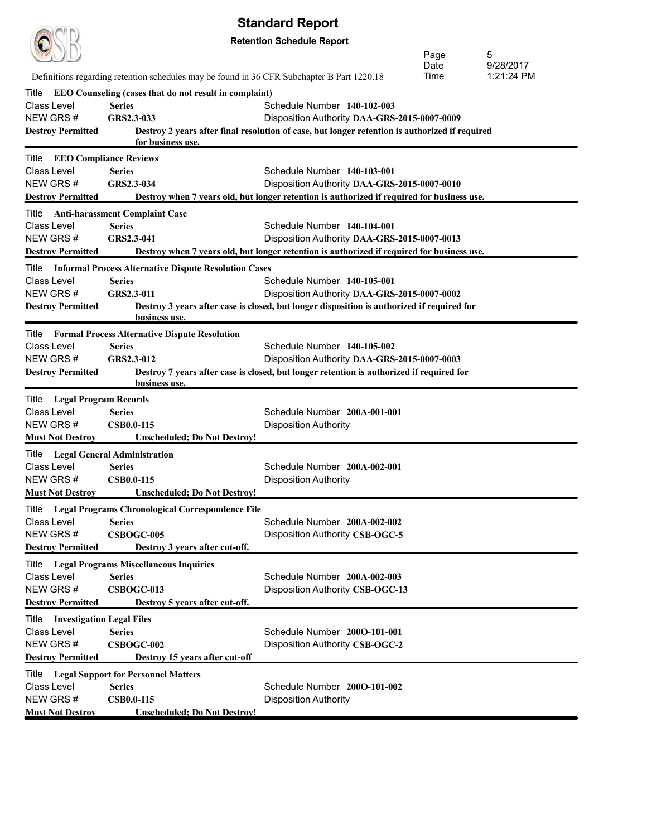|                                            |                                                                                            | υιαπναι ν πυρνπι                                                                                                                           |      |            |
|--------------------------------------------|--------------------------------------------------------------------------------------------|--------------------------------------------------------------------------------------------------------------------------------------------|------|------------|
|                                            |                                                                                            | <b>Retention Schedule Report</b>                                                                                                           | Page | 5          |
|                                            |                                                                                            |                                                                                                                                            | Date | 9/28/2017  |
|                                            | Definitions regarding retention schedules may be found in 36 CFR Subchapter B Part 1220.18 |                                                                                                                                            | Time | 1:21:24 PM |
| Title                                      | <b>EEO Counseling (cases that do not result in complaint)</b>                              |                                                                                                                                            |      |            |
| Class Level<br>NEW GRS#                    | <b>Series</b><br>GRS2.3-033                                                                | Schedule Number 140-102-003<br>Disposition Authority DAA-GRS-2015-0007-0009                                                                |      |            |
| <b>Destroy Permitted</b>                   |                                                                                            | Destroy 2 years after final resolution of case, but longer retention is authorized if required                                             |      |            |
|                                            | for business use.                                                                          |                                                                                                                                            |      |            |
| <b>EEO Compliance Reviews</b><br>Title     |                                                                                            |                                                                                                                                            |      |            |
| Class Level                                | <b>Series</b>                                                                              | Schedule Number 140-103-001                                                                                                                |      |            |
| NEW GRS#                                   | GRS2.3-034                                                                                 | Disposition Authority DAA-GRS-2015-0007-0010                                                                                               |      |            |
| <b>Destroy Permitted</b>                   |                                                                                            | Destroy when 7 years old, but longer retention is authorized if required for business use.                                                 |      |            |
| Title                                      | <b>Anti-harassment Complaint Case</b>                                                      |                                                                                                                                            |      |            |
| Class Level                                | <b>Series</b>                                                                              | Schedule Number 140-104-001                                                                                                                |      |            |
| NEW GRS#                                   | GRS2.3-041                                                                                 | Disposition Authority DAA-GRS-2015-0007-0013                                                                                               |      |            |
| <b>Destroy Permitted</b>                   |                                                                                            | Destroy when 7 years old, but longer retention is authorized if required for business use.                                                 |      |            |
| Title                                      | <b>Informal Process Alternative Dispute Resolution Cases</b>                               |                                                                                                                                            |      |            |
| Class Level<br>NEW GRS#                    | <b>Series</b><br>GRS2.3-011                                                                | Schedule Number 140-105-001                                                                                                                |      |            |
| <b>Destroy Permitted</b>                   |                                                                                            | Disposition Authority DAA-GRS-2015-0007-0002<br>Destroy 3 years after case is closed, but longer disposition is authorized if required for |      |            |
|                                            | business use.                                                                              |                                                                                                                                            |      |            |
|                                            | <b>Title</b> Formal Process Alternative Dispute Resolution                                 |                                                                                                                                            |      |            |
| <b>Class Level</b>                         | <b>Series</b>                                                                              | Schedule Number 140-105-002                                                                                                                |      |            |
| NEW GRS#                                   | GRS2.3-012                                                                                 | Disposition Authority DAA-GRS-2015-0007-0003                                                                                               |      |            |
| <b>Destroy Permitted</b>                   |                                                                                            | Destroy 7 years after case is closed, but longer retention is authorized if required for                                                   |      |            |
|                                            | business use.                                                                              |                                                                                                                                            |      |            |
| Title Legal Program Records<br>Class Level | <b>Series</b>                                                                              |                                                                                                                                            |      |            |
| NEW GRS#                                   | <b>CSB0.0-115</b>                                                                          | Schedule Number 200A-001-001<br><b>Disposition Authority</b>                                                                               |      |            |
| <b>Must Not Destroy</b>                    | <b>Unscheduled; Do Not Destroy!</b>                                                        |                                                                                                                                            |      |            |
| Title Legal General Administration         |                                                                                            |                                                                                                                                            |      |            |
| Class Level                                | <b>Series</b>                                                                              | Schedule Number 200A-002-001                                                                                                               |      |            |
| NEW GRS#                                   | <b>CSB0.0-115</b>                                                                          | <b>Disposition Authority</b>                                                                                                               |      |            |
| <b>Must Not Destroy</b>                    | <b>Unscheduled; Do Not Destroy!</b>                                                        |                                                                                                                                            |      |            |
|                                            | Title Legal Programs Chronological Correspondence File                                     |                                                                                                                                            |      |            |
| Class Level                                | <b>Series</b>                                                                              | Schedule Number 200A-002-002                                                                                                               |      |            |
| NEW GRS#                                   | <b>CSBOGC-005</b>                                                                          | Disposition Authority CSB-OGC-5                                                                                                            |      |            |
| <b>Destroy Permitted</b>                   | Destroy 3 years after cut-off.                                                             |                                                                                                                                            |      |            |
|                                            | Title Legal Programs Miscellaneous Inquiries                                               |                                                                                                                                            |      |            |
| Class Level                                | <b>Series</b>                                                                              | Schedule Number 200A-002-003                                                                                                               |      |            |
| NEW GRS#                                   | CSBOGC-013                                                                                 | Disposition Authority CSB-OGC-13                                                                                                           |      |            |
| <b>Destroy Permitted</b>                   | Destroy 5 years after cut-off.                                                             |                                                                                                                                            |      |            |
| Title<br><b>Investigation Legal Files</b>  |                                                                                            |                                                                                                                                            |      |            |
| Class Level                                | <b>Series</b>                                                                              | Schedule Number 2000-101-001                                                                                                               |      |            |
| NEW GRS#                                   | CSBOGC-002                                                                                 | Disposition Authority CSB-OGC-2                                                                                                            |      |            |
| <b>Destroy Permitted</b>                   | Destroy 15 years after cut-off                                                             |                                                                                                                                            |      |            |
| Title                                      | <b>Legal Support for Personnel Matters</b>                                                 |                                                                                                                                            |      |            |
| <b>Class Level</b>                         | <b>Series</b>                                                                              | Schedule Number 2000-101-002                                                                                                               |      |            |
| NEW GRS#                                   | <b>CSB0.0-115</b>                                                                          | <b>Disposition Authority</b>                                                                                                               |      |            |
| <b>Must Not Destroy</b>                    | <b>Unscheduled; Do Not Destroy!</b>                                                        |                                                                                                                                            |      |            |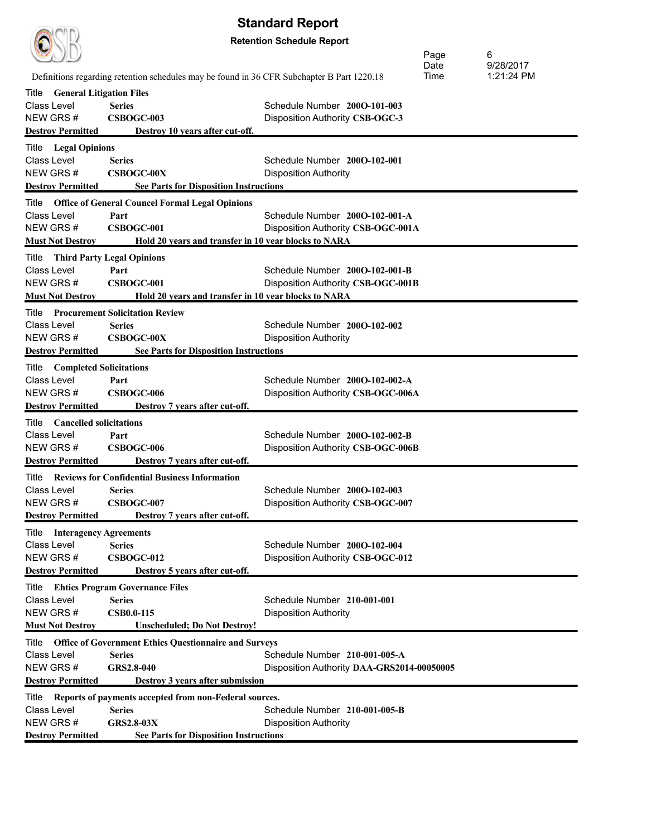| <b>Standard Report</b>                   |                                                                                            |                                            |              |            |
|------------------------------------------|--------------------------------------------------------------------------------------------|--------------------------------------------|--------------|------------|
| <b>Retention Schedule Report</b>         |                                                                                            |                                            |              |            |
|                                          |                                                                                            |                                            |              | 6          |
|                                          |                                                                                            |                                            | Page<br>Date | 9/28/2017  |
|                                          | Definitions regarding retention schedules may be found in 36 CFR Subchapter B Part 1220.18 |                                            | Time         | 1:21:24 PM |
| <b>General Litigation Files</b><br>Title |                                                                                            |                                            |              |            |
| Class Level                              | <b>Series</b>                                                                              | Schedule Number 2000-101-003               |              |            |
| NEW GRS#                                 | CSBOGC-003                                                                                 | Disposition Authority CSB-OGC-3            |              |            |
| <b>Destroy Permitted</b>                 | Destroy 10 years after cut-off.                                                            |                                            |              |            |
| <b>Title</b> Legal Opinions              |                                                                                            |                                            |              |            |
| Class Level                              | <b>Series</b>                                                                              | Schedule Number 2000-102-001               |              |            |
| NEW GRS#                                 | <b>CSBOGC-00X</b>                                                                          | <b>Disposition Authority</b>               |              |            |
| <b>Destroy Permitted</b>                 | <b>See Parts for Disposition Instructions</b>                                              |                                            |              |            |
|                                          | Title Office of General Councel Formal Legal Opinions                                      |                                            |              |            |
| Class Level                              | Part                                                                                       | Schedule Number 2000-102-001-A             |              |            |
| NEW GRS#                                 | <b>CSBOGC-001</b>                                                                          | Disposition Authority CSB-OGC-001A         |              |            |
| <b>Must Not Destroy</b>                  | Hold 20 years and transfer in 10 year blocks to NARA                                       |                                            |              |            |
| Title                                    | <b>Third Party Legal Opinions</b>                                                          |                                            |              |            |
| Class Level                              | Part                                                                                       | Schedule Number 2000-102-001-B             |              |            |
| NEW GRS#                                 | CSBOGC-001                                                                                 | Disposition Authority CSB-OGC-001B         |              |            |
| <b>Must Not Destroy</b>                  | Hold 20 years and transfer in 10 year blocks to NARA                                       |                                            |              |            |
|                                          | <b>Title</b> Procurement Solicitation Review                                               |                                            |              |            |
| Class Level                              | <b>Series</b>                                                                              | Schedule Number 2000-102-002               |              |            |
| NEW GRS#                                 | <b>CSBOGC-00X</b>                                                                          | <b>Disposition Authority</b>               |              |            |
| <b>Destroy Permitted</b>                 | <b>See Parts for Disposition Instructions</b>                                              |                                            |              |            |
| <b>Title</b> Completed Solicitations     |                                                                                            |                                            |              |            |
| Class Level                              | Part                                                                                       | Schedule Number 2000-102-002-A             |              |            |
| NEW GRS#                                 | CSBOGC-006                                                                                 | Disposition Authority CSB-OGC-006A         |              |            |
| <b>Destroy Permitted</b>                 | Destroy 7 years after cut-off.                                                             |                                            |              |            |
|                                          |                                                                                            |                                            |              |            |
| Title<br><b>Cancelled solicitations</b>  |                                                                                            |                                            |              |            |
| Class Level<br>NEW GRS#                  | Part<br>CSBOGC-006                                                                         | Schedule Number 2000-102-002-B             |              |            |
| <b>Destroy Permitted</b>                 | Destroy 7 years after cut-off.                                                             | Disposition Authority CSB-OGC-006B         |              |            |
|                                          |                                                                                            |                                            |              |            |
|                                          | <b>Title</b> Reviews for Confidential Business Information                                 |                                            |              |            |
| Class Level                              | <b>Series</b>                                                                              | Schedule Number 2000-102-003               |              |            |
| NEW GRS#                                 | CSBOGC-007                                                                                 | Disposition Authority CSB-OGC-007          |              |            |
| <b>Destroy Permitted</b>                 | Destroy 7 years after cut-off.                                                             |                                            |              |            |
| Title<br><b>Interagency Agreements</b>   |                                                                                            |                                            |              |            |
| Class Level                              | <b>Series</b>                                                                              | Schedule Number 200O-102-004               |              |            |
| NEW GRS#                                 | CSBOGC-012                                                                                 | Disposition Authority CSB-OGC-012          |              |            |
| <b>Destroy Permitted</b>                 | Destroy 5 years after cut-off.                                                             |                                            |              |            |
|                                          | Title Ehtics Program Governance Files                                                      |                                            |              |            |
| Class Level                              | <b>Series</b>                                                                              | Schedule Number 210-001-001                |              |            |
| NEW GRS#                                 | <b>CSB0.0-115</b>                                                                          | <b>Disposition Authority</b>               |              |            |
| <b>Must Not Destroy</b>                  | <b>Unscheduled; Do Not Destroy!</b>                                                        |                                            |              |            |
|                                          | Title  Office of Government Ethics Questionnaire and Surveys                               |                                            |              |            |
| Class Level                              | <b>Series</b>                                                                              | Schedule Number 210-001-005-A              |              |            |
| NEW GRS#                                 | GRS2.8-040                                                                                 | Disposition Authority DAA-GRS2014-00050005 |              |            |
| <b>Destroy Permitted</b>                 | <b>Destroy 3 years after submission</b>                                                    |                                            |              |            |
|                                          | Title Reports of payments accepted from non-Federal sources.                               |                                            |              |            |
| Class Level                              | <b>Series</b>                                                                              | Schedule Number 210-001-005-B              |              |            |
| NEW GRS#                                 | <b>GRS2.8-03X</b>                                                                          | <b>Disposition Authority</b>               |              |            |
| <b>Destroy Permitted</b>                 | <b>See Parts for Disposition Instructions</b>                                              |                                            |              |            |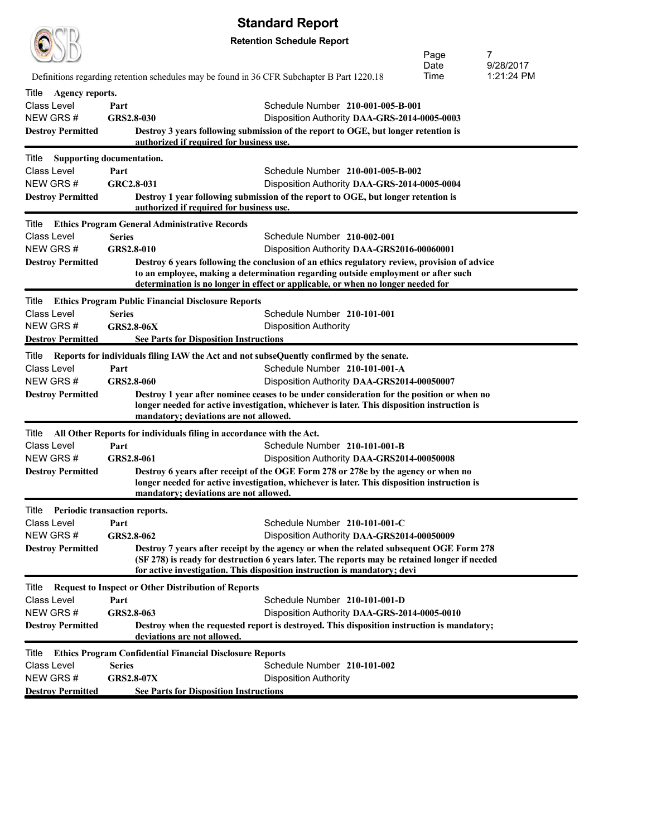|                                       |                                                                                                                                | <b>Standard Report</b>                                                                                                                                                                   |              |                         |  |
|---------------------------------------|--------------------------------------------------------------------------------------------------------------------------------|------------------------------------------------------------------------------------------------------------------------------------------------------------------------------------------|--------------|-------------------------|--|
|                                       |                                                                                                                                | <b>Retention Schedule Report</b>                                                                                                                                                         |              |                         |  |
|                                       |                                                                                                                                |                                                                                                                                                                                          | Page         | 7                       |  |
|                                       | Definitions regarding retention schedules may be found in 36 CFR Subchapter B Part 1220.18                                     |                                                                                                                                                                                          | Date<br>Time | 9/28/2017<br>1:21:24 PM |  |
| Title<br>Agency reports.              |                                                                                                                                |                                                                                                                                                                                          |              |                         |  |
| <b>Class Level</b>                    | Part                                                                                                                           | Schedule Number 210-001-005-B-001                                                                                                                                                        |              |                         |  |
| NEW GRS#                              | GRS2.8-030                                                                                                                     | Disposition Authority DAA-GRS-2014-0005-0003                                                                                                                                             |              |                         |  |
| <b>Destroy Permitted</b>              | Destroy 3 years following submission of the report to OGE, but longer retention is<br>authorized if required for business use. |                                                                                                                                                                                          |              |                         |  |
|                                       |                                                                                                                                |                                                                                                                                                                                          |              |                         |  |
| Title<br><b>Class Level</b>           | <b>Supporting documentation.</b><br>Part                                                                                       | Schedule Number 210-001-005-B-002                                                                                                                                                        |              |                         |  |
| NEW GRS#                              | GRC2.8-031                                                                                                                     | Disposition Authority DAA-GRS-2014-0005-0004                                                                                                                                             |              |                         |  |
| <b>Destroy Permitted</b>              |                                                                                                                                | Destroy 1 year following submission of the report to OGE, but longer retention is                                                                                                        |              |                         |  |
|                                       | authorized if required for business use.                                                                                       |                                                                                                                                                                                          |              |                         |  |
| Title                                 | <b>Ethics Program General Administrative Records</b>                                                                           |                                                                                                                                                                                          |              |                         |  |
| <b>Class Level</b>                    | <b>Series</b>                                                                                                                  | Schedule Number 210-002-001                                                                                                                                                              |              |                         |  |
| NEW GRS #<br><b>Destroy Permitted</b> | GRS2.8-010                                                                                                                     | Disposition Authority DAA-GRS2016-00060001<br>Destroy 6 years following the conclusion of an ethics regulatory review, provision of advice                                               |              |                         |  |
|                                       |                                                                                                                                | to an employee, making a determination regarding outside employment or after such                                                                                                        |              |                         |  |
|                                       |                                                                                                                                | determination is no longer in effect or applicable, or when no longer needed for                                                                                                         |              |                         |  |
| Title                                 | <b>Ethics Program Public Financial Disclosure Reports</b>                                                                      |                                                                                                                                                                                          |              |                         |  |
| <b>Class Level</b>                    | <b>Series</b>                                                                                                                  | Schedule Number 210-101-001                                                                                                                                                              |              |                         |  |
| NEW GRS #                             | <b>GRS2.8-06X</b>                                                                                                              | <b>Disposition Authority</b>                                                                                                                                                             |              |                         |  |
| <b>Destroy Permitted</b>              | <b>See Parts for Disposition Instructions</b>                                                                                  |                                                                                                                                                                                          |              |                         |  |
| Title                                 | Reports for individuals filing IAW the Act and not subseQuently confirmed by the senate.                                       |                                                                                                                                                                                          |              |                         |  |
| <b>Class Level</b><br>NEW GRS#        | Part<br>GRS2.8-060                                                                                                             | Schedule Number 210-101-001-A<br>Disposition Authority DAA-GRS2014-00050007                                                                                                              |              |                         |  |
| <b>Destroy Permitted</b>              |                                                                                                                                | Destroy 1 year after nominee ceases to be under consideration for the position or when no                                                                                                |              |                         |  |
|                                       |                                                                                                                                | longer needed for active investigation, whichever is later. This disposition instruction is                                                                                              |              |                         |  |
|                                       | mandatory; deviations are not allowed.                                                                                         |                                                                                                                                                                                          |              |                         |  |
| Title                                 | All Other Reports for individuals filing in accordance with the Act.                                                           |                                                                                                                                                                                          |              |                         |  |
| <b>Class Level</b><br>NEW GRS#        | Part<br>GRS2.8-061                                                                                                             | Schedule Number 210-101-001-B<br>Disposition Authority DAA-GRS2014-00050008                                                                                                              |              |                         |  |
| <b>Destroy Permitted</b>              |                                                                                                                                | Destroy 6 years after receipt of the OGE Form 278 or 278e by the agency or when no                                                                                                       |              |                         |  |
|                                       |                                                                                                                                | longer needed for active investigation, whichever is later. This disposition instruction is                                                                                              |              |                         |  |
|                                       | mandatory; deviations are not allowed.                                                                                         |                                                                                                                                                                                          |              |                         |  |
| Title                                 | <b>Periodic transaction reports.</b>                                                                                           |                                                                                                                                                                                          |              |                         |  |
| Class Level                           | Part                                                                                                                           | Schedule Number 210-101-001-C                                                                                                                                                            |              |                         |  |
| NEW GRS #                             | GRS2.8-062                                                                                                                     | Disposition Authority DAA-GRS2014-00050009                                                                                                                                               |              |                         |  |
| <b>Destroy Permitted</b>              |                                                                                                                                | Destroy 7 years after receipt by the agency or when the related subsequent OGE Form 278<br>(SF 278) is ready for destruction 6 years later. The reports may be retained longer if needed |              |                         |  |
|                                       |                                                                                                                                | for active investigation. This disposition instruction is mandatory; devi                                                                                                                |              |                         |  |
| Title                                 | <b>Request to Inspect or Other Distribution of Reports</b>                                                                     |                                                                                                                                                                                          |              |                         |  |
| Class Level                           | Part                                                                                                                           | Schedule Number 210-101-001-D                                                                                                                                                            |              |                         |  |
| NEW GRS#                              | GRS2.8-063                                                                                                                     | Disposition Authority DAA-GRS-2014-0005-0010                                                                                                                                             |              |                         |  |
| <b>Destroy Permitted</b>              | deviations are not allowed.                                                                                                    | Destroy when the requested report is destroyed. This disposition instruction is mandatory;                                                                                               |              |                         |  |
| Title                                 | <b>Ethics Program Confidential Financial Disclosure Reports</b>                                                                |                                                                                                                                                                                          |              |                         |  |
| <b>Class Level</b>                    | <b>Series</b>                                                                                                                  | Schedule Number 210-101-002                                                                                                                                                              |              |                         |  |
| NEW GRS#                              | <b>GRS2.8-07X</b>                                                                                                              | <b>Disposition Authority</b>                                                                                                                                                             |              |                         |  |
| <b>Destroy Permitted</b>              | <b>See Parts for Disposition Instructions</b>                                                                                  |                                                                                                                                                                                          |              |                         |  |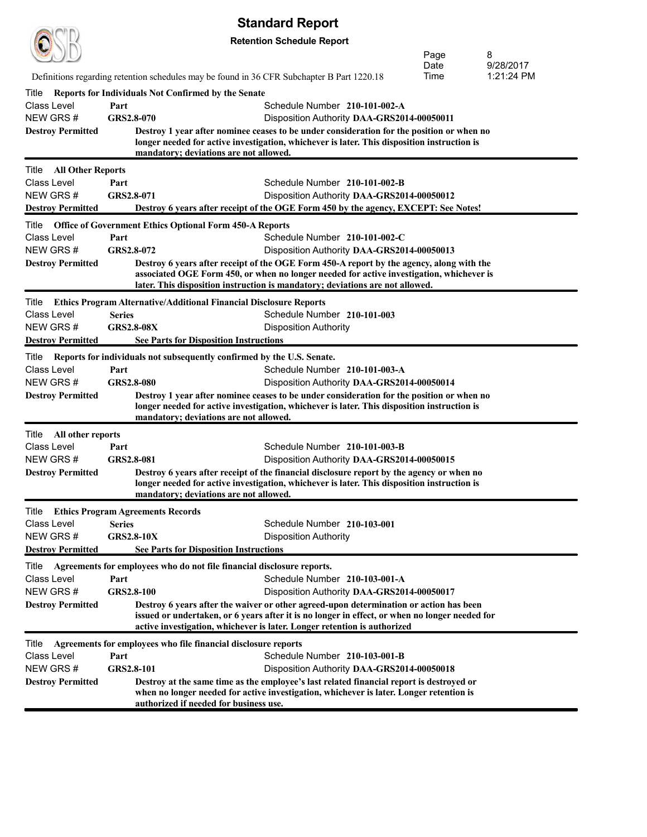| <b>Standard Report</b> |  |
|------------------------|--|
|------------------------|--|

|                                      |                                                             | <b>Jianuaru Nchni</b>                                                                                                                                                                                                                                                |                                                                             |              |                         |
|--------------------------------------|-------------------------------------------------------------|----------------------------------------------------------------------------------------------------------------------------------------------------------------------------------------------------------------------------------------------------------------------|-----------------------------------------------------------------------------|--------------|-------------------------|
|                                      |                                                             | <b>Retention Schedule Report</b>                                                                                                                                                                                                                                     |                                                                             | Page         | 8                       |
|                                      |                                                             |                                                                                                                                                                                                                                                                      |                                                                             | Date<br>Time | 9/28/2017<br>1:21:24 PM |
|                                      |                                                             | Definitions regarding retention schedules may be found in 36 CFR Subchapter B Part 1220.18                                                                                                                                                                           |                                                                             |              |                         |
| Title<br>Class Level                 | Reports for Individuals Not Confirmed by the Senate<br>Part |                                                                                                                                                                                                                                                                      | Schedule Number 210-101-002-A                                               |              |                         |
| NEW GRS#                             | GRS2.8-070                                                  |                                                                                                                                                                                                                                                                      | Disposition Authority DAA-GRS2014-00050011                                  |              |                         |
| <b>Destroy Permitted</b>             |                                                             | Destroy 1 year after nominee ceases to be under consideration for the position or when no                                                                                                                                                                            |                                                                             |              |                         |
|                                      |                                                             | longer needed for active investigation, whichever is later. This disposition instruction is<br>mandatory; deviations are not allowed.                                                                                                                                |                                                                             |              |                         |
| Title<br><b>All Other Reports</b>    |                                                             |                                                                                                                                                                                                                                                                      |                                                                             |              |                         |
| <b>Class Level</b>                   | Part                                                        |                                                                                                                                                                                                                                                                      | Schedule Number 210-101-002-B                                               |              |                         |
| NEW GRS#                             | GRS2.8-071                                                  |                                                                                                                                                                                                                                                                      | Disposition Authority DAA-GRS2014-00050012                                  |              |                         |
| <b>Destroy Permitted</b>             |                                                             | Destroy 6 years after receipt of the OGE Form 450 by the agency, EXCEPT: See Notes!                                                                                                                                                                                  |                                                                             |              |                         |
| Title                                |                                                             | <b>Office of Government Ethics Optional Form 450-A Reports</b>                                                                                                                                                                                                       |                                                                             |              |                         |
| <b>Class Level</b><br>NEW GRS#       | Part<br>GRS2.8-072                                          |                                                                                                                                                                                                                                                                      | Schedule Number 210-101-002-C<br>Disposition Authority DAA-GRS2014-00050013 |              |                         |
| <b>Destroy Permitted</b>             |                                                             | Destroy 6 years after receipt of the OGE Form 450-A report by the agency, along with the                                                                                                                                                                             |                                                                             |              |                         |
|                                      |                                                             | associated OGE Form 450, or when no longer needed for active investigation, whichever is<br>later. This disposition instruction is mandatory; deviations are not allowed.                                                                                            |                                                                             |              |                         |
| Title                                |                                                             | <b>Ethics Program Alternative/Additional Financial Disclosure Reports</b>                                                                                                                                                                                            |                                                                             |              |                         |
| Class Level                          | <b>Series</b>                                               |                                                                                                                                                                                                                                                                      | Schedule Number 210-101-003                                                 |              |                         |
| NEW GRS#                             | <b>GRS2.8-08X</b>                                           | <b>Disposition Authority</b>                                                                                                                                                                                                                                         |                                                                             |              |                         |
| <b>Destroy Permitted</b>             |                                                             | <b>See Parts for Disposition Instructions</b>                                                                                                                                                                                                                        |                                                                             |              |                         |
| Title                                |                                                             | Reports for individuals not subsequently confirmed by the U.S. Senate.                                                                                                                                                                                               |                                                                             |              |                         |
| Class Level                          | Part                                                        |                                                                                                                                                                                                                                                                      | Schedule Number 210-101-003-A                                               |              |                         |
| NEW GRS#<br><b>Destroy Permitted</b> | GRS2.8-080                                                  | Destroy 1 year after nominee ceases to be under consideration for the position or when no                                                                                                                                                                            | Disposition Authority DAA-GRS2014-00050014                                  |              |                         |
|                                      |                                                             | longer needed for active investigation, whichever is later. This disposition instruction is<br>mandatory; deviations are not allowed.                                                                                                                                |                                                                             |              |                         |
| Title<br>All other reports           |                                                             |                                                                                                                                                                                                                                                                      |                                                                             |              |                         |
| <b>Class Level</b>                   | Part                                                        |                                                                                                                                                                                                                                                                      | Schedule Number 210-101-003-B                                               |              |                         |
| NEW GRS#                             | GRS2.8-081                                                  |                                                                                                                                                                                                                                                                      | Disposition Authority DAA-GRS2014-00050015                                  |              |                         |
| <b>Destroy Permitted</b>             |                                                             | Destroy 6 years after receipt of the financial disclosure report by the agency or when no                                                                                                                                                                            |                                                                             |              |                         |
|                                      |                                                             | longer needed for active investigation, whichever is later. This disposition instruction is<br>mandatory; deviations are not allowed.                                                                                                                                |                                                                             |              |                         |
|                                      | <b>Title</b> Ethics Program Agreements Records              |                                                                                                                                                                                                                                                                      |                                                                             |              |                         |
| Class Level                          | <b>Series</b>                                               |                                                                                                                                                                                                                                                                      | Schedule Number 210-103-001                                                 |              |                         |
| NEW GRS#                             | <b>GRS2.8-10X</b>                                           | <b>Disposition Authority</b>                                                                                                                                                                                                                                         |                                                                             |              |                         |
| <b>Destroy Permitted</b>             |                                                             | <b>See Parts for Disposition Instructions</b>                                                                                                                                                                                                                        |                                                                             |              |                         |
| Title                                |                                                             | Agreements for employees who do not file financial disclosure reports.                                                                                                                                                                                               |                                                                             |              |                         |
| Class Level                          | Part                                                        |                                                                                                                                                                                                                                                                      | Schedule Number 210-103-001-A                                               |              |                         |
| NEW GRS#                             | <b>GRS2.8-100</b>                                           |                                                                                                                                                                                                                                                                      | Disposition Authority DAA-GRS2014-00050017                                  |              |                         |
| <b>Destroy Permitted</b>             |                                                             | Destroy 6 years after the waiver or other agreed-upon determination or action has been<br>issued or undertaken, or 6 years after it is no longer in effect, or when no longer needed for<br>active investigation, whichever is later. Longer retention is authorized |                                                                             |              |                         |
| Title                                |                                                             | Agreements for employees who file financial disclosure reports                                                                                                                                                                                                       |                                                                             |              |                         |
| Class Level                          | Part                                                        |                                                                                                                                                                                                                                                                      | Schedule Number 210-103-001-B                                               |              |                         |
| NEW GRS#                             | GRS2.8-101                                                  |                                                                                                                                                                                                                                                                      | Disposition Authority DAA-GRS2014-00050018                                  |              |                         |
| <b>Destroy Permitted</b>             |                                                             | Destroy at the same time as the employee's last related financial report is destroyed or<br>when no longer needed for active investigation, whichever is later. Longer retention is<br>authorized if needed for business use.                                        |                                                                             |              |                         |
|                                      |                                                             |                                                                                                                                                                                                                                                                      |                                                                             |              |                         |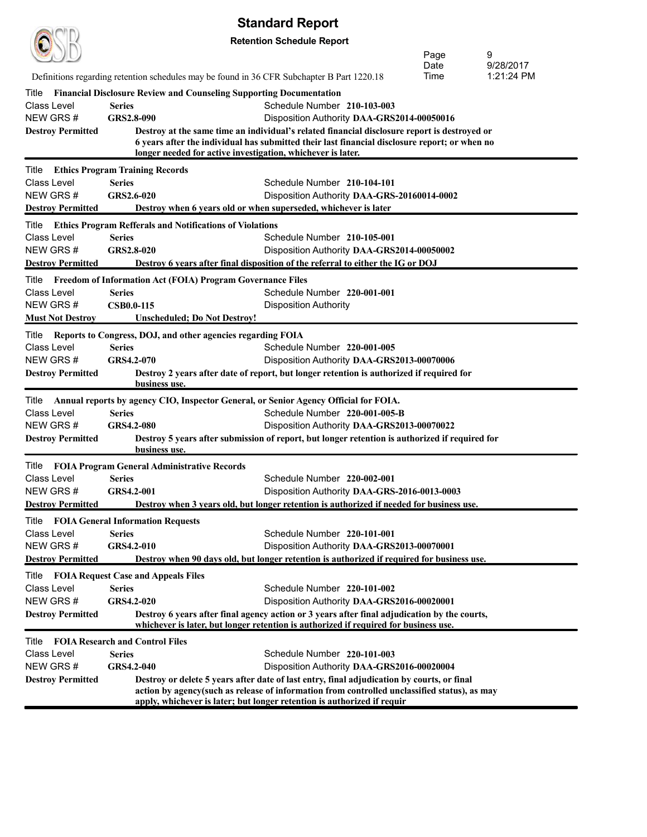**Retention Schedule Report**

 $\bigcirc$ (TD)

|                          |                                                                                             | <b>INDIT OCTIONATE INDIAN</b>                                                                                                                                                        | Page         | 9                       |
|--------------------------|---------------------------------------------------------------------------------------------|--------------------------------------------------------------------------------------------------------------------------------------------------------------------------------------|--------------|-------------------------|
|                          | Definitions regarding retention schedules may be found in 36 CFR Subchapter B Part 1220.18  |                                                                                                                                                                                      | Date<br>Time | 9/28/2017<br>1:21:24 PM |
|                          |                                                                                             |                                                                                                                                                                                      |              |                         |
| Title<br>Class Level     | <b>Financial Disclosure Review and Counseling Supporting Documentation</b><br><b>Series</b> | Schedule Number 210-103-003                                                                                                                                                          |              |                         |
| NEW GRS#                 | GRS2.8-090                                                                                  | Disposition Authority DAA-GRS2014-00050016                                                                                                                                           |              |                         |
| <b>Destroy Permitted</b> |                                                                                             | Destroy at the same time an individual's related financial disclosure report is destroyed or                                                                                         |              |                         |
|                          |                                                                                             | 6 years after the individual has submitted their last financial disclosure report; or when no                                                                                        |              |                         |
|                          | longer needed for active investigation, whichever is later.                                 |                                                                                                                                                                                      |              |                         |
| Title                    | <b>Ethics Program Training Records</b>                                                      |                                                                                                                                                                                      |              |                         |
| Class Level              | <b>Series</b>                                                                               | Schedule Number 210-104-101                                                                                                                                                          |              |                         |
| NEW GRS#                 | GRS2.6-020                                                                                  | Disposition Authority DAA-GRS-20160014-0002                                                                                                                                          |              |                         |
| <b>Destroy Permitted</b> |                                                                                             | Destroy when 6 years old or when superseded, whichever is later                                                                                                                      |              |                         |
| Title                    | <b>Ethics Program Refferals and Notifications of Violations</b>                             |                                                                                                                                                                                      |              |                         |
| Class Level              | <b>Series</b>                                                                               | Schedule Number 210-105-001                                                                                                                                                          |              |                         |
| NEW GRS#                 | GRS2.8-020                                                                                  | Disposition Authority DAA-GRS2014-00050002                                                                                                                                           |              |                         |
| <b>Destroy Permitted</b> |                                                                                             | Destroy 6 years after final disposition of the referral to either the IG or DOJ                                                                                                      |              |                         |
| Title                    | <b>Freedom of Information Act (FOIA) Program Governance Files</b>                           |                                                                                                                                                                                      |              |                         |
| Class Level              | <b>Series</b>                                                                               | Schedule Number 220-001-001                                                                                                                                                          |              |                         |
| NEW GRS#                 | <b>CSB0.0-115</b>                                                                           | <b>Disposition Authority</b>                                                                                                                                                         |              |                         |
| <b>Must Not Destroy</b>  | Unscheduled; Do Not Destroy!                                                                |                                                                                                                                                                                      |              |                         |
| Title                    | Reports to Congress, DOJ, and other agencies regarding FOIA                                 |                                                                                                                                                                                      |              |                         |
| Class Level              | <b>Series</b>                                                                               | Schedule Number 220-001-005                                                                                                                                                          |              |                         |
| NEW GRS#                 | GRS4.2-070                                                                                  | Disposition Authority DAA-GRS2013-00070006                                                                                                                                           |              |                         |
| <b>Destroy Permitted</b> | business use.                                                                               | Destroy 2 years after date of report, but longer retention is authorized if required for                                                                                             |              |                         |
| Title                    | Annual reports by agency CIO, Inspector General, or Senior Agency Official for FOIA.        |                                                                                                                                                                                      |              |                         |
| <b>Class Level</b>       | <b>Series</b>                                                                               | Schedule Number 220-001-005-B                                                                                                                                                        |              |                         |
| NEW GRS#                 | GRS4.2-080                                                                                  | Disposition Authority DAA-GRS2013-00070022                                                                                                                                           |              |                         |
| <b>Destroy Permitted</b> |                                                                                             | Destroy 5 years after submission of report, but longer retention is authorized if required for                                                                                       |              |                         |
|                          | business use.                                                                               |                                                                                                                                                                                      |              |                         |
|                          | Title FOIA Program General Administrative Records                                           |                                                                                                                                                                                      |              |                         |
| Class Level              | <b>Series</b>                                                                               | Schedule Number 220-002-001                                                                                                                                                          |              |                         |
| NEW GRS#                 | GRS4.2-001                                                                                  | Disposition Authority DAA-GRS-2016-0013-0003                                                                                                                                         |              |                         |
| <b>Destroy Permitted</b> |                                                                                             | Destroy when 3 years old, but longer retention is authorized if needed for business use.                                                                                             |              |                         |
|                          | <b>Title</b> FOIA General Information Requests                                              |                                                                                                                                                                                      |              |                         |
| <b>Class Level</b>       | <b>Series</b>                                                                               | Schedule Number 220-101-001                                                                                                                                                          |              |                         |
| NEW GRS#                 | GRS4.2-010                                                                                  | Disposition Authority DAA-GRS2013-00070001                                                                                                                                           |              |                         |
| <b>Destroy Permitted</b> |                                                                                             | Destroy when 90 days old, but longer retention is authorized if required for business use.                                                                                           |              |                         |
| Title                    | <b>FOIA Request Case and Appeals Files</b>                                                  |                                                                                                                                                                                      |              |                         |
| Class Level              | <b>Series</b>                                                                               | Schedule Number 220-101-002                                                                                                                                                          |              |                         |
| NEW GRS#                 | GRS4.2-020                                                                                  | Disposition Authority DAA-GRS2016-00020001                                                                                                                                           |              |                         |
| <b>Destroy Permitted</b> |                                                                                             | Destroy 6 years after final agency action or 3 years after final adjudication by the courts,<br>whichever is later, but longer retention is authorized if required for business use. |              |                         |
| Title                    | <b>FOIA Research and Control Files</b>                                                      |                                                                                                                                                                                      |              |                         |
| <b>Class Level</b>       | <b>Series</b>                                                                               | Schedule Number 220-101-003                                                                                                                                                          |              |                         |
| NEW GRS #                | GRS4.2-040                                                                                  | Disposition Authority DAA-GRS2016-00020004                                                                                                                                           |              |                         |
| <b>Destroy Permitted</b> |                                                                                             | Destroy or delete 5 years after date of last entry, final adjudication by courts, or final                                                                                           |              |                         |
|                          |                                                                                             | action by agency(such as release of information from controlled unclassified status), as may                                                                                         |              |                         |
|                          |                                                                                             | apply, whichever is later; but longer retention is authorized if requir                                                                                                              |              |                         |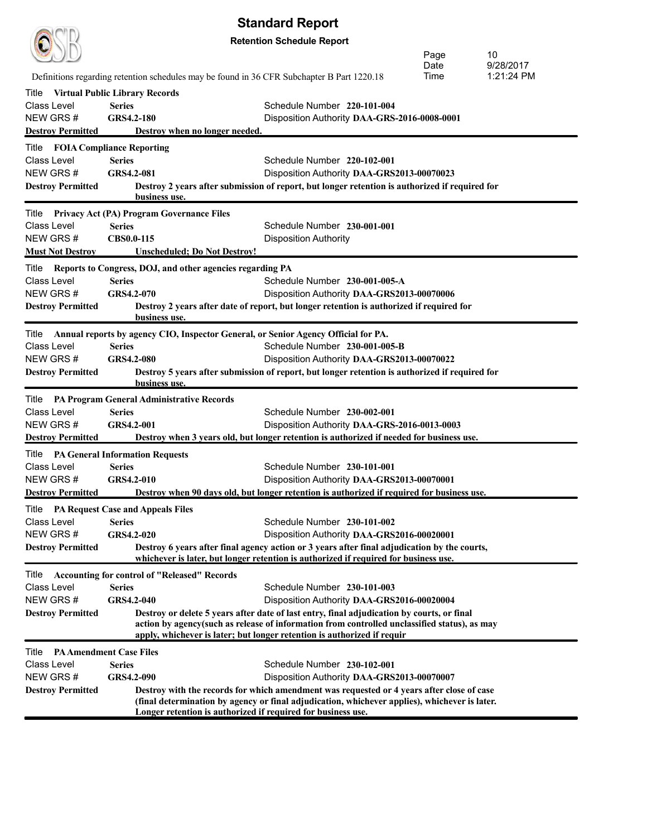| <b>Standard Report</b>                 |                                                                                            |                                                                                                |      |            |  |
|----------------------------------------|--------------------------------------------------------------------------------------------|------------------------------------------------------------------------------------------------|------|------------|--|
|                                        |                                                                                            | <b>Retention Schedule Report</b>                                                               |      |            |  |
|                                        | Page<br>10                                                                                 |                                                                                                |      |            |  |
|                                        |                                                                                            |                                                                                                | Date | 9/28/2017  |  |
|                                        | Definitions regarding retention schedules may be found in 36 CFR Subchapter B Part 1220.18 |                                                                                                | Time | 1:21:24 PM |  |
| Title                                  | <b>Virtual Public Library Records</b>                                                      |                                                                                                |      |            |  |
| <b>Class Level</b>                     | <b>Series</b>                                                                              | Schedule Number 220-101-004                                                                    |      |            |  |
| NEW GRS#                               | GRS4.2-180                                                                                 | Disposition Authority DAA-GRS-2016-0008-0001                                                   |      |            |  |
| <b>Destroy Permitted</b>               | Destroy when no longer needed.                                                             |                                                                                                |      |            |  |
| <b>Title FOIA Compliance Reporting</b> |                                                                                            |                                                                                                |      |            |  |
| <b>Class Level</b>                     | <b>Series</b>                                                                              | Schedule Number 220-102-001                                                                    |      |            |  |
| NEW GRS#                               | GRS4.2-081                                                                                 | Disposition Authority DAA-GRS2013-00070023                                                     |      |            |  |
| <b>Destroy Permitted</b>               |                                                                                            | Destroy 2 years after submission of report, but longer retention is authorized if required for |      |            |  |
|                                        | business use.                                                                              |                                                                                                |      |            |  |
| Title                                  | Privacy Act (PA) Program Governance Files                                                  |                                                                                                |      |            |  |
| Class Level                            | <b>Series</b>                                                                              | Schedule Number 230-001-001                                                                    |      |            |  |
| NEW GRS#                               | CBS0.0-115                                                                                 | <b>Disposition Authority</b>                                                                   |      |            |  |
| <b>Must Not Destroy</b>                | <b>Unscheduled; Do Not Destroy!</b>                                                        |                                                                                                |      |            |  |
| Title                                  | Reports to Congress, DOJ, and other agencies regarding PA                                  |                                                                                                |      |            |  |
| Class Level                            | <b>Series</b>                                                                              | Schedule Number 230-001-005-A                                                                  |      |            |  |
| NEW GRS#                               | GRS4.2-070                                                                                 | Disposition Authority DAA-GRS2013-00070006                                                     |      |            |  |
| <b>Destroy Permitted</b>               |                                                                                            | Destroy 2 years after date of report, but longer retention is authorized if required for       |      |            |  |
|                                        | business use.                                                                              |                                                                                                |      |            |  |
| Title                                  | Annual reports by agency CIO, Inspector General, or Senior Agency Official for PA.         |                                                                                                |      |            |  |
| <b>Class Level</b>                     | <b>Series</b>                                                                              | Schedule Number 230-001-005-B                                                                  |      |            |  |
| NEW GRS#                               | <b>GRS4.2-080</b>                                                                          | Disposition Authority DAA-GRS2013-00070022                                                     |      |            |  |
| <b>Destroy Permitted</b>               |                                                                                            | Destroy 5 years after submission of report, but longer retention is authorized if required for |      |            |  |
|                                        | business use.                                                                              |                                                                                                |      |            |  |
| Title                                  | <b>PA Program General Administrative Records</b>                                           |                                                                                                |      |            |  |
| <b>Class Level</b>                     | <b>Series</b>                                                                              | Schedule Number 230-002-001                                                                    |      |            |  |
| NEW GRS#                               | GRS4.2-001                                                                                 | Disposition Authority DAA-GRS-2016-0013-0003                                                   |      |            |  |
| <b>Destroy Permitted</b>               |                                                                                            | Destroy when 3 years old, but longer retention is authorized if needed for business use.       |      |            |  |
|                                        | <b>Title</b> PA General Information Requests                                               |                                                                                                |      |            |  |
| Class Level                            | <b>Series</b>                                                                              | Schedule Number 230-101-001                                                                    |      |            |  |
| NEW GRS#                               | GRS4.2-010                                                                                 | Disposition Authority DAA-GRS2013-00070001                                                     |      |            |  |
| <b>Destroy Permitted</b>               |                                                                                            | Destroy when 90 days old, but longer retention is authorized if required for business use.     |      |            |  |
| Title                                  | <b>PA Request Case and Appeals Files</b>                                                   |                                                                                                |      |            |  |
| Class Level                            | <b>Series</b>                                                                              | Schedule Number 230-101-002                                                                    |      |            |  |
| NEW GRS#                               | GRS4.2-020                                                                                 | Disposition Authority DAA-GRS2016-00020001                                                     |      |            |  |
| <b>Destroy Permitted</b>               |                                                                                            | Destroy 6 years after final agency action or 3 years after final adjudication by the courts,   |      |            |  |
|                                        |                                                                                            | whichever is later, but longer retention is authorized if required for business use.           |      |            |  |
| Title                                  | <b>Accounting for control of "Released" Records</b>                                        |                                                                                                |      |            |  |
| Class Level                            | <b>Series</b>                                                                              | Schedule Number 230-101-003                                                                    |      |            |  |
| NEW GRS#                               | GRS4.2-040                                                                                 | Disposition Authority DAA-GRS2016-00020004                                                     |      |            |  |
| <b>Destroy Permitted</b>               |                                                                                            | Destroy or delete 5 years after date of last entry, final adjudication by courts, or final     |      |            |  |
|                                        |                                                                                            | action by agency(such as release of information from controlled unclassified status), as may   |      |            |  |
|                                        |                                                                                            | apply, whichever is later; but longer retention is authorized if requir                        |      |            |  |
| Title                                  | <b>PA Amendment Case Files</b>                                                             |                                                                                                |      |            |  |
| Class Level                            | <b>Series</b>                                                                              | Schedule Number 230-102-001                                                                    |      |            |  |
| NEW GRS #                              | GRS4.2-090                                                                                 | Disposition Authority DAA-GRS2013-00070007                                                     |      |            |  |
| <b>Destroy Permitted</b>               |                                                                                            | Destroy with the records for which amendment was requested or 4 years after close of case      |      |            |  |
|                                        | Longer retention is authorized if required for business use.                               | (final determination by agency or final adjudication, whichever applies), whichever is later.  |      |            |  |
|                                        |                                                                                            |                                                                                                |      |            |  |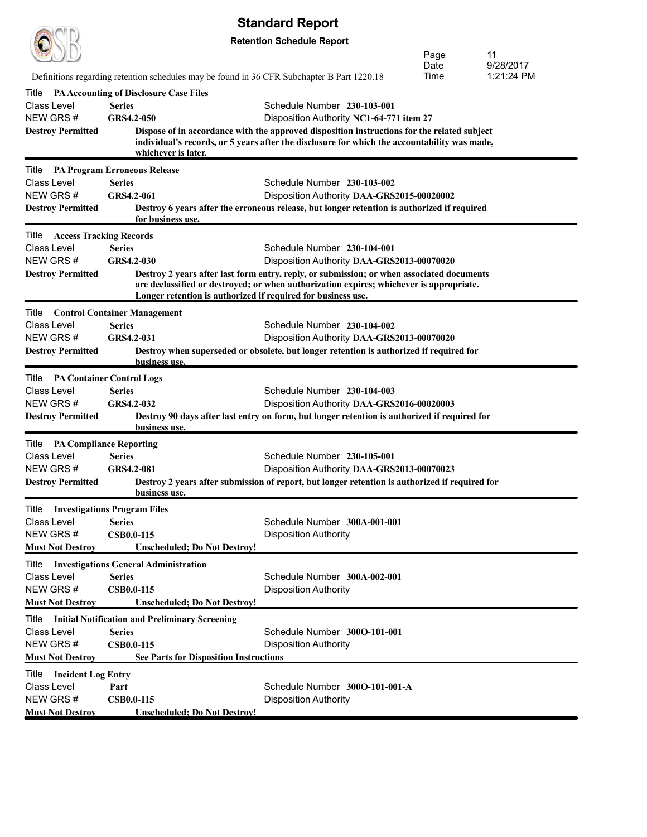|                                                   |                                                       |                                               | <b>Standard Report</b>                                                                                                                                                                      |  |              |                         |
|---------------------------------------------------|-------------------------------------------------------|-----------------------------------------------|---------------------------------------------------------------------------------------------------------------------------------------------------------------------------------------------|--|--------------|-------------------------|
| <b>Retention Schedule Report</b>                  |                                                       |                                               |                                                                                                                                                                                             |  |              |                         |
|                                                   |                                                       |                                               |                                                                                                                                                                                             |  | Page         | 11                      |
|                                                   |                                                       |                                               | Definitions regarding retention schedules may be found in 36 CFR Subchapter B Part 1220.18                                                                                                  |  | Date<br>Time | 9/28/2017<br>1:21:24 PM |
| Title                                             | <b>PA Accounting of Disclosure Case Files</b>         |                                               |                                                                                                                                                                                             |  |              |                         |
| Class Level                                       | <b>Series</b>                                         |                                               | Schedule Number 230-103-001                                                                                                                                                                 |  |              |                         |
| NEW GRS#                                          | GRS4.2-050                                            |                                               | Disposition Authority NC1-64-771 item 27                                                                                                                                                    |  |              |                         |
| <b>Destroy Permitted</b>                          | whichever is later.                                   |                                               | Dispose of in accordance with the approved disposition instructions for the related subject<br>individual's records, or 5 years after the disclosure for which the accountability was made, |  |              |                         |
| Title                                             | <b>PA Program Erroneous Release</b>                   |                                               |                                                                                                                                                                                             |  |              |                         |
| <b>Class Level</b>                                | <b>Series</b>                                         |                                               | Schedule Number 230-103-002                                                                                                                                                                 |  |              |                         |
| NEW GRS#                                          | GRS4.2-061                                            |                                               | Disposition Authority DAA-GRS2015-00020002                                                                                                                                                  |  |              |                         |
| <b>Destroy Permitted</b>                          | for business use.                                     |                                               | Destroy 6 years after the erroneous release, but longer retention is authorized if required                                                                                                 |  |              |                         |
| <b>Title Access Tracking Records</b>              |                                                       |                                               |                                                                                                                                                                                             |  |              |                         |
| Class Level                                       | <b>Series</b>                                         |                                               | Schedule Number 230-104-001                                                                                                                                                                 |  |              |                         |
| NEW GRS#<br><b>Destroy Permitted</b>              | GRS4.2-030                                            |                                               | Disposition Authority DAA-GRS2013-00070020<br>Destroy 2 years after last form entry, reply, or submission; or when associated documents                                                     |  |              |                         |
|                                                   |                                                       |                                               | are declassified or destroyed; or when authorization expires; whichever is appropriate.<br>Longer retention is authorized if required for business use.                                     |  |              |                         |
| Title                                             | <b>Control Container Management</b>                   |                                               |                                                                                                                                                                                             |  |              |                         |
| <b>Class Level</b>                                | <b>Series</b>                                         |                                               | Schedule Number 230-104-002                                                                                                                                                                 |  |              |                         |
| NEW GRS#                                          | GRS4.2-031                                            |                                               | Disposition Authority DAA-GRS2013-00070020                                                                                                                                                  |  |              |                         |
| <b>Destroy Permitted</b>                          | business use.                                         |                                               | Destroy when superseded or obsolete, but longer retention is authorized if required for                                                                                                     |  |              |                         |
| <b>PA Container Control Logs</b><br>Title         |                                                       |                                               |                                                                                                                                                                                             |  |              |                         |
| Class Level                                       | <b>Series</b>                                         |                                               | Schedule Number 230-104-003                                                                                                                                                                 |  |              |                         |
| NEW GRS #<br><b>Destroy Permitted</b>             | GRS4.2-032                                            |                                               | Disposition Authority DAA-GRS2016-00020003<br>Destroy 90 days after last entry on form, but longer retention is authorized if required for                                                  |  |              |                         |
|                                                   | business use.                                         |                                               |                                                                                                                                                                                             |  |              |                         |
| <b>PA Compliance Reporting</b><br>Title           |                                                       |                                               |                                                                                                                                                                                             |  |              |                         |
| Class Level                                       | <b>Series</b>                                         |                                               | Schedule Number 230-105-001                                                                                                                                                                 |  |              |                         |
| NEW GRS #<br><b>Destroy Permitted</b>             | GRS4.2-081                                            |                                               | Disposition Authority DAA-GRS2013-00070023<br>Destroy 2 years after submission of report, but longer retention is authorized if required for                                                |  |              |                         |
|                                                   | <u>business use.</u>                                  |                                               |                                                                                                                                                                                             |  |              |                         |
| Title                                             | <b>Investigations Program Files</b>                   |                                               |                                                                                                                                                                                             |  |              |                         |
| Class Level                                       | <b>Series</b>                                         |                                               | Schedule Number 300A-001-001                                                                                                                                                                |  |              |                         |
| NEW GRS#<br><b>Must Not Destroy</b>               | <b>CSB0.0-115</b>                                     | <b>Unscheduled; Do Not Destroy!</b>           | <b>Disposition Authority</b>                                                                                                                                                                |  |              |                         |
| Title                                             | <b>Investigations General Administration</b>          |                                               |                                                                                                                                                                                             |  |              |                         |
| Class Level                                       | <b>Series</b>                                         |                                               | Schedule Number 300A-002-001                                                                                                                                                                |  |              |                         |
| NEW GRS#                                          | CSB0.0-115                                            |                                               | <b>Disposition Authority</b>                                                                                                                                                                |  |              |                         |
| <b>Must Not Destroy</b>                           |                                                       | <b>Unscheduled; Do Not Destroy!</b>           |                                                                                                                                                                                             |  |              |                         |
| Title                                             | <b>Initial Notification and Preliminary Screening</b> |                                               |                                                                                                                                                                                             |  |              |                         |
| Class Level                                       | <b>Series</b>                                         |                                               | Schedule Number 300O-101-001                                                                                                                                                                |  |              |                         |
| NEW GRS#                                          | <b>CSB0.0-115</b>                                     |                                               | <b>Disposition Authority</b>                                                                                                                                                                |  |              |                         |
| <b>Must Not Destroy</b>                           |                                                       | <b>See Parts for Disposition Instructions</b> |                                                                                                                                                                                             |  |              |                         |
| <b>Incident Log Entry</b><br>Title<br>Class Level | Part                                                  |                                               | Schedule Number 300O-101-001-A                                                                                                                                                              |  |              |                         |
| NEW GRS#                                          | <b>CSB0.0-115</b>                                     |                                               | <b>Disposition Authority</b>                                                                                                                                                                |  |              |                         |
| <b>Must Not Destroy</b>                           |                                                       | <b>Unscheduled; Do Not Destroy!</b>           |                                                                                                                                                                                             |  |              |                         |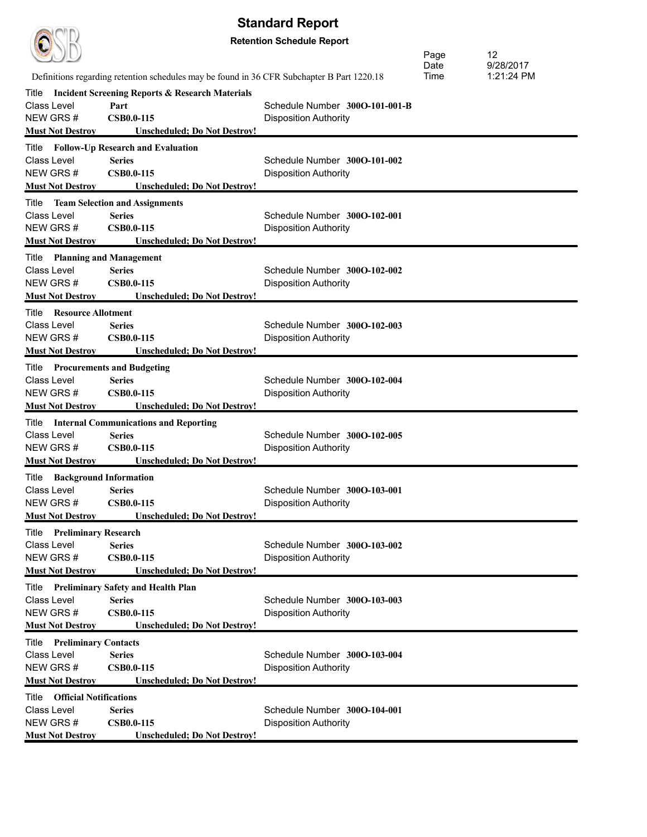| <b>Standard Report</b>                                     |                                                                                            |                                                                |              |                 |  |
|------------------------------------------------------------|--------------------------------------------------------------------------------------------|----------------------------------------------------------------|--------------|-----------------|--|
| <b>Retention Schedule Report</b>                           |                                                                                            |                                                                |              |                 |  |
|                                                            |                                                                                            |                                                                | Page<br>Date | 12<br>9/28/2017 |  |
|                                                            | Definitions regarding retention schedules may be found in 36 CFR Subchapter B Part 1220.18 |                                                                | Time         | 1:21:24 PM      |  |
| Title                                                      | <b>Incident Screening Reports &amp; Research Materials</b>                                 |                                                                |              |                 |  |
| Class Level<br>NEW GRS#                                    | Part<br><b>CSB0.0-115</b>                                                                  | Schedule Number 300O-101-001-B<br><b>Disposition Authority</b> |              |                 |  |
| <b>Must Not Destrov</b>                                    | <b>Unscheduled: Do Not Destroy!</b>                                                        |                                                                |              |                 |  |
|                                                            | Title Follow-Up Research and Evaluation                                                    |                                                                |              |                 |  |
| Class Level                                                | <b>Series</b>                                                                              | Schedule Number 300O-101-002                                   |              |                 |  |
| NEW GRS#                                                   | <b>CSB0.0-115</b>                                                                          | <b>Disposition Authority</b>                                   |              |                 |  |
| <b>Must Not Destroy</b>                                    | <b>Unscheduled; Do Not Destroy!</b>                                                        |                                                                |              |                 |  |
| <b>Title</b> Team Selection and Assignments<br>Class Level | <b>Series</b>                                                                              | Schedule Number 300O-102-001                                   |              |                 |  |
| NEW GRS#                                                   | <b>CSB0.0-115</b>                                                                          | <b>Disposition Authority</b>                                   |              |                 |  |
| <b>Must Not Destroy</b>                                    | <b>Unscheduled; Do Not Destroy!</b>                                                        |                                                                |              |                 |  |
| Title Planning and Management                              |                                                                                            |                                                                |              |                 |  |
| Class Level                                                | <b>Series</b>                                                                              | Schedule Number 300O-102-002                                   |              |                 |  |
| NEW GRS#                                                   | <b>CSB0.0-115</b>                                                                          | <b>Disposition Authority</b>                                   |              |                 |  |
| <b>Must Not Destroy</b>                                    | <b>Unscheduled: Do Not Destroy!</b>                                                        |                                                                |              |                 |  |
| Title Resource Allotment                                   |                                                                                            |                                                                |              |                 |  |
| Class Level<br>NEW GRS#                                    | <b>Series</b><br><b>CSB0.0-115</b>                                                         | Schedule Number 300O-102-003<br><b>Disposition Authority</b>   |              |                 |  |
| <b>Must Not Destroy</b>                                    | <b>Unscheduled; Do Not Destroy!</b>                                                        |                                                                |              |                 |  |
| Title Procurements and Budgeting                           |                                                                                            |                                                                |              |                 |  |
| Class Level                                                | <b>Series</b>                                                                              | Schedule Number 300O-102-004                                   |              |                 |  |
| NEW GRS#                                                   | <b>CSB0.0-115</b>                                                                          | <b>Disposition Authority</b>                                   |              |                 |  |
| <b>Must Not Destroy</b>                                    | <b>Unscheduled; Do Not Destroy!</b>                                                        |                                                                |              |                 |  |
|                                                            | <b>Title</b> Internal Communications and Reporting                                         |                                                                |              |                 |  |
| Class Level                                                | <b>Series</b>                                                                              | Schedule Number 300O-102-005                                   |              |                 |  |
| NEW GRS#                                                   | <b>CSB0.0-115</b>                                                                          | <b>Disposition Authority</b>                                   |              |                 |  |
| <b>Must Not Destroy</b>                                    | <b>Unscheduled: Do Not Destroy!</b>                                                        |                                                                |              |                 |  |
| <b>Title</b> Background Information<br>Class Level Series  |                                                                                            | Schedule Number 300O-103-001                                   |              |                 |  |
| NEW GRS#                                                   | <b>CSB0.0-115</b>                                                                          | <b>Disposition Authority</b>                                   |              |                 |  |
| <b>Must Not Destroy</b>                                    | <b>Unscheduled; Do Not Destroy!</b>                                                        |                                                                |              |                 |  |
| <b>Title</b> Preliminary Research                          |                                                                                            |                                                                |              |                 |  |
| Class Level                                                | <b>Series</b>                                                                              | Schedule Number 300O-103-002                                   |              |                 |  |
| NEW GRS#                                                   | <b>CSB0.0-115</b>                                                                          | <b>Disposition Authority</b>                                   |              |                 |  |
| <b>Must Not Destroy</b>                                    | <b>Unscheduled</b> ; Do Not Destroy!                                                       |                                                                |              |                 |  |
|                                                            | Title Preliminary Safety and Health Plan                                                   |                                                                |              |                 |  |
| Class Level                                                | <b>Series</b>                                                                              | Schedule Number 300O-103-003                                   |              |                 |  |
| NEW GRS#<br><b>Must Not Destroy</b>                        | <b>CSB0.0-115</b><br><b>Unscheduled; Do Not Destroy!</b>                                   | <b>Disposition Authority</b>                                   |              |                 |  |
|                                                            |                                                                                            |                                                                |              |                 |  |
| <b>Title</b> Preliminary Contacts<br>Class Level           | <b>Series</b>                                                                              | Schedule Number 300O-103-004                                   |              |                 |  |
| NEW GRS#                                                   | CSB0.0-115                                                                                 | <b>Disposition Authority</b>                                   |              |                 |  |
| <b>Must Not Destroy</b>                                    | <b>Unscheduled; Do Not Destroy!</b>                                                        |                                                                |              |                 |  |
| <b>Title Official Notifications</b>                        |                                                                                            |                                                                |              |                 |  |
| Class Level                                                | <b>Series</b>                                                                              | Schedule Number 300O-104-001                                   |              |                 |  |
| NEW GRS#                                                   | <b>CSB0.0-115</b>                                                                          | <b>Disposition Authority</b>                                   |              |                 |  |
| <b>Must Not Destroy</b>                                    | <b>Unscheduled; Do Not Destroy!</b>                                                        |                                                                |              |                 |  |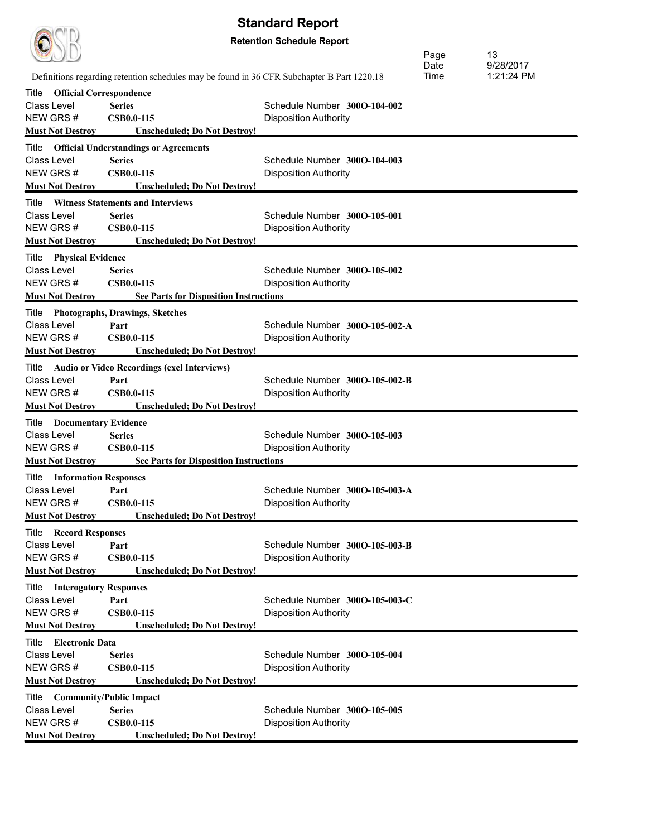| <b>Standard Report</b>                             |                                                                                            |                                |      |            |  |  |
|----------------------------------------------------|--------------------------------------------------------------------------------------------|--------------------------------|------|------------|--|--|
| <b>Retention Schedule Report</b>                   |                                                                                            |                                |      |            |  |  |
|                                                    |                                                                                            |                                | Page | 13         |  |  |
|                                                    |                                                                                            |                                | Date | 9/28/2017  |  |  |
|                                                    | Definitions regarding retention schedules may be found in 36 CFR Subchapter B Part 1220.18 |                                | Time | 1:21:24 PM |  |  |
| <b>Official Correspondence</b><br>Title            |                                                                                            |                                |      |            |  |  |
| Class Level                                        | <b>Series</b>                                                                              | Schedule Number 3000-104-002   |      |            |  |  |
| NEW GRS#                                           | <b>CSB0.0-115</b>                                                                          | <b>Disposition Authority</b>   |      |            |  |  |
| <b>Must Not Destroy</b>                            | <b>Unscheduled; Do Not Destroy!</b>                                                        |                                |      |            |  |  |
| Title                                              | <b>Official Understandings or Agreements</b>                                               |                                |      |            |  |  |
| Class Level                                        | <b>Series</b>                                                                              | Schedule Number 300O-104-003   |      |            |  |  |
| NEW GRS#                                           | <b>CSB0.0-115</b>                                                                          | <b>Disposition Authority</b>   |      |            |  |  |
| <b>Must Not Destroy</b>                            | <b>Unscheduled: Do Not Destroy!</b>                                                        |                                |      |            |  |  |
| Title                                              | <b>Witness Statements and Interviews</b>                                                   |                                |      |            |  |  |
| Class Level                                        | <b>Series</b>                                                                              | Schedule Number 300O-105-001   |      |            |  |  |
| NEW GRS#                                           | <b>CSB0.0-115</b>                                                                          | <b>Disposition Authority</b>   |      |            |  |  |
| <b>Must Not Destroy</b>                            | <b>Unscheduled: Do Not Destroy!</b>                                                        |                                |      |            |  |  |
| <b>Title</b> Physical Evidence                     |                                                                                            |                                |      |            |  |  |
| Class Level                                        | <b>Series</b>                                                                              | Schedule Number 300O-105-002   |      |            |  |  |
| NEW GRS#                                           | <b>CSB0.0-115</b>                                                                          | <b>Disposition Authority</b>   |      |            |  |  |
| <b>Must Not Destroy</b>                            | <b>See Parts for Disposition Instructions</b>                                              |                                |      |            |  |  |
|                                                    | Title Photographs, Drawings, Sketches                                                      |                                |      |            |  |  |
| Class Level                                        | Part                                                                                       | Schedule Number 300O-105-002-A |      |            |  |  |
| NEW GRS#                                           | <b>CSB0.0-115</b>                                                                          | <b>Disposition Authority</b>   |      |            |  |  |
| <b>Must Not Destroy</b>                            | <b>Unscheduled; Do Not Destroy!</b>                                                        |                                |      |            |  |  |
| Title                                              | <b>Audio or Video Recordings (excl Interviews)</b>                                         |                                |      |            |  |  |
| Class Level                                        | Part                                                                                       | Schedule Number 300O-105-002-B |      |            |  |  |
| NEW GRS#                                           | <b>CSB0.0-115</b>                                                                          | <b>Disposition Authority</b>   |      |            |  |  |
| <b>Must Not Destroy</b>                            | <b>Unscheduled; Do Not Destroy!</b>                                                        |                                |      |            |  |  |
| <b>Title</b> Documentary Evidence                  |                                                                                            |                                |      |            |  |  |
| <b>Class Level</b>                                 | <b>Series</b>                                                                              | Schedule Number 300O-105-003   |      |            |  |  |
| NEW GRS#                                           | <b>CSB0.0-115</b>                                                                          | <b>Disposition Authority</b>   |      |            |  |  |
| <b>Must Not Destroy</b>                            | <b>See Parts for Disposition Instructions</b>                                              |                                |      |            |  |  |
| <b>Title Information Responses</b>                 |                                                                                            |                                |      |            |  |  |
| Class Level                                        | Part                                                                                       | Schedule Number 300O-105-003-A |      |            |  |  |
| NEW GRS#                                           | <b>CSB0.0-115</b>                                                                          | <b>Disposition Authority</b>   |      |            |  |  |
| <b>Must Not Destroy</b>                            | <b>Unscheduled; Do Not Destroy!</b>                                                        |                                |      |            |  |  |
| <b>Title Record Responses</b>                      |                                                                                            |                                |      |            |  |  |
| Class Level                                        | Part                                                                                       | Schedule Number 300O-105-003-B |      |            |  |  |
| NEW GRS#                                           | <b>CSB0.0-115</b>                                                                          | <b>Disposition Authority</b>   |      |            |  |  |
| <b>Must Not Destroy</b>                            | <b>Unscheduled; Do Not Destroy!</b>                                                        |                                |      |            |  |  |
|                                                    |                                                                                            |                                |      |            |  |  |
| <b>Title</b> Interogatory Responses<br>Class Level | Part                                                                                       | Schedule Number 300O-105-003-C |      |            |  |  |
| NEW GRS#                                           | <b>CSB0.0-115</b>                                                                          | <b>Disposition Authority</b>   |      |            |  |  |
| <b>Must Not Destroy</b>                            | <b>Unscheduled; Do Not Destroy!</b>                                                        |                                |      |            |  |  |
|                                                    |                                                                                            |                                |      |            |  |  |
| Title Electronic Data                              |                                                                                            |                                |      |            |  |  |
| Class Level<br>NEW GRS#                            | <b>Series</b><br><b>CSB0.0-115</b>                                                         | Schedule Number 300O-105-004   |      |            |  |  |
| <b>Must Not Destroy</b>                            | <b>Unscheduled; Do Not Destroy!</b>                                                        | <b>Disposition Authority</b>   |      |            |  |  |
|                                                    |                                                                                            |                                |      |            |  |  |
| Title Community/Public Impact                      |                                                                                            |                                |      |            |  |  |
| Class Level                                        | <b>Series</b>                                                                              | Schedule Number 300O-105-005   |      |            |  |  |
| NEW GRS#<br><b>Must Not Destroy</b>                | <b>CSB0.0-115</b><br><b>Unscheduled; Do Not Destroy!</b>                                   | <b>Disposition Authority</b>   |      |            |  |  |
|                                                    |                                                                                            |                                |      |            |  |  |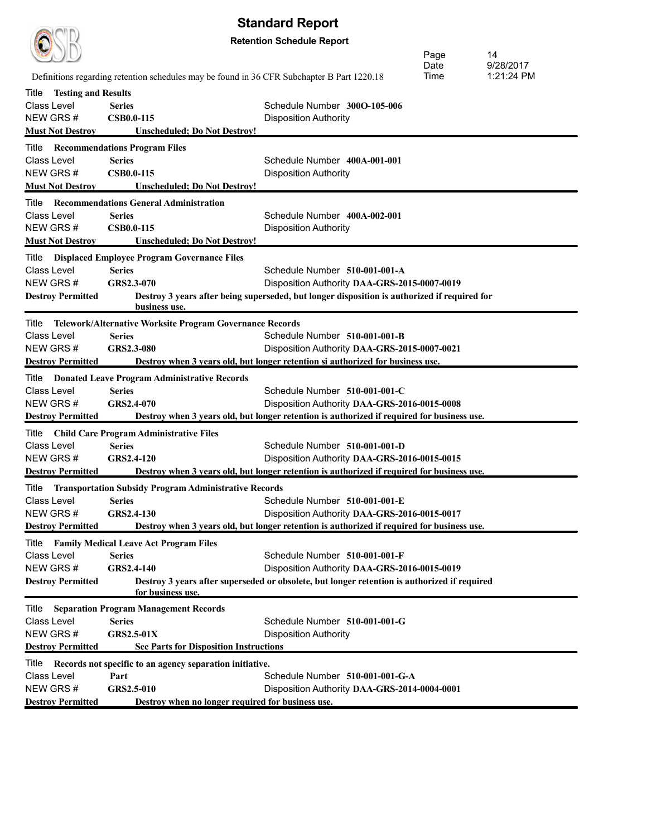| <b>Standard Report</b>              |                                                                                            |                                                                                              |              |            |  |
|-------------------------------------|--------------------------------------------------------------------------------------------|----------------------------------------------------------------------------------------------|--------------|------------|--|
| <b>Retention Schedule Report</b>    |                                                                                            |                                                                                              |              |            |  |
|                                     |                                                                                            |                                                                                              |              | 14         |  |
|                                     |                                                                                            |                                                                                              | Page<br>Date | 9/28/2017  |  |
|                                     | Definitions regarding retention schedules may be found in 36 CFR Subchapter B Part 1220.18 |                                                                                              | Time         | 1:21:24 PM |  |
| Title<br><b>Testing and Results</b> |                                                                                            |                                                                                              |              |            |  |
| Class Level                         | <b>Series</b>                                                                              | Schedule Number 300O-105-006                                                                 |              |            |  |
| NEW GRS#                            | <b>CSB0.0-115</b>                                                                          | <b>Disposition Authority</b>                                                                 |              |            |  |
| <b>Must Not Destroy</b>             | <b>Unscheduled</b> ; Do Not Destroy!                                                       |                                                                                              |              |            |  |
|                                     | <b>Title Recommendations Program Files</b>                                                 |                                                                                              |              |            |  |
| Class Level                         | <b>Series</b>                                                                              | Schedule Number 400A-001-001                                                                 |              |            |  |
| NEW GRS#                            | <b>CSB0.0-115</b>                                                                          | <b>Disposition Authority</b>                                                                 |              |            |  |
| <b>Must Not Destroy</b>             | <b>Unscheduled; Do Not Destroy!</b>                                                        |                                                                                              |              |            |  |
|                                     | <b>Title Recommendations General Administration</b>                                        |                                                                                              |              |            |  |
| Class Level<br>NEW GRS#             | <b>Series</b>                                                                              | Schedule Number 400A-002-001                                                                 |              |            |  |
|                                     | <b>CSB0.0-115</b>                                                                          | <b>Disposition Authority</b>                                                                 |              |            |  |
| <b>Must Not Destroy</b>             | <b>Unscheduled: Do Not Destroy!</b>                                                        |                                                                                              |              |            |  |
| Title                               | <b>Displaced Employee Program Governance Files</b>                                         |                                                                                              |              |            |  |
| Class Level                         | <b>Series</b>                                                                              | Schedule Number 510-001-001-A                                                                |              |            |  |
| NEW GRS#                            | GRS2.3-070                                                                                 | Disposition Authority DAA-GRS-2015-0007-0019                                                 |              |            |  |
| <b>Destroy Permitted</b>            | business use.                                                                              | Destroy 3 years after being superseded, but longer disposition is authorized if required for |              |            |  |
| Title                               | Telework/Alternative Worksite Program Governance Records                                   |                                                                                              |              |            |  |
| Class Level                         | <b>Series</b>                                                                              | Schedule Number 510-001-001-B                                                                |              |            |  |
| NEW GRS#                            | GRS2.3-080                                                                                 | Disposition Authority DAA-GRS-2015-0007-0021                                                 |              |            |  |
| <b>Destroy Permitted</b>            |                                                                                            | Destroy when 3 years old, but longer retention si authorized for business use.               |              |            |  |
|                                     | Title Donated Leave Program Administrative Records                                         |                                                                                              |              |            |  |
| <b>Class Level</b>                  | <b>Series</b>                                                                              | Schedule Number 510-001-001-C                                                                |              |            |  |
| NEW GRS#                            | GRS2.4-070                                                                                 | Disposition Authority DAA-GRS-2016-0015-0008                                                 |              |            |  |
| <b>Destroy Permitted</b>            |                                                                                            | Destroy when 3 years old, but longer retention is authorized if required for business use.   |              |            |  |
|                                     | Title Child Care Program Administrative Files                                              |                                                                                              |              |            |  |
| Class Level                         | <b>Series</b>                                                                              | Schedule Number 510-001-001-D                                                                |              |            |  |
| NEW GRS#                            | GRS2.4-120                                                                                 | Disposition Authority DAA-GRS-2016-0015-0015                                                 |              |            |  |
| <b>Destroy Permitted</b>            |                                                                                            | Destroy when 3 years old, but longer retention is authorized if required for business use.   |              |            |  |
|                                     | Title Transportation Subsidy Program Administrative Records                                |                                                                                              |              |            |  |
| Class Level                         | <b>Series</b>                                                                              | Schedule Number 510-001-001-E                                                                |              |            |  |
| NEW GRS#                            | GRS2.4-130                                                                                 | Disposition Authority DAA-GRS-2016-0015-0017                                                 |              |            |  |
| <b>Destroy Permitted</b>            |                                                                                            | Destroy when 3 years old, but longer retention is authorized if required for business use.   |              |            |  |
| Title                               | <b>Family Medical Leave Act Program Files</b>                                              |                                                                                              |              |            |  |
| Class Level                         | <b>Series</b>                                                                              | Schedule Number 510-001-001-F                                                                |              |            |  |
| NEW GRS#                            | GRS2.4-140                                                                                 | Disposition Authority DAA-GRS-2016-0015-0019                                                 |              |            |  |
| <b>Destroy Permitted</b>            | for business use.                                                                          | Destroy 3 years after superseded or obsolete, but longer retention is authorized if required |              |            |  |
|                                     |                                                                                            |                                                                                              |              |            |  |
|                                     | <b>Title</b> Separation Program Management Records                                         |                                                                                              |              |            |  |
| <b>Class Level</b><br>NEW GRS#      | <b>Series</b><br><b>GRS2.5-01X</b>                                                         | Schedule Number 510-001-001-G                                                                |              |            |  |
| <b>Destroy Permitted</b>            | <b>See Parts for Disposition Instructions</b>                                              | <b>Disposition Authority</b>                                                                 |              |            |  |
|                                     |                                                                                            |                                                                                              |              |            |  |
|                                     | Title Records not specific to an agency separation initiative.<br>Part                     |                                                                                              |              |            |  |
| Class Level<br>NEW GRS#             | GRS2.5-010                                                                                 | Schedule Number 510-001-001-G-A<br>Disposition Authority DAA-GRS-2014-0004-0001              |              |            |  |
| <b>Destroy Permitted</b>            | Destroy when no longer required for business use.                                          |                                                                                              |              |            |  |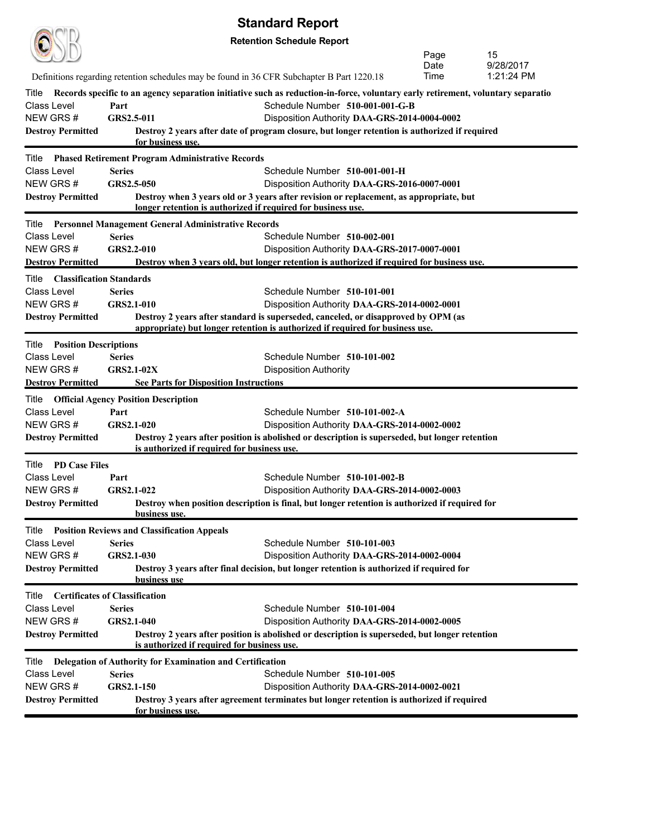|                                          |                                                                                            | υιαπναι ν πορυπ                                                                                                                 |      |            |
|------------------------------------------|--------------------------------------------------------------------------------------------|---------------------------------------------------------------------------------------------------------------------------------|------|------------|
|                                          |                                                                                            | <b>Retention Schedule Report</b>                                                                                                |      |            |
|                                          |                                                                                            |                                                                                                                                 | Page | 15         |
|                                          |                                                                                            |                                                                                                                                 | Date | 9/28/2017  |
|                                          | Definitions regarding retention schedules may be found in 36 CFR Subchapter B Part 1220.18 |                                                                                                                                 | Time | 1:21:24 PM |
| Title                                    |                                                                                            | Records specific to an agency separation initiative such as reduction-in-force, voluntary early retirement, voluntary separatio |      |            |
| Class Level                              | Part                                                                                       | Schedule Number 510-001-001-G-B                                                                                                 |      |            |
| NEW GRS#                                 | GRS2.5-011                                                                                 | Disposition Authority DAA-GRS-2014-0004-0002                                                                                    |      |            |
| <b>Destroy Permitted</b>                 | for business use.                                                                          | Destroy 2 years after date of program closure, but longer retention is authorized if required                                   |      |            |
| Title                                    | <b>Phased Retirement Program Administrative Records</b>                                    |                                                                                                                                 |      |            |
| Class Level                              | <b>Series</b>                                                                              | Schedule Number 510-001-001-H                                                                                                   |      |            |
| NEW GRS#                                 | GRS2.5-050                                                                                 | Disposition Authority DAA-GRS-2016-0007-0001                                                                                    |      |            |
| <b>Destroy Permitted</b>                 |                                                                                            | Destroy when 3 years old or 3 years after revision or replacement, as appropriate, but                                          |      |            |
|                                          | longer retention is authorized if required for business use.                               |                                                                                                                                 |      |            |
| Title                                    | <b>Personnel Management General Administrative Records</b>                                 |                                                                                                                                 |      |            |
| <b>Class Level</b>                       | <b>Series</b>                                                                              | Schedule Number 510-002-001                                                                                                     |      |            |
| NEW GRS#                                 | GRS2.2-010                                                                                 | Disposition Authority DAA-GRS-2017-0007-0001                                                                                    |      |            |
| <b>Destroy Permitted</b>                 |                                                                                            | Destroy when 3 years old, but longer retention is authorized if required for business use.                                      |      |            |
| <b>Classification Standards</b><br>Title |                                                                                            |                                                                                                                                 |      |            |
| Class Level                              | <b>Series</b>                                                                              | Schedule Number 510-101-001                                                                                                     |      |            |
| NEW GRS#                                 | GRS2.1-010                                                                                 | Disposition Authority DAA-GRS-2014-0002-0001                                                                                    |      |            |
| <b>Destroy Permitted</b>                 |                                                                                            | Destroy 2 years after standard is superseded, canceled, or disapproved by OPM (as                                               |      |            |
|                                          |                                                                                            | appropriate) but longer retention is authorized if required for business use.                                                   |      |            |
| <b>Position Descriptions</b><br>Title    |                                                                                            |                                                                                                                                 |      |            |
| <b>Class Level</b>                       | <b>Series</b>                                                                              | Schedule Number 510-101-002                                                                                                     |      |            |
| NEW GRS#                                 | <b>GRS2.1-02X</b>                                                                          | <b>Disposition Authority</b>                                                                                                    |      |            |
| <b>Destroy Permitted</b>                 | <b>See Parts for Disposition Instructions</b>                                              |                                                                                                                                 |      |            |
| Title                                    | <b>Official Agency Position Description</b>                                                |                                                                                                                                 |      |            |
| Class Level                              | Part                                                                                       | Schedule Number 510-101-002-A                                                                                                   |      |            |
| NEW GRS#                                 | GRS2.1-020                                                                                 | Disposition Authority DAA-GRS-2014-0002-0002                                                                                    |      |            |
| <b>Destroy Permitted</b>                 |                                                                                            | Destroy 2 years after position is abolished or description is superseded, but longer retention                                  |      |            |
|                                          | is authorized if required for business use.                                                |                                                                                                                                 |      |            |
| Title PD Case Files                      |                                                                                            |                                                                                                                                 |      |            |
| Class Level                              | Part                                                                                       | Schedule Number 510-101-002-B                                                                                                   |      |            |
| NEW GRS#                                 | GRS2.1-022                                                                                 | Disposition Authority DAA-GRS-2014-0002-0003                                                                                    |      |            |
| <b>Destroy Permitted</b>                 | <b>business use.</b>                                                                       | Destroy when position description is final, but longer retention is authorized if required for                                  |      |            |
| Title                                    | <b>Position Reviews and Classification Appeals</b>                                         |                                                                                                                                 |      |            |
| Class Level                              | <b>Series</b>                                                                              | Schedule Number 510-101-003                                                                                                     |      |            |
| NEW GRS#                                 | GRS2.1-030                                                                                 | Disposition Authority DAA-GRS-2014-0002-0004                                                                                    |      |            |
| <b>Destroy Permitted</b>                 | business use                                                                               | Destroy 3 years after final decision, but longer retention is authorized if required for                                        |      |            |
| Title                                    | <b>Certificates of Classification</b>                                                      |                                                                                                                                 |      |            |
| Class Level                              | <b>Series</b>                                                                              | Schedule Number 510-101-004                                                                                                     |      |            |
| NEW GRS#                                 | GRS2.1-040                                                                                 | Disposition Authority DAA-GRS-2014-0002-0005                                                                                    |      |            |
| <b>Destroy Permitted</b>                 |                                                                                            | Destroy 2 years after position is abolished or description is superseded, but longer retention                                  |      |            |
|                                          | is authorized if required for business use.                                                |                                                                                                                                 |      |            |
| Title                                    | Delegation of Authority for Examination and Certification                                  |                                                                                                                                 |      |            |
| Class Level                              | <b>Series</b>                                                                              | Schedule Number 510-101-005                                                                                                     |      |            |

NEW GRS # **GRS2.1-150** Disposition Authority **DAA-GRS-2014-0002-0021 Destroy Permitted Destroy 3 years after agreement terminates but longer retention is authorized if required** 

**for business use.**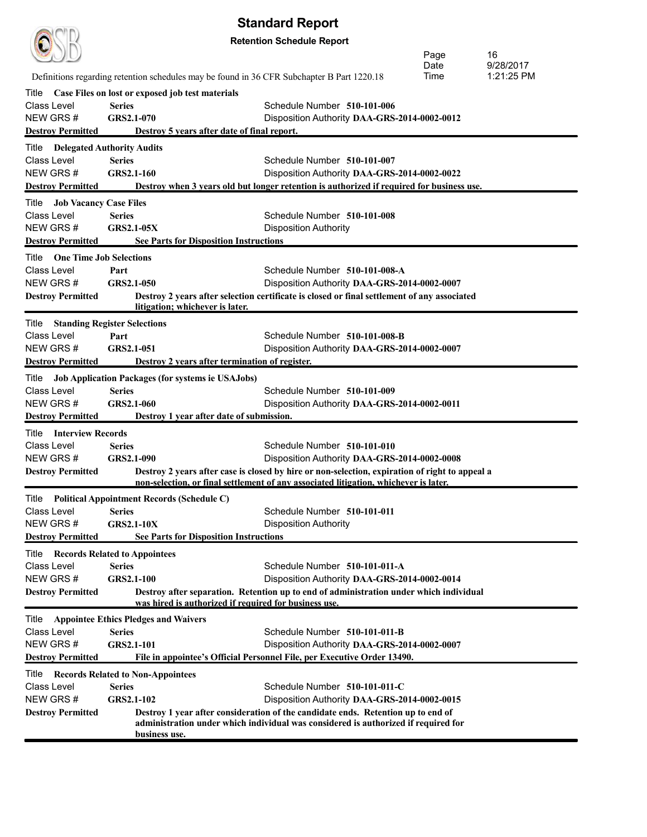| <b>Standard Report</b>                                    |                                                                                            |                                                                                                                                                                                        |              |                         |  |
|-----------------------------------------------------------|--------------------------------------------------------------------------------------------|----------------------------------------------------------------------------------------------------------------------------------------------------------------------------------------|--------------|-------------------------|--|
|                                                           |                                                                                            | <b>Retention Schedule Report</b>                                                                                                                                                       |              |                         |  |
|                                                           |                                                                                            |                                                                                                                                                                                        | Page         | 16                      |  |
|                                                           |                                                                                            |                                                                                                                                                                                        | Date<br>Time | 9/28/2017<br>1:21:25 PM |  |
|                                                           | Definitions regarding retention schedules may be found in 36 CFR Subchapter B Part 1220.18 |                                                                                                                                                                                        |              |                         |  |
| Title                                                     | Case Files on lost or exposed job test materials                                           |                                                                                                                                                                                        |              |                         |  |
| Class Level<br>NEW GRS#                                   | <b>Series</b><br>GRS2.1-070                                                                | Schedule Number 510-101-006<br>Disposition Authority DAA-GRS-2014-0002-0012                                                                                                            |              |                         |  |
| <b>Destroy Permitted</b>                                  | Destroy 5 years after date of final report.                                                |                                                                                                                                                                                        |              |                         |  |
|                                                           |                                                                                            |                                                                                                                                                                                        |              |                         |  |
| Title<br>Class Level                                      | <b>Delegated Authority Audits</b><br><b>Series</b>                                         | Schedule Number 510-101-007                                                                                                                                                            |              |                         |  |
| NEW GRS#                                                  | GRS2.1-160                                                                                 | Disposition Authority DAA-GRS-2014-0002-0022                                                                                                                                           |              |                         |  |
| <b>Destroy Permitted</b>                                  |                                                                                            | Destroy when 3 years old but longer retention is authorized if required for business use.                                                                                              |              |                         |  |
|                                                           |                                                                                            |                                                                                                                                                                                        |              |                         |  |
| <b>Job Vacancy Case Files</b><br>Title<br>Class Level     | <b>Series</b>                                                                              | Schedule Number 510-101-008                                                                                                                                                            |              |                         |  |
| NEW GRS#                                                  | <b>GRS2.1-05X</b>                                                                          | <b>Disposition Authority</b>                                                                                                                                                           |              |                         |  |
| <b>Destroy Permitted</b>                                  | <b>See Parts for Disposition Instructions</b>                                              |                                                                                                                                                                                        |              |                         |  |
| <b>One Time Job Selections</b><br>Title                   |                                                                                            |                                                                                                                                                                                        |              |                         |  |
| Class Level                                               | Part                                                                                       | Schedule Number 510-101-008-A                                                                                                                                                          |              |                         |  |
| NEW GRS#                                                  | GRS2.1-050                                                                                 | Disposition Authority DAA-GRS-2014-0002-0007                                                                                                                                           |              |                         |  |
| <b>Destroy Permitted</b>                                  |                                                                                            | Destroy 2 years after selection certificate is closed or final settlement of any associated                                                                                            |              |                         |  |
|                                                           | litigation; whichever is later.                                                            |                                                                                                                                                                                        |              |                         |  |
| Title                                                     | <b>Standing Register Selections</b>                                                        |                                                                                                                                                                                        |              |                         |  |
| Class Level                                               | Part                                                                                       | Schedule Number 510-101-008-B                                                                                                                                                          |              |                         |  |
| NEW GRS#                                                  | GRS2.1-051                                                                                 | Disposition Authority DAA-GRS-2014-0002-0007                                                                                                                                           |              |                         |  |
| <b>Destroy Permitted</b>                                  | Destroy 2 years after termination of register.                                             |                                                                                                                                                                                        |              |                         |  |
| Title                                                     | <b>Job Application Packages (for systems ie USAJobs)</b>                                   |                                                                                                                                                                                        |              |                         |  |
| Class Level                                               | <b>Series</b>                                                                              | Schedule Number 510-101-009                                                                                                                                                            |              |                         |  |
| NEW GRS#                                                  | GRS2.1-060                                                                                 | Disposition Authority DAA-GRS-2014-0002-0011                                                                                                                                           |              |                         |  |
| <b>Destroy Permitted</b>                                  | Destroy 1 year after date of submission.                                                   |                                                                                                                                                                                        |              |                         |  |
| Title<br><b>Interview Records</b>                         |                                                                                            |                                                                                                                                                                                        |              |                         |  |
| Class Level                                               | <b>Series</b>                                                                              | Schedule Number 510-101-010                                                                                                                                                            |              |                         |  |
| NEW GRS#                                                  | GRS2.1-090                                                                                 | Disposition Authority DAA-GRS-2014-0002-0008                                                                                                                                           |              |                         |  |
| <b>Destroy Permitted</b>                                  |                                                                                            | Destroy 2 years after case is closed by hire or non-selection, expiration of right to appeal a<br>non-selection, or final settlement of any associated litigation, whichever is later. |              |                         |  |
|                                                           |                                                                                            |                                                                                                                                                                                        |              |                         |  |
| <b>Class Level</b>                                        | Title Political Appointment Records (Schedule C)                                           | Schedule Number 510-101-011                                                                                                                                                            |              |                         |  |
| NEW GRS#                                                  | <b>Series</b><br><b>GRS2.1-10X</b>                                                         | <b>Disposition Authority</b>                                                                                                                                                           |              |                         |  |
| <b>Destroy Permitted</b>                                  | <b>See Parts for Disposition Instructions</b>                                              |                                                                                                                                                                                        |              |                         |  |
|                                                           |                                                                                            |                                                                                                                                                                                        |              |                         |  |
| <b>Title Records Related to Appointees</b><br>Class Level | <b>Series</b>                                                                              | Schedule Number 510-101-011-A                                                                                                                                                          |              |                         |  |
| NEW GRS#                                                  | <b>GRS2.1-100</b>                                                                          | Disposition Authority DAA-GRS-2014-0002-0014                                                                                                                                           |              |                         |  |
| <b>Destroy Permitted</b>                                  |                                                                                            | Destroy after separation. Retention up to end of administration under which individual                                                                                                 |              |                         |  |
|                                                           | was hired is authorized if required for business use.                                      |                                                                                                                                                                                        |              |                         |  |
| Title                                                     | <b>Appointee Ethics Pledges and Waivers</b>                                                |                                                                                                                                                                                        |              |                         |  |
| <b>Class Level</b>                                        | <b>Series</b>                                                                              | Schedule Number 510-101-011-B                                                                                                                                                          |              |                         |  |
| NEW GRS#                                                  | GRS2.1-101                                                                                 | Disposition Authority DAA-GRS-2014-0002-0007                                                                                                                                           |              |                         |  |
| <b>Destroy Permitted</b>                                  |                                                                                            | File in appointee's Official Personnel File, per Executive Order 13490.                                                                                                                |              |                         |  |
| Title                                                     | <b>Records Related to Non-Appointees</b>                                                   |                                                                                                                                                                                        |              |                         |  |
| Class Level                                               | <b>Series</b>                                                                              | Schedule Number 510-101-011-C                                                                                                                                                          |              |                         |  |
| NEW GRS#                                                  | <b>GRS2.1-102</b>                                                                          | Disposition Authority DAA-GRS-2014-0002-0015                                                                                                                                           |              |                         |  |
| <b>Destroy Permitted</b>                                  |                                                                                            | Destroy 1 year after consideration of the candidate ends. Retention up to end of                                                                                                       |              |                         |  |
|                                                           | business use.                                                                              | administration under which individual was considered is authorized if required for                                                                                                     |              |                         |  |
|                                                           |                                                                                            |                                                                                                                                                                                        |              |                         |  |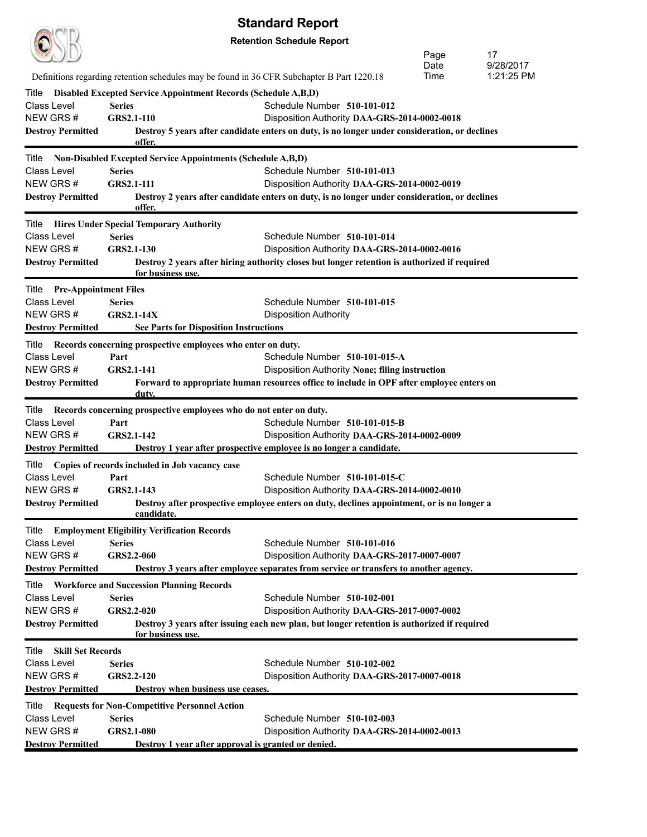|                                      |                                                                                            | <b>Jianuaru Nchni</b>                                                                                                                      |              |                 |
|--------------------------------------|--------------------------------------------------------------------------------------------|--------------------------------------------------------------------------------------------------------------------------------------------|--------------|-----------------|
|                                      |                                                                                            | <b>Retention Schedule Report</b>                                                                                                           |              |                 |
|                                      |                                                                                            |                                                                                                                                            | Page<br>Date | 17<br>9/28/2017 |
|                                      | Definitions regarding retention schedules may be found in 36 CFR Subchapter B Part 1220.18 |                                                                                                                                            | Time         | 1:21:25 PM      |
| Title                                | Disabled Excepted Service Appointment Records (Schedule A,B,D)                             |                                                                                                                                            |              |                 |
| <b>Class Level</b>                   | <b>Series</b>                                                                              | Schedule Number 510-101-012                                                                                                                |              |                 |
| NEW GRS#                             | GRS2.1-110                                                                                 | Disposition Authority DAA-GRS-2014-0002-0018                                                                                               |              |                 |
| <b>Destroy Permitted</b>             | offer.                                                                                     | Destroy 5 years after candidate enters on duty, is no longer under consideration, or declines                                              |              |                 |
| Title                                | <b>Non-Disabled Excepted Service Appointments (Schedule A,B,D)</b>                         |                                                                                                                                            |              |                 |
| <b>Class Level</b>                   | <b>Series</b>                                                                              | Schedule Number 510-101-013                                                                                                                |              |                 |
| NEW GRS#                             | <b>GRS2.1-111</b>                                                                          | Disposition Authority DAA-GRS-2014-0002-0019                                                                                               |              |                 |
| <b>Destroy Permitted</b>             | offer.                                                                                     | Destroy 2 years after candidate enters on duty, is no longer under consideration, or declines                                              |              |                 |
|                                      | <b>Title</b> Hires Under Special Temporary Authority                                       |                                                                                                                                            |              |                 |
| Class Level                          | <b>Series</b>                                                                              | Schedule Number 510-101-014                                                                                                                |              |                 |
| NEW GRS#                             | <b>GRS2.1-130</b>                                                                          | Disposition Authority DAA-GRS-2014-0002-0016                                                                                               |              |                 |
| <b>Destroy Permitted</b>             | for business use.                                                                          | Destroy 2 years after hiring authority closes but longer retention is authorized if required                                               |              |                 |
| <b>Title</b> Pre-Appointment Files   |                                                                                            |                                                                                                                                            |              |                 |
| Class Level                          | <b>Series</b>                                                                              | Schedule Number 510-101-015                                                                                                                |              |                 |
| NEW GRS#                             | <b>GRS2.1-14X</b>                                                                          | <b>Disposition Authority</b>                                                                                                               |              |                 |
| <b>Destroy Permitted</b>             | <b>See Parts for Disposition Instructions</b>                                              |                                                                                                                                            |              |                 |
| Title                                | Records concerning prospective employees who enter on duty.                                |                                                                                                                                            |              |                 |
| <b>Class Level</b>                   | Part                                                                                       | Schedule Number 510-101-015-A                                                                                                              |              |                 |
| NEW GRS#<br><b>Destroy Permitted</b> | GRS2.1-141                                                                                 | Disposition Authority None; filing instruction<br>Forward to appropriate human resources office to include in OPF after employee enters on |              |                 |
|                                      | duty.                                                                                      |                                                                                                                                            |              |                 |
|                                      | Title Records concerning prospective employees who do not enter on duty.                   |                                                                                                                                            |              |                 |
| <b>Class Level</b>                   | Part                                                                                       | Schedule Number 510-101-015-B                                                                                                              |              |                 |
| NEW GRS#                             | GRS2.1-142                                                                                 | Disposition Authority DAA-GRS-2014-0002-0009                                                                                               |              |                 |
| <b>Destroy Permitted</b>             |                                                                                            | Destroy 1 year after prospective employee is no longer a candidate.                                                                        |              |                 |
| Title                                | Copies of records included in Job vacancy case                                             |                                                                                                                                            |              |                 |
| Class Level<br>NEW GRS#              | Part<br>GRS2.1-143                                                                         | Schedule Number $510-101-015-C$                                                                                                            |              |                 |
| <b>Destroy Permitted</b>             |                                                                                            | Disposition Authority DAA-GRS-2014-0002-0010<br>Destroy after prospective employee enters on duty, declines appointment, or is no longer a |              |                 |
|                                      | candidate.                                                                                 |                                                                                                                                            |              |                 |
| Title                                | <b>Employment Eligibility Verification Records</b>                                         |                                                                                                                                            |              |                 |
| Class Level                          | <b>Series</b>                                                                              | Schedule Number 510-101-016                                                                                                                |              |                 |
| NEW GRS#                             | GRS2.2-060                                                                                 | Disposition Authority DAA-GRS-2017-0007-0007                                                                                               |              |                 |
| <b>Destroy Permitted</b>             |                                                                                            | Destroy 3 years after employee separates from service or transfers to another agency.                                                      |              |                 |
| Title                                | <b>Workforce and Succession Planning Records</b>                                           |                                                                                                                                            |              |                 |
| <b>Class Level</b><br>NEW GRS#       | <b>Series</b><br>GRS2.2-020                                                                | Schedule Number 510-102-001<br>Disposition Authority DAA-GRS-2017-0007-0002                                                                |              |                 |
| <b>Destroy Permitted</b>             |                                                                                            | Destroy 3 years after issuing each new plan, but longer retention is authorized if required                                                |              |                 |
|                                      | for business use.                                                                          |                                                                                                                                            |              |                 |
| <b>Skill Set Records</b><br>Title    |                                                                                            |                                                                                                                                            |              |                 |
| <b>Class Level</b>                   | <b>Series</b>                                                                              | Schedule Number 510-102-002                                                                                                                |              |                 |
| NEW GRS#                             | GRS2.2-120                                                                                 | Disposition Authority DAA-GRS-2017-0007-0018                                                                                               |              |                 |
| <b>Destroy Permitted</b>             | Destroy when business use ceases.                                                          |                                                                                                                                            |              |                 |
| Title                                | <b>Requests for Non-Competitive Personnel Action</b>                                       |                                                                                                                                            |              |                 |
| <b>Class Level</b><br>NEW GRS#       | <b>Series</b><br><b>GRS2.1-080</b>                                                         | Schedule Number 510-102-003<br>Disposition Authority DAA-GRS-2014-0002-0013                                                                |              |                 |
| <b>Destroy Permitted</b>             | Destroy 1 year after approval is granted or denied.                                        |                                                                                                                                            |              |                 |
|                                      |                                                                                            |                                                                                                                                            |              |                 |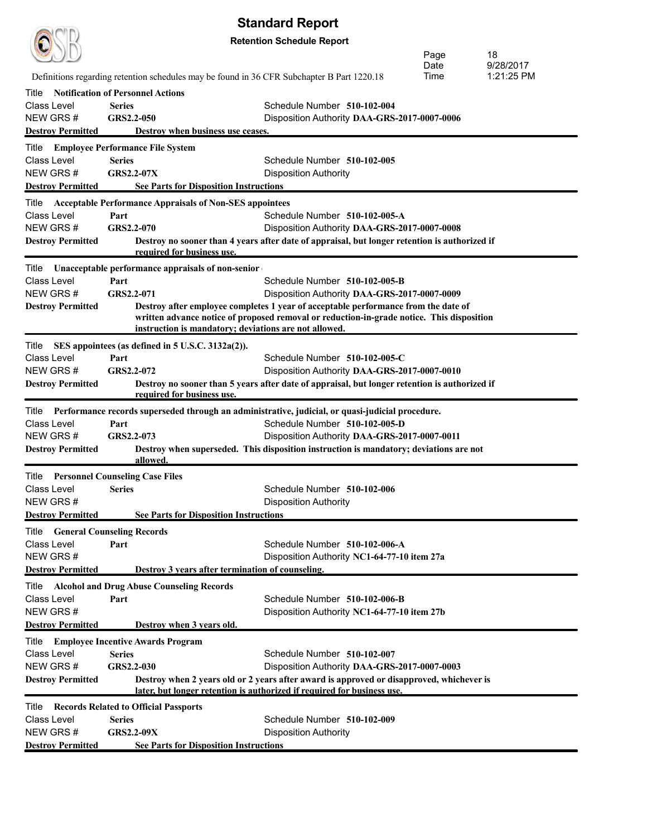| <b>Standard Report</b>           |                                                                                            |                                                                                                                                                                                 |      |            |  |
|----------------------------------|--------------------------------------------------------------------------------------------|---------------------------------------------------------------------------------------------------------------------------------------------------------------------------------|------|------------|--|
| <b>Retention Schedule Report</b> |                                                                                            |                                                                                                                                                                                 |      |            |  |
|                                  |                                                                                            |                                                                                                                                                                                 | Page | 18         |  |
|                                  |                                                                                            |                                                                                                                                                                                 | Date | 9/28/2017  |  |
|                                  | Definitions regarding retention schedules may be found in 36 CFR Subchapter B Part 1220.18 |                                                                                                                                                                                 | Time | 1:21:25 PM |  |
| Title                            | <b>Notification of Personnel Actions</b>                                                   |                                                                                                                                                                                 |      |            |  |
| Class Level                      | <b>Series</b>                                                                              | Schedule Number 510-102-004                                                                                                                                                     |      |            |  |
| NEW GRS#                         | GRS2.2-050                                                                                 | Disposition Authority DAA-GRS-2017-0007-0006                                                                                                                                    |      |            |  |
| <b>Destroy Permitted</b>         | Destroy when business use ceases.                                                          |                                                                                                                                                                                 |      |            |  |
| Title                            | <b>Employee Performance File System</b>                                                    |                                                                                                                                                                                 |      |            |  |
| Class Level                      | <b>Series</b>                                                                              | Schedule Number 510-102-005                                                                                                                                                     |      |            |  |
| NEW GRS#                         | <b>GRS2.2-07X</b>                                                                          | <b>Disposition Authority</b>                                                                                                                                                    |      |            |  |
| <b>Destroy Permitted</b>         | <b>See Parts for Disposition Instructions</b>                                              |                                                                                                                                                                                 |      |            |  |
| Title                            | <b>Acceptable Performance Appraisals of Non-SES appointees</b>                             |                                                                                                                                                                                 |      |            |  |
| Class Level                      | Part                                                                                       | Schedule Number 510-102-005-A                                                                                                                                                   |      |            |  |
| NEW GRS#                         | GRS2.2-070                                                                                 | Disposition Authority DAA-GRS-2017-0007-0008                                                                                                                                    |      |            |  |
| <b>Destroy Permitted</b>         |                                                                                            | Destroy no sooner than 4 years after date of appraisal, but longer retention is authorized if                                                                                   |      |            |  |
|                                  | required for business use.                                                                 |                                                                                                                                                                                 |      |            |  |
| Title                            | Unacceptable performance appraisals of non-senior                                          |                                                                                                                                                                                 |      |            |  |
| Class Level                      | Part                                                                                       | Schedule Number 510-102-005-B                                                                                                                                                   |      |            |  |
| NEW GRS#                         | GRS2.2-071                                                                                 | Disposition Authority DAA-GRS-2017-0007-0009                                                                                                                                    |      |            |  |
| <b>Destroy Permitted</b>         |                                                                                            | Destroy after employee completes 1 year of acceptable performance from the date of<br>written advance notice of proposed removal or reduction-in-grade notice. This disposition |      |            |  |
|                                  | instruction is mandatory; deviations are not allowed.                                      |                                                                                                                                                                                 |      |            |  |
| Title                            | SES appointees (as defined in 5 U.S.C. 3132a(2)).                                          |                                                                                                                                                                                 |      |            |  |
| Class Level                      | Part                                                                                       | Schedule Number 510-102-005-C                                                                                                                                                   |      |            |  |
| NEW GRS#                         | GRS2.2-072                                                                                 | Disposition Authority DAA-GRS-2017-0007-0010                                                                                                                                    |      |            |  |
| <b>Destroy Permitted</b>         |                                                                                            | Destroy no sooner than 5 years after date of appraisal, but longer retention is authorized if                                                                                   |      |            |  |
|                                  | required for business use.                                                                 |                                                                                                                                                                                 |      |            |  |
| Title                            |                                                                                            | Performance records superseded through an administrative, judicial, or quasi-judicial procedure.                                                                                |      |            |  |
| <b>Class Level</b>               | Part                                                                                       | Schedule Number 510-102-005-D                                                                                                                                                   |      |            |  |
| NEW GRS#                         | GRS2.2-073                                                                                 | Disposition Authority DAA-GRS-2017-0007-0011                                                                                                                                    |      |            |  |
| <b>Destroy Permitted</b>         |                                                                                            | Destroy when superseded. This disposition instruction is mandatory; deviations are not                                                                                          |      |            |  |
|                                  | allowed.                                                                                   |                                                                                                                                                                                 |      |            |  |
| Title                            | <b>Personnel Counseling Case Files</b>                                                     |                                                                                                                                                                                 |      |            |  |
| Class Level                      | <b>Series</b>                                                                              | Schedule Number 510-102-006                                                                                                                                                     |      |            |  |
| NEW GRS#                         |                                                                                            | <b>Disposition Authority</b>                                                                                                                                                    |      |            |  |
| <b>Destroy Permitted</b>         | <b>See Parts for Disposition Instructions</b>                                              |                                                                                                                                                                                 |      |            |  |
| Title                            | <b>General Counseling Records</b>                                                          |                                                                                                                                                                                 |      |            |  |
| Class Level                      | Part                                                                                       | Schedule Number 510-102-006-A                                                                                                                                                   |      |            |  |
| NEW GRS#                         |                                                                                            | Disposition Authority NC1-64-77-10 item 27a                                                                                                                                     |      |            |  |
| <b>Destroy Permitted</b>         | Destroy 3 years after termination of counseling.                                           |                                                                                                                                                                                 |      |            |  |
| Title                            | <b>Alcohol and Drug Abuse Counseling Records</b>                                           |                                                                                                                                                                                 |      |            |  |
| Class Level                      | Part                                                                                       | Schedule Number 510-102-006-B                                                                                                                                                   |      |            |  |
| NEW GRS#                         |                                                                                            | Disposition Authority NC1-64-77-10 item 27b                                                                                                                                     |      |            |  |
| <b>Destroy Permitted</b>         | Destroy when 3 years old.                                                                  |                                                                                                                                                                                 |      |            |  |
| Title                            | <b>Employee Incentive Awards Program</b>                                                   |                                                                                                                                                                                 |      |            |  |
| Class Level                      | <b>Series</b>                                                                              | Schedule Number 510-102-007                                                                                                                                                     |      |            |  |
| NEW GRS#                         | GRS2.2-030                                                                                 | Disposition Authority DAA-GRS-2017-0007-0003                                                                                                                                    |      |            |  |
| <b>Destroy Permitted</b>         |                                                                                            | Destroy when 2 years old or 2 years after award is approved or disapproved, whichever is<br>later, but longer retention is authorized if required for business use.             |      |            |  |
| Title                            |                                                                                            |                                                                                                                                                                                 |      |            |  |
| Class Level                      | <b>Records Related to Official Passports</b><br><b>Series</b>                              | Schedule Number 510-102-009                                                                                                                                                     |      |            |  |
| NEW GRS#                         | <b>GRS2.2-09X</b>                                                                          | <b>Disposition Authority</b>                                                                                                                                                    |      |            |  |
| <b>Destroy Permitted</b>         | <b>See Parts for Disposition Instructions</b>                                              |                                                                                                                                                                                 |      |            |  |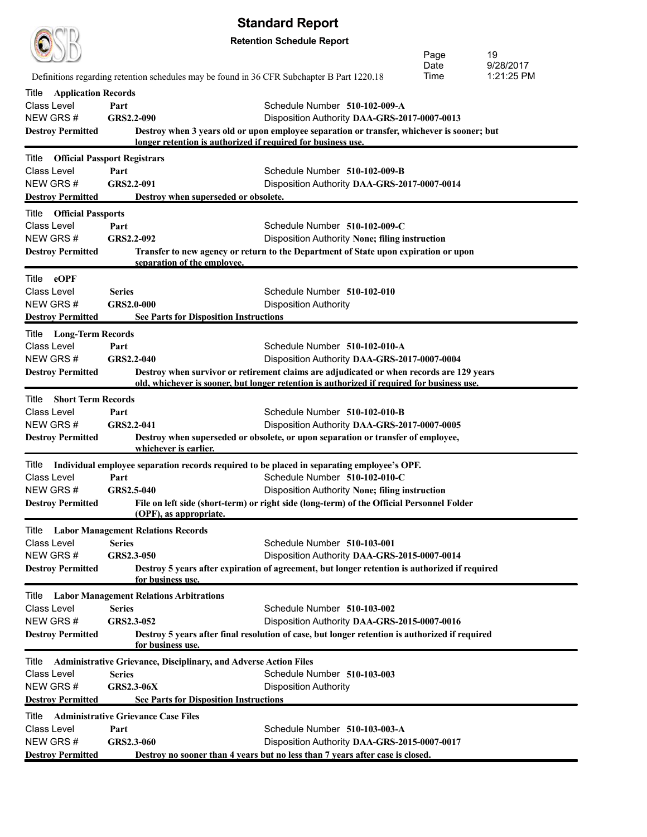|                                                    |                    |                                                                         | <b>Standard Report</b>                                                                           |              |                         |
|----------------------------------------------------|--------------------|-------------------------------------------------------------------------|--------------------------------------------------------------------------------------------------|--------------|-------------------------|
| <b>Retention Schedule Report</b>                   |                    |                                                                         |                                                                                                  |              |                         |
|                                                    |                    |                                                                         |                                                                                                  | Page         | 19                      |
|                                                    |                    |                                                                         |                                                                                                  | Date<br>Time | 9/28/2017<br>1:21:25 PM |
|                                                    |                    |                                                                         | Definitions regarding retention schedules may be found in 36 CFR Subchapter B Part 1220.18       |              |                         |
| <b>Application Records</b><br>Title<br>Class Level |                    |                                                                         | Schedule Number 510-102-009-A                                                                    |              |                         |
| NEW GRS#                                           | Part<br>GRS2.2-090 |                                                                         | Disposition Authority DAA-GRS-2017-0007-0013                                                     |              |                         |
| <b>Destroy Permitted</b>                           |                    |                                                                         | Destroy when 3 years old or upon employee separation or transfer, whichever is sooner; but       |              |                         |
|                                                    |                    | longer retention is authorized if required for business use.            |                                                                                                  |              |                         |
| <b>Official Passport Registrars</b><br>Title       |                    |                                                                         |                                                                                                  |              |                         |
| <b>Class Level</b>                                 | Part               |                                                                         | Schedule Number 510-102-009-B                                                                    |              |                         |
| NEW GRS#                                           | GRS2.2-091         |                                                                         | Disposition Authority DAA-GRS-2017-0007-0014                                                     |              |                         |
| <b>Destroy Permitted</b>                           |                    | Destroy when superseded or obsolete.                                    |                                                                                                  |              |                         |
| <b>Title Official Passports</b>                    |                    |                                                                         |                                                                                                  |              |                         |
| Class Level                                        | Part               |                                                                         | Schedule Number 510-102-009-C                                                                    |              |                         |
| NEW GRS#                                           | GRS2.2-092         |                                                                         | Disposition Authority None; filing instruction                                                   |              |                         |
| <b>Destroy Permitted</b>                           |                    | separation of the employee.                                             | Transfer to new agency or return to the Department of State upon expiration or upon              |              |                         |
| Title eOPF                                         |                    |                                                                         |                                                                                                  |              |                         |
| Class Level                                        | <b>Series</b>      |                                                                         | Schedule Number 510-102-010                                                                      |              |                         |
| NEW GRS#                                           | <b>GRS2.0-000</b>  |                                                                         | <b>Disposition Authority</b>                                                                     |              |                         |
| <b>Destroy Permitted</b>                           |                    | <b>See Parts for Disposition Instructions</b>                           |                                                                                                  |              |                         |
| <b>Long-Term Records</b><br>Title                  |                    |                                                                         |                                                                                                  |              |                         |
| <b>Class Level</b><br>NEW GRS#                     | Part<br>GRS2.2-040 |                                                                         | Schedule Number 510-102-010-A<br>Disposition Authority DAA-GRS-2017-0007-0004                    |              |                         |
| <b>Destroy Permitted</b>                           |                    |                                                                         | Destroy when survivor or retirement claims are adjudicated or when records are 129 years         |              |                         |
|                                                    |                    |                                                                         | old, whichever is sooner, but longer retention is authorized if required for business use.       |              |                         |
| Title<br><b>Short Term Records</b>                 |                    |                                                                         |                                                                                                  |              |                         |
| <b>Class Level</b>                                 | Part               |                                                                         | Schedule Number 510-102-010-B                                                                    |              |                         |
| NEW GRS#                                           | GRS2.2-041         |                                                                         | Disposition Authority DAA-GRS-2017-0007-0005                                                     |              |                         |
| <b>Destroy Permitted</b>                           |                    | whichever is earlier.                                                   | Destroy when superseded or obsolete, or upon separation or transfer of employee,                 |              |                         |
|                                                    |                    |                                                                         | Title Individual employee separation records required to be placed in separating employee's OPF. |              |                         |
| Class Level                                        | Part               |                                                                         | Schedule Number 510-102-010-C                                                                    |              |                         |
| NEW GRS#                                           | GRS2.5-040         |                                                                         | Disposition Authority None; filing instruction                                                   |              |                         |
| <b>Destroy Permitted</b>                           |                    | (OPF), as appropriate.                                                  | File on left side (short-term) or right side (long-term) of the Official Personnel Folder        |              |                         |
| Title                                              |                    | <b>Labor Management Relations Records</b>                               |                                                                                                  |              |                         |
| <b>Class Level</b>                                 | <b>Series</b>      |                                                                         | Schedule Number 510-103-001                                                                      |              |                         |
| NEW GRS#                                           | GRS2.3-050         |                                                                         | Disposition Authority DAA-GRS-2015-0007-0014                                                     |              |                         |
| <b>Destroy Permitted</b>                           |                    | for business use.                                                       | Destroy 5 years after expiration of agreement, but longer retention is authorized if required    |              |                         |
| Title                                              |                    | <b>Labor Management Relations Arbitrations</b>                          |                                                                                                  |              |                         |
| Class Level                                        | <b>Series</b>      |                                                                         | Schedule Number 510-103-002                                                                      |              |                         |
| NEW GRS#                                           | GRS2.3-052         |                                                                         | Disposition Authority DAA-GRS-2015-0007-0016                                                     |              |                         |
| <b>Destroy Permitted</b>                           |                    | for business use.                                                       | Destroy 5 years after final resolution of case, but longer retention is authorized if required   |              |                         |
| Title                                              |                    | <b>Administrative Grievance, Disciplinary, and Adverse Action Files</b> |                                                                                                  |              |                         |
| Class Level                                        | <b>Series</b>      |                                                                         | Schedule Number 510-103-003                                                                      |              |                         |
| NEW GRS#                                           | <b>GRS2.3-06X</b>  |                                                                         | <b>Disposition Authority</b>                                                                     |              |                         |
| <b>Destroy Permitted</b>                           |                    | <b>See Parts for Disposition Instructions</b>                           |                                                                                                  |              |                         |
| Title                                              |                    | <b>Administrative Grievance Case Files</b>                              |                                                                                                  |              |                         |
| <b>Class Level</b>                                 | Part               |                                                                         | Schedule Number 510-103-003-A                                                                    |              |                         |
| NEW GRS#                                           | GRS2.3-060         |                                                                         | Disposition Authority DAA-GRS-2015-0007-0017                                                     |              |                         |
| <b>Destroy Permitted</b>                           |                    |                                                                         | Destroy no sooner than 4 years but no less than 7 years after case is closed.                    |              |                         |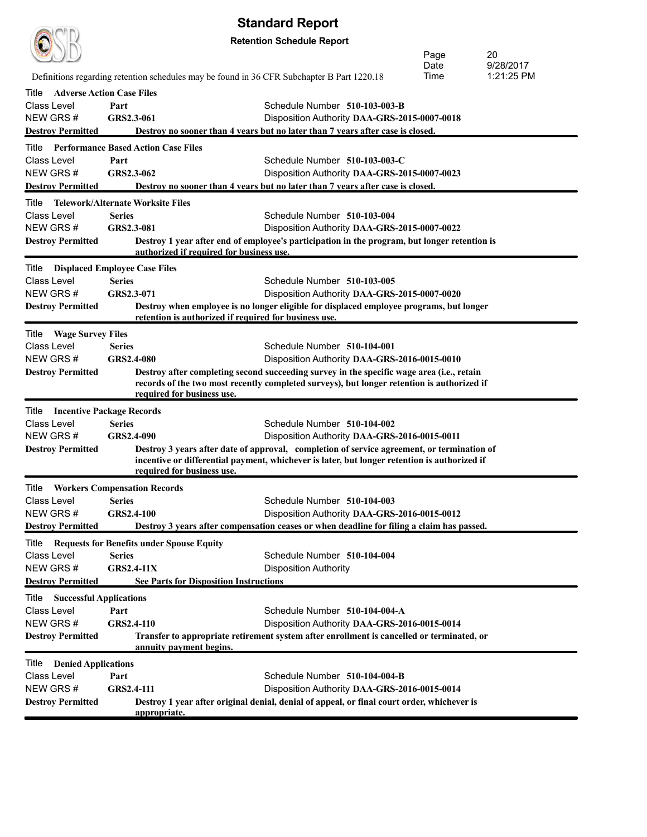| <b>Standard Report</b>                              |                                  |                                                       |                                                                                              |      |            |  |  |
|-----------------------------------------------------|----------------------------------|-------------------------------------------------------|----------------------------------------------------------------------------------------------|------|------------|--|--|
|                                                     | <b>Retention Schedule Report</b> |                                                       |                                                                                              |      |            |  |  |
| 20<br>Page                                          |                                  |                                                       |                                                                                              |      |            |  |  |
|                                                     |                                  |                                                       |                                                                                              | Date | 9/28/2017  |  |  |
|                                                     |                                  |                                                       | Definitions regarding retention schedules may be found in 36 CFR Subchapter B Part 1220.18   | Time | 1:21:25 PM |  |  |
| <b>Adverse Action Case Files</b><br>Title           |                                  |                                                       |                                                                                              |      |            |  |  |
| Class Level                                         | Part                             |                                                       | Schedule Number 510-103-003-B                                                                |      |            |  |  |
| NEW GRS#                                            | GRS2.3-061                       |                                                       | Disposition Authority DAA-GRS-2015-0007-0018                                                 |      |            |  |  |
| <b>Destroy Permitted</b>                            |                                  |                                                       | Destroy no sooner than 4 years but no later than 7 years after case is closed.               |      |            |  |  |
| <b>Performance Based Action Case Files</b><br>Title |                                  |                                                       |                                                                                              |      |            |  |  |
| <b>Class Level</b>                                  | Part                             |                                                       | Schedule Number 510-103-003-C                                                                |      |            |  |  |
| NEW GRS#                                            | GRS2.3-062                       |                                                       | Disposition Authority DAA-GRS-2015-0007-0023                                                 |      |            |  |  |
| <b>Destroy Permitted</b>                            |                                  |                                                       | Destroy no sooner than 4 years but no later than 7 years after case is closed.               |      |            |  |  |
| Telework/Alternate Worksite Files<br>Title          |                                  |                                                       |                                                                                              |      |            |  |  |
| Class Level                                         | <b>Series</b>                    |                                                       | Schedule Number 510-103-004                                                                  |      |            |  |  |
| NEW GRS#                                            | GRS2.3-081                       |                                                       | Disposition Authority DAA-GRS-2015-0007-0022                                                 |      |            |  |  |
| <b>Destroy Permitted</b>                            |                                  |                                                       | Destroy 1 year after end of employee's participation in the program, but longer retention is |      |            |  |  |
|                                                     |                                  | authorized if required for business use.              |                                                                                              |      |            |  |  |
| <b>Displaced Employee Case Files</b><br>Title       |                                  |                                                       |                                                                                              |      |            |  |  |
| Class Level                                         | <b>Series</b>                    |                                                       | Schedule Number 510-103-005                                                                  |      |            |  |  |
| NEW GRS#                                            | GRS2.3-071                       |                                                       | Disposition Authority DAA-GRS-2015-0007-0020                                                 |      |            |  |  |
| <b>Destroy Permitted</b>                            |                                  | retention is authorized if required for business use. | Destroy when employee is no longer eligible for displaced employee programs, but longer      |      |            |  |  |
|                                                     |                                  |                                                       |                                                                                              |      |            |  |  |
| Title<br><b>Wage Survey Files</b>                   |                                  |                                                       |                                                                                              |      |            |  |  |
| Class Level<br>NEW GRS#                             | <b>Series</b><br>GRS2.4-080      |                                                       | Schedule Number 510-104-001<br>Disposition Authority DAA-GRS-2016-0015-0010                  |      |            |  |  |
| <b>Destroy Permitted</b>                            |                                  |                                                       | Destroy after completing second succeeding survey in the specific wage area (i.e., retain    |      |            |  |  |
|                                                     |                                  |                                                       | records of the two most recently completed surveys), but longer retention is authorized if   |      |            |  |  |
|                                                     |                                  | required for business use.                            |                                                                                              |      |            |  |  |
| Title<br><b>Incentive Package Records</b>           |                                  |                                                       |                                                                                              |      |            |  |  |
| <b>Class Level</b>                                  | <b>Series</b>                    |                                                       | Schedule Number 510-104-002                                                                  |      |            |  |  |
| NEW GRS#                                            | GRS2.4-090                       |                                                       | Disposition Authority DAA-GRS-2016-0015-0011                                                 |      |            |  |  |
| <b>Destroy Permitted</b>                            |                                  |                                                       | Destroy 3 years after date of approval, completion of service agreement, or termination of   |      |            |  |  |
|                                                     |                                  |                                                       | incentive or differential payment, whichever is later, but longer retention is authorized if |      |            |  |  |
|                                                     |                                  | required for business use.                            |                                                                                              |      |            |  |  |
| <b>Title Workers Compensation Records</b>           |                                  |                                                       |                                                                                              |      |            |  |  |
| Class Level                                         | <b>Series</b>                    |                                                       | Schedule Number 510-104-003                                                                  |      |            |  |  |
| NEW GRS#                                            | <b>GRS2.4-100</b>                |                                                       | Disposition Authority DAA-GRS-2016-0015-0012                                                 |      |            |  |  |
| <b>Destroy Permitted</b>                            |                                  |                                                       | Destroy 3 years after compensation ceases or when deadline for filing a claim has passed.    |      |            |  |  |
| Title                                               |                                  | <b>Requests for Benefits under Spouse Equity</b>      |                                                                                              |      |            |  |  |
| Class Level                                         | <b>Series</b>                    |                                                       | Schedule Number 510-104-004                                                                  |      |            |  |  |
| NEW GRS#                                            | $GRS2.4-11X$                     |                                                       | <b>Disposition Authority</b>                                                                 |      |            |  |  |
| <b>Destroy Permitted</b>                            |                                  | <b>See Parts for Disposition Instructions</b>         |                                                                                              |      |            |  |  |
| <b>Successful Applications</b><br>Title             |                                  |                                                       |                                                                                              |      |            |  |  |
| Class Level                                         | Part                             |                                                       | Schedule Number 510-104-004-A                                                                |      |            |  |  |
| NEW GRS#                                            | GRS2.4-110                       |                                                       | Disposition Authority DAA-GRS-2016-0015-0014                                                 |      |            |  |  |
| <b>Destroy Permitted</b>                            |                                  |                                                       | Transfer to appropriate retirement system after enrollment is cancelled or terminated, or    |      |            |  |  |
|                                                     |                                  | annuity payment begins.                               |                                                                                              |      |            |  |  |
| <b>Denied Applications</b><br>Title                 |                                  |                                                       |                                                                                              |      |            |  |  |
| Class Level                                         | Part                             |                                                       | Schedule Number 510-104-004-B                                                                |      |            |  |  |
| NEW GRS#                                            | <b>GRS2.4-111</b>                |                                                       | Disposition Authority DAA-GRS-2016-0015-0014                                                 |      |            |  |  |
| <b>Destroy Permitted</b>                            |                                  | appropriate.                                          | Destroy 1 year after original denial, denial of appeal, or final court order, whichever is   |      |            |  |  |
|                                                     |                                  |                                                       |                                                                                              |      |            |  |  |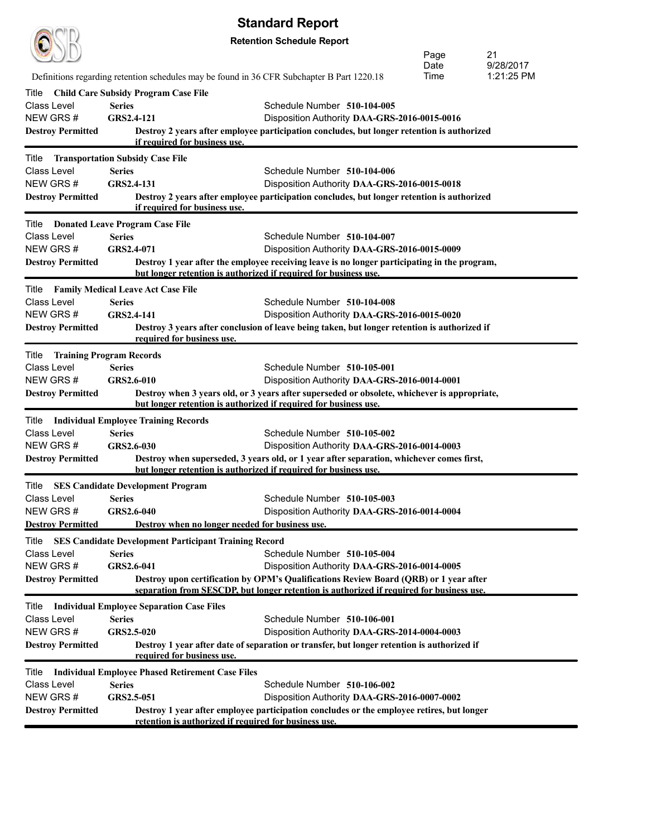|                          |                                                                                            | <b>Standard Report</b>                                                                       |      |            |
|--------------------------|--------------------------------------------------------------------------------------------|----------------------------------------------------------------------------------------------|------|------------|
|                          |                                                                                            | <b>Retention Schedule Report</b>                                                             |      |            |
|                          |                                                                                            |                                                                                              | Page | 21         |
|                          |                                                                                            |                                                                                              | Date | 9/28/2017  |
|                          | Definitions regarding retention schedules may be found in 36 CFR Subchapter B Part 1220.18 |                                                                                              | Time | 1:21:25 PM |
| Title                    | <b>Child Care Subsidy Program Case File</b>                                                |                                                                                              |      |            |
| Class Level              | <b>Series</b>                                                                              | Schedule Number 510-104-005                                                                  |      |            |
| NEW GRS#                 | GRS2.4-121                                                                                 | Disposition Authority DAA-GRS-2016-0015-0016                                                 |      |            |
| <b>Destroy Permitted</b> |                                                                                            | Destroy 2 years after employee participation concludes, but longer retention is authorized   |      |            |
|                          | if required for business use.                                                              |                                                                                              |      |            |
| Title                    | <b>Transportation Subsidy Case File</b>                                                    |                                                                                              |      |            |
| Class Level              | <b>Series</b>                                                                              | Schedule Number 510-104-006                                                                  |      |            |
| NEW GRS#                 | GRS2.4-131                                                                                 | Disposition Authority DAA-GRS-2016-0015-0018                                                 |      |            |
| <b>Destroy Permitted</b> |                                                                                            | Destroy 2 years after employee participation concludes, but longer retention is authorized   |      |            |
|                          | if required for business use.                                                              |                                                                                              |      |            |
| Title                    | <b>Donated Leave Program Case File</b>                                                     |                                                                                              |      |            |
| Class Level              | <b>Series</b>                                                                              | Schedule Number 510-104-007                                                                  |      |            |
| NEW GRS#                 | GRS2.4-071                                                                                 | Disposition Authority DAA-GRS-2016-0015-0009                                                 |      |            |
| <b>Destroy Permitted</b> |                                                                                            | Destroy 1 year after the employee receiving leave is no longer participating in the program, |      |            |
|                          | but longer retention is authorized if required for business use.                           |                                                                                              |      |            |
|                          | Title Family Medical Leave Act Case File                                                   |                                                                                              |      |            |
| Class Level              | <b>Series</b>                                                                              | Schedule Number 510-104-008                                                                  |      |            |
| NEW GRS#                 | GRS2.4-141                                                                                 | Disposition Authority DAA-GRS-2016-0015-0020                                                 |      |            |
| <b>Destroy Permitted</b> |                                                                                            | Destroy 3 years after conclusion of leave being taken, but longer retention is authorized if |      |            |
|                          | required for business use.                                                                 |                                                                                              |      |            |
| Title                    | <b>Training Program Records</b>                                                            |                                                                                              |      |            |
| Class Level              | <b>Series</b>                                                                              | Schedule Number 510-105-001                                                                  |      |            |
| NEW GRS#                 | GRS2.6-010                                                                                 | Disposition Authority DAA-GRS-2016-0014-0001                                                 |      |            |
| <b>Destroy Permitted</b> |                                                                                            | Destroy when 3 years old, or 3 years after superseded or obsolete, whichever is appropriate, |      |            |
|                          | but longer retention is authorized if required for business use.                           |                                                                                              |      |            |
| Title                    | <b>Individual Employee Training Records</b>                                                |                                                                                              |      |            |
| Class Level              | <b>Series</b>                                                                              | Schedule Number 510-105-002                                                                  |      |            |
| NEW GRS#                 | GRS2.6-030                                                                                 | Disposition Authority DAA-GRS-2016-0014-0003                                                 |      |            |
| <b>Destroy Permitted</b> |                                                                                            | Destroy when superseded, 3 years old, or 1 year after separation, whichever comes first,     |      |            |
|                          | but longer retention is authorized if required for business use.                           |                                                                                              |      |            |
| Title                    | <b>SES Candidate Development Program</b>                                                   |                                                                                              |      |            |
| Class Level              | <b>Series</b>                                                                              | Schedule Number 510-105-003                                                                  |      |            |
| NEW GRS#                 | GRS2.6-040                                                                                 | Disposition Authority DAA-GRS-2016-0014-0004                                                 |      |            |
| <b>Destroy Permitted</b> | Destroy when no longer needed for business use.                                            |                                                                                              |      |            |
| Title                    | <b>SES Candidate Development Participant Training Record</b>                               |                                                                                              |      |            |
| Class Level              | <b>Series</b>                                                                              | Schedule Number 510-105-004                                                                  |      |            |
| NEW GRS#                 | GRS2.6-041                                                                                 | Disposition Authority DAA-GRS-2016-0014-0005                                                 |      |            |
| <b>Destroy Permitted</b> |                                                                                            | Destroy upon certification by OPM's Qualifications Review Board (QRB) or 1 year after        |      |            |
|                          |                                                                                            | separation from SESCDP, but longer retention is authorized if required for business use.     |      |            |
| Title                    | <b>Individual Employee Separation Case Files</b>                                           |                                                                                              |      |            |
| Class Level              | <b>Series</b>                                                                              | Schedule Number 510-106-001                                                                  |      |            |
| NEW GRS#                 | GRS2.5-020                                                                                 | Disposition Authority DAA-GRS-2014-0004-0003                                                 |      |            |
| <b>Destroy Permitted</b> |                                                                                            | Destroy 1 year after date of separation or transfer, but longer retention is authorized if   |      |            |
|                          | required for business use.                                                                 |                                                                                              |      |            |
| Title                    | <b>Individual Employee Phased Retirement Case Files</b>                                    |                                                                                              |      |            |
| Class Level              | <b>Series</b>                                                                              | Schedule Number 510-106-002                                                                  |      |            |
| NEW GRS#                 | GRS2.5-051                                                                                 | Disposition Authority DAA-GRS-2016-0007-0002                                                 |      |            |
| <b>Destroy Permitted</b> |                                                                                            | Destroy 1 year after employee participation concludes or the employee retires, but longer    |      |            |
|                          | retention is authorized if required for business use.                                      |                                                                                              |      |            |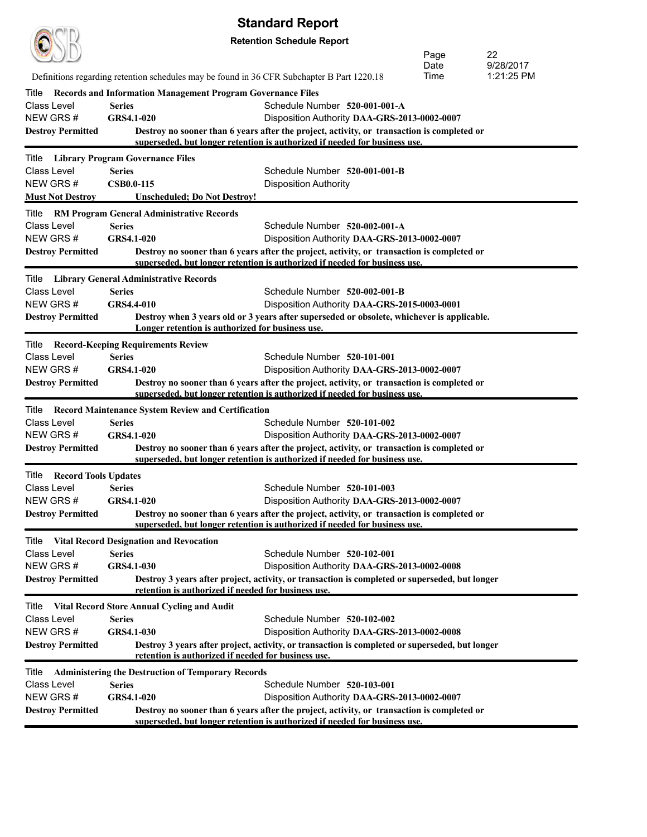| <b>Standard Report</b>                          |                   |                                                                                            |                                                                                                                                                                          |              |                 |  |
|-------------------------------------------------|-------------------|--------------------------------------------------------------------------------------------|--------------------------------------------------------------------------------------------------------------------------------------------------------------------------|--------------|-----------------|--|
| <b>Retention Schedule Report</b>                |                   |                                                                                            |                                                                                                                                                                          |              |                 |  |
|                                                 |                   |                                                                                            |                                                                                                                                                                          | Page         | 22<br>9/28/2017 |  |
|                                                 |                   | Definitions regarding retention schedules may be found in 36 CFR Subchapter B Part 1220.18 |                                                                                                                                                                          | Date<br>Time | 1:21:25 PM      |  |
| Title                                           |                   | <b>Records and Information Management Program Governance Files</b>                         |                                                                                                                                                                          |              |                 |  |
| <b>Class Level</b>                              | <b>Series</b>     |                                                                                            | Schedule Number 520-001-001-A                                                                                                                                            |              |                 |  |
| NEW GRS#                                        | GRS4.1-020        |                                                                                            | Disposition Authority DAA-GRS-2013-0002-0007                                                                                                                             |              |                 |  |
| <b>Destroy Permitted</b>                        |                   |                                                                                            | Destroy no sooner than 6 years after the project, activity, or transaction is completed or<br>superseded, but longer retention is authorized if needed for business use. |              |                 |  |
| Title Library Program Governance Files          |                   |                                                                                            |                                                                                                                                                                          |              |                 |  |
| Class Level                                     | <b>Series</b>     |                                                                                            | Schedule Number 520-001-001-B                                                                                                                                            |              |                 |  |
| NEW GRS#                                        | <b>CSB0.0-115</b> |                                                                                            | <b>Disposition Authority</b>                                                                                                                                             |              |                 |  |
| <b>Must Not Destroy</b>                         |                   | <b>Unscheduled; Do Not Destroy!</b>                                                        |                                                                                                                                                                          |              |                 |  |
|                                                 |                   | Title RM Program General Administrative Records                                            |                                                                                                                                                                          |              |                 |  |
| Class Level                                     | <b>Series</b>     |                                                                                            | Schedule Number 520-002-001-A                                                                                                                                            |              |                 |  |
| NEW GRS#                                        | <b>GRS4.1-020</b> |                                                                                            | Disposition Authority DAA-GRS-2013-0002-0007                                                                                                                             |              |                 |  |
| <b>Destroy Permitted</b>                        |                   |                                                                                            | Destroy no sooner than 6 years after the project, activity, or transaction is completed or<br>superseded, but longer retention is authorized if needed for business use. |              |                 |  |
| Title                                           |                   | <b>Library General Administrative Records</b>                                              |                                                                                                                                                                          |              |                 |  |
| Class Level                                     | <b>Series</b>     |                                                                                            | Schedule Number 520-002-001-B                                                                                                                                            |              |                 |  |
| NEW GRS#                                        | GRS4.4-010        |                                                                                            | Disposition Authority DAA-GRS-2015-0003-0001                                                                                                                             |              |                 |  |
| <b>Destroy Permitted</b>                        |                   |                                                                                            | Destroy when 3 years old or 3 years after superseded or obsolete, whichever is applicable.                                                                               |              |                 |  |
|                                                 |                   | Longer retention is authorized for business use.                                           |                                                                                                                                                                          |              |                 |  |
| <b>Title</b> Record-Keeping Requirements Review |                   |                                                                                            |                                                                                                                                                                          |              |                 |  |
| <b>Class Level</b>                              | <b>Series</b>     |                                                                                            | Schedule Number 520-101-001                                                                                                                                              |              |                 |  |
| NEW GRS#                                        | <b>GRS4.1-020</b> |                                                                                            | Disposition Authority DAA-GRS-2013-0002-0007                                                                                                                             |              |                 |  |
| <b>Destroy Permitted</b>                        |                   |                                                                                            | Destroy no sooner than 6 years after the project, activity, or transaction is completed or<br>superseded, but longer retention is authorized if needed for business use. |              |                 |  |
|                                                 |                   | Title Record Maintenance System Review and Certification                                   |                                                                                                                                                                          |              |                 |  |
| <b>Class Level</b>                              | <b>Series</b>     |                                                                                            | Schedule Number 520-101-002                                                                                                                                              |              |                 |  |
| NEW GRS#                                        | <b>GRS4.1-020</b> |                                                                                            | Disposition Authority DAA-GRS-2013-0002-0007                                                                                                                             |              |                 |  |
| <b>Destroy Permitted</b>                        |                   |                                                                                            | Destroy no sooner than 6 years after the project, activity, or transaction is completed or<br>superseded, but longer retention is authorized if needed for business use. |              |                 |  |
| <b>Title Record Tools Updates</b>               |                   |                                                                                            |                                                                                                                                                                          |              |                 |  |
| Class Level                                     | <b>Series</b>     |                                                                                            | Schedule Number 520-101-003                                                                                                                                              |              |                 |  |
| NEW GRS#                                        | GRS4.1-020        |                                                                                            | Disposition Authority DAA-GRS-2013-0002-0007                                                                                                                             |              |                 |  |
| <b>Destroy Permitted</b>                        |                   |                                                                                            | Destroy no sooner than 6 years after the project, activity, or transaction is completed or<br>superseded, but longer retention is authorized if needed for business use. |              |                 |  |
| Title                                           |                   | <b>Vital Record Designation and Revocation</b>                                             |                                                                                                                                                                          |              |                 |  |
| <b>Class Level</b>                              | <b>Series</b>     |                                                                                            | Schedule Number 520-102-001                                                                                                                                              |              |                 |  |
| NEW GRS#                                        | GRS4.1-030        |                                                                                            | Disposition Authority DAA-GRS-2013-0002-0008                                                                                                                             |              |                 |  |
| <b>Destroy Permitted</b>                        |                   |                                                                                            | Destroy 3 years after project, activity, or transaction is completed or superseded, but longer                                                                           |              |                 |  |
|                                                 |                   | retention is authorized if needed for business use.                                        |                                                                                                                                                                          |              |                 |  |
| Title                                           |                   | Vital Record Store Annual Cycling and Audit                                                |                                                                                                                                                                          |              |                 |  |
| <b>Class Level</b>                              | <b>Series</b>     |                                                                                            | Schedule Number 520-102-002                                                                                                                                              |              |                 |  |
| NEW GRS#<br><b>Destroy Permitted</b>            | GRS4.1-030        |                                                                                            | Disposition Authority DAA-GRS-2013-0002-0008<br>Destroy 3 years after project, activity, or transaction is completed or superseded, but longer                           |              |                 |  |
|                                                 |                   | retention is authorized if needed for business use.                                        |                                                                                                                                                                          |              |                 |  |
| Title                                           |                   | <b>Administering the Destruction of Temporary Records</b>                                  |                                                                                                                                                                          |              |                 |  |
| Class Level                                     | <b>Series</b>     |                                                                                            | Schedule Number 520-103-001                                                                                                                                              |              |                 |  |
| NEW GRS#                                        | GRS4.1-020        |                                                                                            | Disposition Authority DAA-GRS-2013-0002-0007                                                                                                                             |              |                 |  |
| <b>Destroy Permitted</b>                        |                   |                                                                                            | Destroy no sooner than 6 years after the project, activity, or transaction is completed or<br>superseded, but longer retention is authorized if needed for business use. |              |                 |  |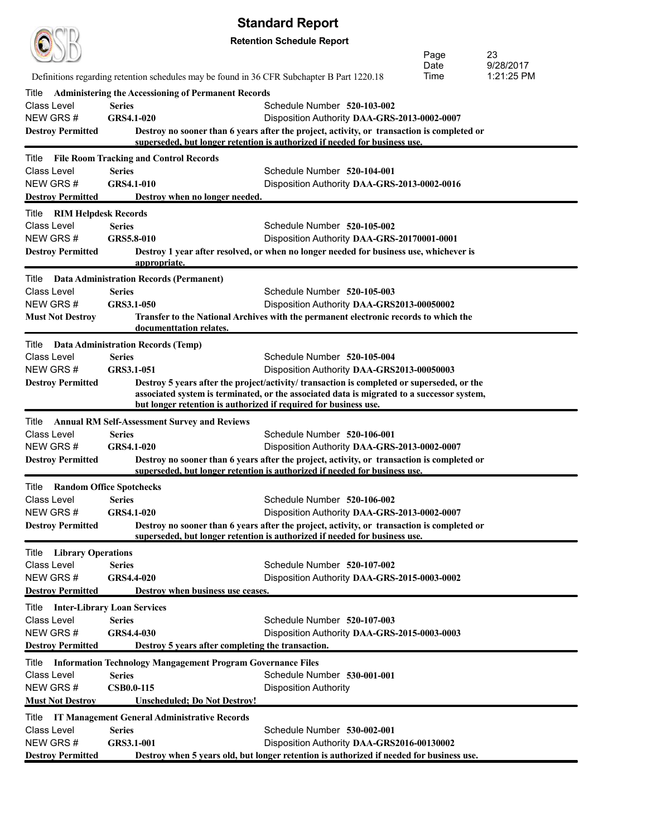| <b>Standard Report</b>                                            |                                    |                                                                                            |                                                                                                                                                                          |              |                         |
|-------------------------------------------------------------------|------------------------------------|--------------------------------------------------------------------------------------------|--------------------------------------------------------------------------------------------------------------------------------------------------------------------------|--------------|-------------------------|
|                                                                   |                                    |                                                                                            | <b>Retention Schedule Report</b>                                                                                                                                         |              |                         |
|                                                                   |                                    |                                                                                            |                                                                                                                                                                          | Page         | 23                      |
|                                                                   |                                    |                                                                                            |                                                                                                                                                                          | Date<br>Time | 9/28/2017<br>1:21:25 PM |
|                                                                   |                                    | Definitions regarding retention schedules may be found in 36 CFR Subchapter B Part 1220.18 |                                                                                                                                                                          |              |                         |
| Title<br>Class Level                                              |                                    | <b>Administering the Accessioning of Permanent Records</b>                                 |                                                                                                                                                                          |              |                         |
| NEW GRS#                                                          | <b>Series</b><br><b>GRS4.1-020</b> |                                                                                            | Schedule Number 520-103-002<br>Disposition Authority DAA-GRS-2013-0002-0007                                                                                              |              |                         |
| <b>Destroy Permitted</b>                                          |                                    |                                                                                            | Destroy no sooner than 6 years after the project, activity, or transaction is completed or                                                                               |              |                         |
|                                                                   |                                    |                                                                                            | superseded, but longer retention is authorized if needed for business use.                                                                                               |              |                         |
| Title                                                             |                                    | <b>File Room Tracking and Control Records</b>                                              |                                                                                                                                                                          |              |                         |
| Class Level                                                       | <b>Series</b>                      |                                                                                            | Schedule Number 520-104-001                                                                                                                                              |              |                         |
| NEW GRS#                                                          | GRS4.1-010                         |                                                                                            | Disposition Authority DAA-GRS-2013-0002-0016                                                                                                                             |              |                         |
| <b>Destroy Permitted</b>                                          |                                    | Destroy when no longer needed.                                                             |                                                                                                                                                                          |              |                         |
| Title<br>RIM Helpdesk Records                                     |                                    |                                                                                            |                                                                                                                                                                          |              |                         |
| Class Level<br>NEW GRS#                                           | <b>Series</b><br>GRS5.8-010        |                                                                                            | Schedule Number 520-105-002                                                                                                                                              |              |                         |
| <b>Destroy Permitted</b>                                          |                                    |                                                                                            | Disposition Authority DAA-GRS-20170001-0001<br>Destroy 1 year after resolved, or when no longer needed for business use, whichever is                                    |              |                         |
|                                                                   |                                    | appropriate.                                                                               |                                                                                                                                                                          |              |                         |
| Title                                                             |                                    | <b>Data Administration Records (Permanent)</b>                                             |                                                                                                                                                                          |              |                         |
| Class Level                                                       | <b>Series</b>                      |                                                                                            | Schedule Number 520-105-003                                                                                                                                              |              |                         |
| NEW GRS#                                                          | GRS3.1-050                         |                                                                                            | Disposition Authority DAA-GRS2013-00050002                                                                                                                               |              |                         |
| <b>Must Not Destroy</b>                                           |                                    |                                                                                            | Transfer to the National Archives with the permanent electronic records to which the                                                                                     |              |                         |
|                                                                   |                                    | documenttation relates.                                                                    |                                                                                                                                                                          |              |                         |
| Title                                                             |                                    | <b>Data Administration Records (Temp)</b>                                                  |                                                                                                                                                                          |              |                         |
| Class Level<br>NEW GRS#                                           | <b>Series</b><br>GRS3.1-051        |                                                                                            | Schedule Number 520-105-004<br>Disposition Authority DAA-GRS2013-00050003                                                                                                |              |                         |
| <b>Destroy Permitted</b>                                          |                                    |                                                                                            | Destroy 5 years after the project/activity/ transaction is completed or superseded, or the                                                                               |              |                         |
|                                                                   |                                    |                                                                                            | associated system is terminated, or the associated data is migrated to a successor system,                                                                               |              |                         |
|                                                                   |                                    | but longer retention is authorized if required for business use.                           |                                                                                                                                                                          |              |                         |
| Title                                                             |                                    | <b>Annual RM Self-Assessment Survey and Reviews</b>                                        |                                                                                                                                                                          |              |                         |
| Class Level                                                       | <b>Series</b>                      |                                                                                            | Schedule Number 520-106-001                                                                                                                                              |              |                         |
| NEW GRS#                                                          | <b>GRS4.1-020</b>                  |                                                                                            | Disposition Authority DAA-GRS-2013-0002-0007                                                                                                                             |              |                         |
| <b>Destroy Permitted</b>                                          |                                    |                                                                                            | Destroy no sooner than 6 years after the project, activity, or transaction is completed or<br>superseded, but longer retention is authorized if needed for business use. |              |                         |
| <b>Random Office Spotchecks</b><br>Title                          |                                    |                                                                                            |                                                                                                                                                                          |              |                         |
| Class Level                                                       | <b>Series</b>                      |                                                                                            | Schedule Number 520-106-002                                                                                                                                              |              |                         |
| NEW GRS#                                                          | GRS4.1-020                         |                                                                                            | Disposition Authority DAA-GRS-2013-0002-0007                                                                                                                             |              |                         |
| <b>Destroy Permitted</b>                                          |                                    |                                                                                            | Destroy no sooner than 6 years after the project, activity, or transaction is completed or                                                                               |              |                         |
|                                                                   |                                    |                                                                                            | superseded, but longer retention is authorized if needed for business use.                                                                                               |              |                         |
| <b>Title</b> Library Operations                                   |                                    |                                                                                            |                                                                                                                                                                          |              |                         |
| Class Level                                                       | <b>Series</b>                      |                                                                                            | Schedule Number 520-107-002                                                                                                                                              |              |                         |
| NEW GRS#<br><b>Destroy Permitted</b>                              | GRS4.4-020                         | Destroy when business use ceases.                                                          | Disposition Authority DAA-GRS-2015-0003-0002                                                                                                                             |              |                         |
|                                                                   |                                    |                                                                                            |                                                                                                                                                                          |              |                         |
| <b>Inter-Library Loan Services</b><br>Title<br><b>Class Level</b> | <b>Series</b>                      |                                                                                            | Schedule Number 520-107-003                                                                                                                                              |              |                         |
| NEW GRS#                                                          | GRS4.4-030                         |                                                                                            | Disposition Authority DAA-GRS-2015-0003-0003                                                                                                                             |              |                         |
| <b>Destroy Permitted</b>                                          |                                    | Destroy 5 years after completing the transaction.                                          |                                                                                                                                                                          |              |                         |
| Title                                                             |                                    | <b>Information Technology Mangagement Program Governance Files</b>                         |                                                                                                                                                                          |              |                         |
| Class Level                                                       | <b>Series</b>                      |                                                                                            | Schedule Number 530-001-001                                                                                                                                              |              |                         |
| NEW GRS#                                                          | <b>CSB0.0-115</b>                  |                                                                                            | <b>Disposition Authority</b>                                                                                                                                             |              |                         |
| <b>Must Not Destroy</b>                                           |                                    | <b>Unscheduled; Do Not Destroy!</b>                                                        |                                                                                                                                                                          |              |                         |
| Title                                                             |                                    | IT Management General Administrative Records                                               |                                                                                                                                                                          |              |                         |
| <b>Class Level</b>                                                | <b>Series</b>                      |                                                                                            | Schedule Number 530-002-001                                                                                                                                              |              |                         |
| NEW GRS#                                                          | GRS3.1-001                         |                                                                                            | Disposition Authority DAA-GRS2016-00130002                                                                                                                               |              |                         |
| <b>Destroy Permitted</b>                                          |                                    |                                                                                            | Destroy when 5 years old, but longer retention is authorized if needed for business use.                                                                                 |              |                         |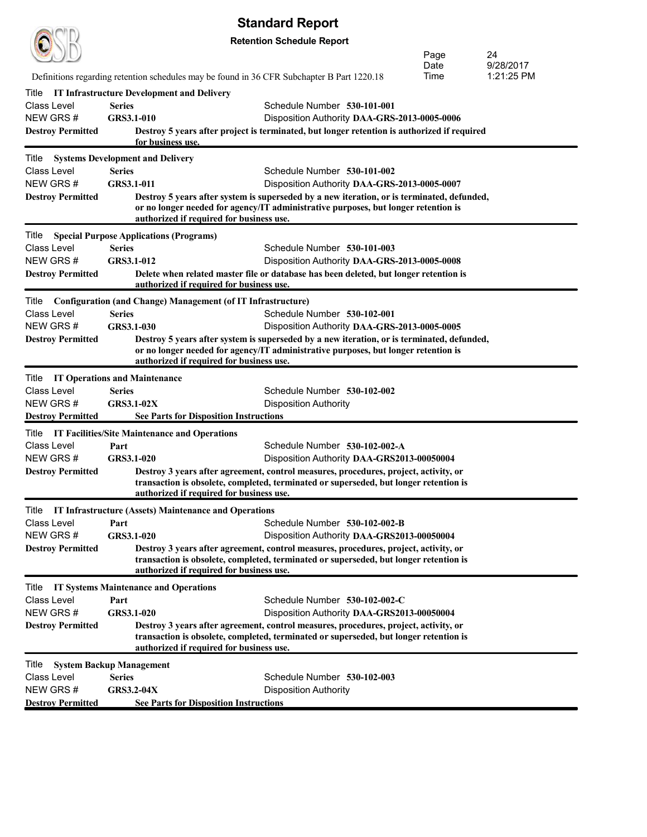|                                                     |                                                |                                                                     | <b>Standard Report</b>                                                                                                                                                           |              |                         |
|-----------------------------------------------------|------------------------------------------------|---------------------------------------------------------------------|----------------------------------------------------------------------------------------------------------------------------------------------------------------------------------|--------------|-------------------------|
|                                                     |                                                |                                                                     | <b>Retention Schedule Report</b>                                                                                                                                                 |              |                         |
|                                                     |                                                |                                                                     |                                                                                                                                                                                  | Page         | 24                      |
|                                                     |                                                |                                                                     |                                                                                                                                                                                  | Date<br>Time | 9/28/2017<br>1:21:25 PM |
|                                                     |                                                |                                                                     | Definitions regarding retention schedules may be found in 36 CFR Subchapter B Part 1220.18                                                                                       |              |                         |
| Title                                               |                                                | <b>IT Infrastructure Development and Delivery</b>                   |                                                                                                                                                                                  |              |                         |
| Class Level<br>NEW GRS#                             | <b>Series</b><br>GRS3.1-010                    |                                                                     | Schedule Number 530-101-001<br>Disposition Authority DAA-GRS-2013-0005-0006                                                                                                      |              |                         |
| <b>Destroy Permitted</b>                            |                                                |                                                                     | Destroy 5 years after project is terminated, but longer retention is authorized if required                                                                                      |              |                         |
|                                                     |                                                | for business use.                                                   |                                                                                                                                                                                  |              |                         |
| Title                                               | <b>Systems Development and Delivery</b>        |                                                                     |                                                                                                                                                                                  |              |                         |
| Class Level                                         | <b>Series</b>                                  |                                                                     | Schedule Number 530-101-002                                                                                                                                                      |              |                         |
| NEW GRS#                                            | GRS3.1-011                                     |                                                                     | Disposition Authority DAA-GRS-2013-0005-0007                                                                                                                                     |              |                         |
| <b>Destroy Permitted</b>                            |                                                | authorized if required for business use.                            | Destroy 5 years after system is superseded by a new iteration, or is terminated, defunded,<br>or no longer needed for agency/IT administrative purposes, but longer retention is |              |                         |
| Title                                               | <b>Special Purpose Applications (Programs)</b> |                                                                     |                                                                                                                                                                                  |              |                         |
| <b>Class Level</b>                                  | <b>Series</b>                                  |                                                                     | Schedule Number 530-101-003                                                                                                                                                      |              |                         |
| NEW GRS #                                           | GRS3.1-012                                     |                                                                     | Disposition Authority DAA-GRS-2013-0005-0008                                                                                                                                     |              |                         |
| <b>Destroy Permitted</b>                            |                                                | authorized if required for business use.                            | Delete when related master file or database has been deleted, but longer retention is                                                                                            |              |                         |
| Title                                               |                                                | <b>Configuration (and Change) Management (of IT Infrastructure)</b> |                                                                                                                                                                                  |              |                         |
| Class Level                                         | <b>Series</b>                                  |                                                                     | Schedule Number 530-102-001                                                                                                                                                      |              |                         |
| NEW GRS#                                            | GRS3.1-030                                     |                                                                     | Disposition Authority DAA-GRS-2013-0005-0005                                                                                                                                     |              |                         |
| <b>Destroy Permitted</b>                            |                                                | authorized if required for business use.                            | Destroy 5 years after system is superseded by a new iteration, or is terminated, defunded,<br>or no longer needed for agency/IT administrative purposes, but longer retention is |              |                         |
| Title                                               | <b>IT Operations and Maintenance</b>           |                                                                     |                                                                                                                                                                                  |              |                         |
| <b>Class Level</b>                                  | <b>Series</b>                                  |                                                                     | Schedule Number 530-102-002                                                                                                                                                      |              |                         |
| NEW GRS#                                            | <b>GRS3.1-02X</b>                              |                                                                     | <b>Disposition Authority</b>                                                                                                                                                     |              |                         |
| <b>Destroy Permitted</b>                            |                                                | <b>See Parts for Disposition Instructions</b>                       |                                                                                                                                                                                  |              |                         |
| Title IT Facilities/Site Maintenance and Operations |                                                |                                                                     |                                                                                                                                                                                  |              |                         |
| Class Level<br>NEW GRS#                             | Part<br>GRS3.1-020                             |                                                                     | Schedule Number 530-102-002-A                                                                                                                                                    |              |                         |
| <b>Destroy Permitted</b>                            |                                                |                                                                     | Disposition Authority DAA-GRS2013-00050004<br>Destroy 3 years after agreement, control measures, procedures, project, activity, or                                               |              |                         |
|                                                     |                                                | authorized if required for business use.                            | transaction is obsolete, completed, terminated or superseded, but longer retention is                                                                                            |              |                         |
| Title                                               |                                                | IT Infrastructure (Assets) Maintenance and Operations               |                                                                                                                                                                                  |              |                         |
| Class Level                                         | Part                                           |                                                                     | Schedule Number 530-102-002-B                                                                                                                                                    |              |                         |
| NEW GRS#                                            | GRS3.1-020                                     |                                                                     | Disposition Authority DAA-GRS2013-00050004                                                                                                                                       |              |                         |
| <b>Destroy Permitted</b>                            |                                                | authorized if required for business use.                            | Destroy 3 years after agreement, control measures, procedures, project, activity, or<br>transaction is obsolete, completed, terminated or superseded, but longer retention is    |              |                         |
| Title                                               | <b>IT Systems Maintenance and Operations</b>   |                                                                     |                                                                                                                                                                                  |              |                         |
| Class Level                                         | Part                                           |                                                                     | Schedule Number 530-102-002-C                                                                                                                                                    |              |                         |
| NEW GRS#                                            | GRS3.1-020                                     |                                                                     | Disposition Authority DAA-GRS2013-00050004                                                                                                                                       |              |                         |
| <b>Destroy Permitted</b>                            |                                                | authorized if required for business use.                            | Destroy 3 years after agreement, control measures, procedures, project, activity, or<br>transaction is obsolete, completed, terminated or superseded, but longer retention is    |              |                         |
| Title                                               | <b>System Backup Management</b>                |                                                                     |                                                                                                                                                                                  |              |                         |
| Class Level                                         | <b>Series</b>                                  |                                                                     | Schedule Number 530-102-003                                                                                                                                                      |              |                         |
| NEW GRS#                                            | <b>GRS3.2-04X</b>                              |                                                                     | <b>Disposition Authority</b>                                                                                                                                                     |              |                         |
| <b>Destroy Permitted</b>                            |                                                | <b>See Parts for Disposition Instructions</b>                       |                                                                                                                                                                                  |              |                         |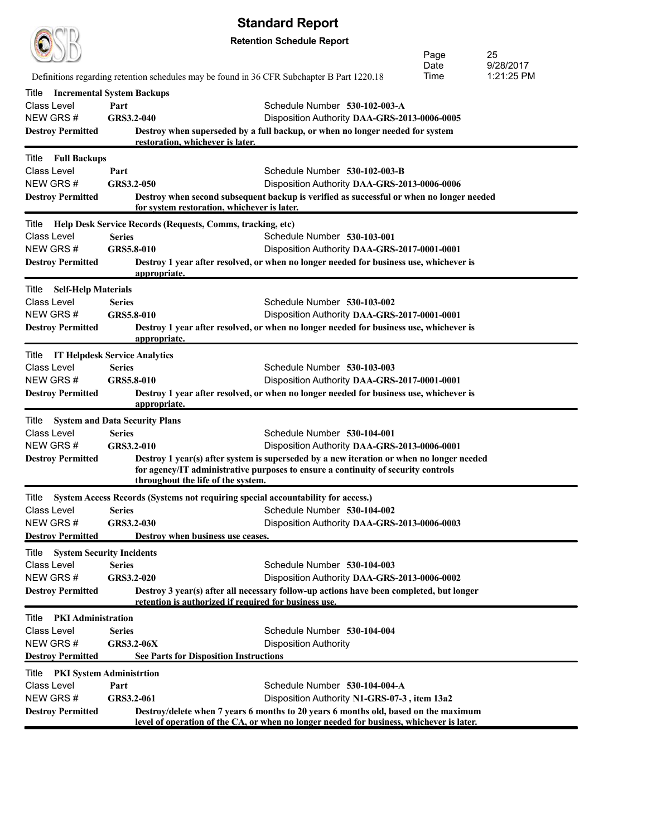|                                     |                                                                                            | <b>Standard Report</b>                                                                                                                                                          |      |            |  |  |  |
|-------------------------------------|--------------------------------------------------------------------------------------------|---------------------------------------------------------------------------------------------------------------------------------------------------------------------------------|------|------------|--|--|--|
|                                     | <b>Retention Schedule Report</b>                                                           |                                                                                                                                                                                 |      |            |  |  |  |
|                                     |                                                                                            |                                                                                                                                                                                 | Page | 25         |  |  |  |
|                                     |                                                                                            |                                                                                                                                                                                 | Date | 9/28/2017  |  |  |  |
|                                     | Definitions regarding retention schedules may be found in 36 CFR Subchapter B Part 1220.18 |                                                                                                                                                                                 | Time | 1:21:25 PM |  |  |  |
| Title                               | <b>Incremental System Backups</b>                                                          |                                                                                                                                                                                 |      |            |  |  |  |
| Class Level                         | Part                                                                                       | Schedule Number 530-102-003-A                                                                                                                                                   |      |            |  |  |  |
| NEW GRS#                            | GRS3.2-040                                                                                 | Disposition Authority DAA-GRS-2013-0006-0005                                                                                                                                    |      |            |  |  |  |
| <b>Destroy Permitted</b>            | restoration, whichever is later.                                                           | Destroy when superseded by a full backup, or when no longer needed for system                                                                                                   |      |            |  |  |  |
| <b>Full Backups</b><br>Title        |                                                                                            |                                                                                                                                                                                 |      |            |  |  |  |
| Class Level                         | Part                                                                                       | Schedule Number 530-102-003-B                                                                                                                                                   |      |            |  |  |  |
| NEW GRS#                            | GRS3.2-050                                                                                 | Disposition Authority DAA-GRS-2013-0006-0006                                                                                                                                    |      |            |  |  |  |
| <b>Destroy Permitted</b>            | for system restoration, whichever is later.                                                | Destroy when second subsequent backup is verified as successful or when no longer needed                                                                                        |      |            |  |  |  |
| Title                               | <b>Help Desk Service Records (Requests, Comms, tracking, etc)</b>                          |                                                                                                                                                                                 |      |            |  |  |  |
| Class Level                         | <b>Series</b>                                                                              | Schedule Number 530-103-001                                                                                                                                                     |      |            |  |  |  |
| NEW GRS#                            | GRS5.8-010                                                                                 | Disposition Authority DAA-GRS-2017-0001-0001                                                                                                                                    |      |            |  |  |  |
| <b>Destroy Permitted</b>            | appropriate.                                                                               | Destroy 1 year after resolved, or when no longer needed for business use, whichever is                                                                                          |      |            |  |  |  |
| Title Self-Help Materials           |                                                                                            |                                                                                                                                                                                 |      |            |  |  |  |
| Class Level                         | <b>Series</b>                                                                              | Schedule Number 530-103-002                                                                                                                                                     |      |            |  |  |  |
| NEW GRS#                            | GRS5.8-010                                                                                 | Disposition Authority DAA-GRS-2017-0001-0001                                                                                                                                    |      |            |  |  |  |
| <b>Destroy Permitted</b>            | appropriate.                                                                               | Destroy 1 year after resolved, or when no longer needed for business use, whichever is                                                                                          |      |            |  |  |  |
| Title IT Helpdesk Service Analytics |                                                                                            |                                                                                                                                                                                 |      |            |  |  |  |
| Class Level                         | <b>Series</b>                                                                              | Schedule Number 530-103-003                                                                                                                                                     |      |            |  |  |  |
| NEW GRS#                            | GRS5.8-010                                                                                 | Disposition Authority DAA-GRS-2017-0001-0001                                                                                                                                    |      |            |  |  |  |
| <b>Destroy Permitted</b>            | appropriate.                                                                               | Destroy 1 year after resolved, or when no longer needed for business use, whichever is                                                                                          |      |            |  |  |  |
| Title                               | <b>System and Data Security Plans</b>                                                      |                                                                                                                                                                                 |      |            |  |  |  |
| Class Level                         | <b>Series</b>                                                                              | Schedule Number 530-104-001                                                                                                                                                     |      |            |  |  |  |
| NEW GRS#                            | GRS3.2-010                                                                                 | Disposition Authority DAA-GRS-2013-0006-0001                                                                                                                                    |      |            |  |  |  |
| <b>Destroy Permitted</b>            | throughout the life of the system.                                                         | Destroy 1 year(s) after system is superseded by a new iteration or when no longer needed<br>for agency/IT administrative purposes to ensure a continuity of security controls   |      |            |  |  |  |
|                                     | Title System Access Records (Systems not requiring special accountability for access.)     |                                                                                                                                                                                 |      |            |  |  |  |
| Class Level                         | <b>Series</b>                                                                              | Schedule Number 530-104-002                                                                                                                                                     |      |            |  |  |  |
| NEW GRS#                            | GRS3.2-030                                                                                 | Disposition Authority DAA-GRS-2013-0006-0003                                                                                                                                    |      |            |  |  |  |
| <b>Destroy Permitted</b>            | Destroy when business use ceases.                                                          |                                                                                                                                                                                 |      |            |  |  |  |
| Title                               | <b>System Security Incidents</b>                                                           |                                                                                                                                                                                 |      |            |  |  |  |
| Class Level                         | <b>Series</b>                                                                              | Schedule Number 530-104-003                                                                                                                                                     |      |            |  |  |  |
| NEW GRS#                            | GRS3.2-020                                                                                 | Disposition Authority DAA-GRS-2013-0006-0002                                                                                                                                    |      |            |  |  |  |
| <b>Destroy Permitted</b>            | retention is authorized if required for business use.                                      | Destroy 3 year(s) after all necessary follow-up actions have been completed, but longer                                                                                         |      |            |  |  |  |
| <b>PKI Administration</b><br>Title  |                                                                                            |                                                                                                                                                                                 |      |            |  |  |  |
| Class Level                         | <b>Series</b>                                                                              | Schedule Number 530-104-004                                                                                                                                                     |      |            |  |  |  |
| NEW GRS#                            | <b>GRS3.2-06X</b>                                                                          | <b>Disposition Authority</b>                                                                                                                                                    |      |            |  |  |  |
| <b>Destroy Permitted</b>            | <b>See Parts for Disposition Instructions</b>                                              |                                                                                                                                                                                 |      |            |  |  |  |
| Title                               | <b>PKI System Administrtion</b>                                                            |                                                                                                                                                                                 |      |            |  |  |  |
| Class Level                         | Part                                                                                       | Schedule Number 530-104-004-A                                                                                                                                                   |      |            |  |  |  |
| NEW GRS#                            | GRS3.2-061                                                                                 | Disposition Authority N1-GRS-07-3, item 13a2                                                                                                                                    |      |            |  |  |  |
| <b>Destroy Permitted</b>            |                                                                                            | Destroy/delete when 7 years 6 months to 20 years 6 months old, based on the maximum<br>level of operation of the CA, or when no longer needed for business, whichever is later. |      |            |  |  |  |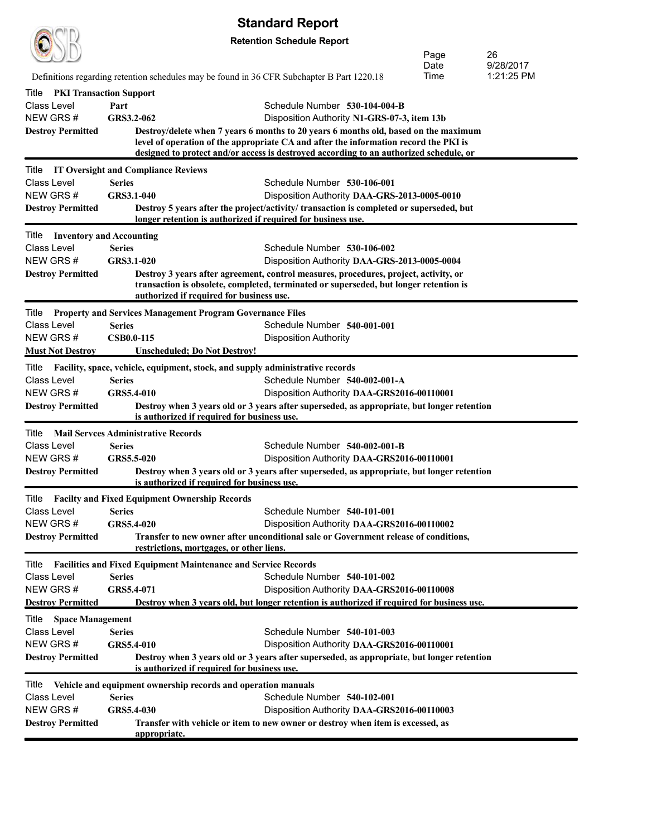|                                         |                                            |                                                                       | <b>Standard Report</b>                                                                                                                                                        |      |            |
|-----------------------------------------|--------------------------------------------|-----------------------------------------------------------------------|-------------------------------------------------------------------------------------------------------------------------------------------------------------------------------|------|------------|
|                                         |                                            |                                                                       | <b>Retention Schedule Report</b>                                                                                                                                              |      |            |
|                                         |                                            |                                                                       |                                                                                                                                                                               | Page | 26         |
|                                         |                                            |                                                                       |                                                                                                                                                                               | Date | 9/28/2017  |
|                                         |                                            |                                                                       | Definitions regarding retention schedules may be found in 36 CFR Subchapter B Part 1220.18                                                                                    | Time | 1:21:25 PM |
| <b>PKI Transaction Support</b><br>Title |                                            |                                                                       |                                                                                                                                                                               |      |            |
| <b>Class Level</b>                      | Part                                       |                                                                       | Schedule Number 530-104-004-B                                                                                                                                                 |      |            |
| NEW GRS#                                | GRS3.2-062                                 |                                                                       | Disposition Authority N1-GRS-07-3, item 13b                                                                                                                                   |      |            |
| <b>Destroy Permitted</b>                |                                            |                                                                       | Destroy/delete when 7 years 6 months to 20 years 6 months old, based on the maximum<br>level of operation of the appropriate CA and after the information record the PKI is   |      |            |
|                                         |                                            |                                                                       | designed to protect and/or access is destroyed according to an authorized schedule, or                                                                                        |      |            |
| Title                                   | <b>IT Oversight and Compliance Reviews</b> |                                                                       |                                                                                                                                                                               |      |            |
| <b>Class Level</b>                      | <b>Series</b>                              |                                                                       | Schedule Number 530-106-001                                                                                                                                                   |      |            |
| NEW GRS#                                | GRS3.1-040                                 |                                                                       | Disposition Authority DAA-GRS-2013-0005-0010                                                                                                                                  |      |            |
| <b>Destroy Permitted</b>                |                                            |                                                                       | Destroy 5 years after the project/activity/ transaction is completed or superseded, but                                                                                       |      |            |
|                                         |                                            |                                                                       | longer retention is authorized if required for business use.                                                                                                                  |      |            |
| Title Inventory and Accounting          |                                            |                                                                       |                                                                                                                                                                               |      |            |
| Class Level                             | <b>Series</b>                              |                                                                       | Schedule Number 530-106-002                                                                                                                                                   |      |            |
| NEW GRS#                                | <b>GRS3.1-020</b>                          |                                                                       | Disposition Authority DAA-GRS-2013-0005-0004                                                                                                                                  |      |            |
| <b>Destroy Permitted</b>                |                                            |                                                                       | Destroy 3 years after agreement, control measures, procedures, project, activity, or<br>transaction is obsolete, completed, terminated or superseded, but longer retention is |      |            |
|                                         |                                            | authorized if required for business use.                              |                                                                                                                                                                               |      |            |
| Title                                   |                                            | <b>Property and Services Management Program Governance Files</b>      |                                                                                                                                                                               |      |            |
| <b>Class Level</b>                      | <b>Series</b>                              |                                                                       | Schedule Number 540-001-001                                                                                                                                                   |      |            |
| NEW GRS#                                | <b>CSB0.0-115</b>                          |                                                                       | <b>Disposition Authority</b>                                                                                                                                                  |      |            |
| <b>Must Not Destroy</b>                 |                                            | Unscheduled; Do Not Destroy!                                          |                                                                                                                                                                               |      |            |
| Title                                   |                                            |                                                                       | Facility, space, vehicle, equipment, stock, and supply administrative records                                                                                                 |      |            |
| <b>Class Level</b>                      | <b>Series</b>                              |                                                                       | Schedule Number 540-002-001-A                                                                                                                                                 |      |            |
| NEW GRS#                                | GRS5.4-010                                 |                                                                       | Disposition Authority DAA-GRS2016-00110001                                                                                                                                    |      |            |
| <b>Destroy Permitted</b>                |                                            |                                                                       | Destroy when 3 years old or 3 years after superseded, as appropriate, but longer retention                                                                                    |      |            |
|                                         |                                            | is authorized if required for business use.                           |                                                                                                                                                                               |      |            |
| Title                                   | <b>Mail Servees Administrative Records</b> |                                                                       |                                                                                                                                                                               |      |            |
| <b>Class Level</b>                      | <b>Series</b>                              |                                                                       | Schedule Number 540-002-001-B                                                                                                                                                 |      |            |
| NEW GRS#                                | GRS5.5-020                                 |                                                                       | Disposition Authority DAA-GRS2016-00110001                                                                                                                                    |      |            |
| <b>Destroy Permitted</b>                |                                            | is authorized if required for business use.                           | Destroy when 3 years old or 3 years after superseded, as appropriate, but longer retention                                                                                    |      |            |
| Title                                   |                                            | <b>Facilty and Fixed Equipment Ownership Records</b>                  |                                                                                                                                                                               |      |            |
| Class Level                             | <b>Series</b>                              |                                                                       | Schedule Number 540-101-001                                                                                                                                                   |      |            |
| NEW GRS#                                | GRS5.4-020                                 |                                                                       | Disposition Authority DAA-GRS2016-00110002                                                                                                                                    |      |            |
| <b>Destroy Permitted</b>                |                                            |                                                                       | Transfer to new owner after unconditional sale or Government release of conditions,                                                                                           |      |            |
|                                         |                                            | restrictions, mortgages, or other liens.                              |                                                                                                                                                                               |      |            |
| Title                                   |                                            | <b>Facilities and Fixed Equipment Maintenance and Service Records</b> |                                                                                                                                                                               |      |            |
| <b>Class Level</b>                      | <b>Series</b>                              |                                                                       | Schedule Number 540-101-002                                                                                                                                                   |      |            |
| NEW GRS#                                | GRS5.4-071                                 |                                                                       | Disposition Authority DAA-GRS2016-00110008                                                                                                                                    |      |            |
| <b>Destroy Permitted</b>                |                                            |                                                                       | Destroy when 3 years old, but longer retention is authorized if required for business use.                                                                                    |      |            |
| Title<br><b>Space Management</b>        |                                            |                                                                       |                                                                                                                                                                               |      |            |
| <b>Class Level</b>                      | <b>Series</b>                              |                                                                       | Schedule Number 540-101-003                                                                                                                                                   |      |            |
| NEW GRS#                                | GRS5.4-010                                 |                                                                       | Disposition Authority DAA-GRS2016-00110001                                                                                                                                    |      |            |
| <b>Destroy Permitted</b>                |                                            | is authorized if required for business use.                           | Destroy when 3 years old or 3 years after superseded, as appropriate, but longer retention                                                                                    |      |            |
|                                         |                                            |                                                                       |                                                                                                                                                                               |      |            |
| Title<br>Class Level                    | <b>Series</b>                              | Vehicle and equipment ownership records and operation manuals         | Schedule Number 540-102-001                                                                                                                                                   |      |            |
| NEW GRS#                                | GRS5.4-030                                 |                                                                       | Disposition Authority DAA-GRS2016-00110003                                                                                                                                    |      |            |
| <b>Destroy Permitted</b>                |                                            |                                                                       | Transfer with vehicle or item to new owner or destroy when item is excessed, as                                                                                               |      |            |
|                                         | appropriate.                               |                                                                       |                                                                                                                                                                               |      |            |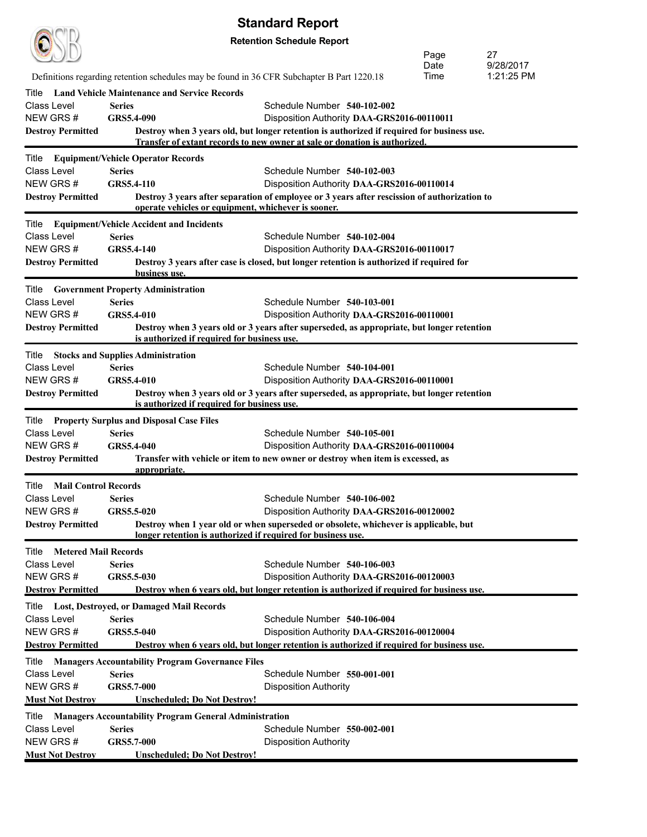| <b>Retention Schedule Report</b><br>Page<br>27<br>Date<br>9/28/2017<br>Time<br>1:21:25 PM<br>Definitions regarding retention schedules may be found in 36 CFR Subchapter B Part 1220.18<br><b>Land Vehicle Maintenance and Service Records</b><br>Title<br><b>Class Level</b><br><b>Series</b><br>Schedule Number 540-102-002<br>NEW GRS#<br>GRS5.4-090<br>Disposition Authority DAA-GRS2016-00110011<br>Destroy when 3 years old, but longer retention is authorized if required for business use.<br><b>Destroy Permitted</b><br>Transfer of extant records to new owner at sale or donation is authorized.<br>Title<br><b>Equipment/Vehicle Operator Records</b><br>Class Level<br><b>Series</b><br>Schedule Number 540-102-003<br>NEW GRS #<br><b>GRS5.4-110</b><br>Disposition Authority DAA-GRS2016-00110014<br>Destroy 3 years after separation of employee or 3 years after rescission of authorization to<br><b>Destroy Permitted</b><br>operate vehicles or equipment, whichever is sooner.<br><b>Equipment/Vehicle Accident and Incidents</b><br>Title<br>Class Level<br><b>Series</b><br>Schedule Number 540-102-004<br>NEW GRS #<br>GRS5.4-140<br>Disposition Authority DAA-GRS2016-00110017<br><b>Destroy Permitted</b><br>Destroy 3 years after case is closed, but longer retention is authorized if required for<br>business use.<br>Title<br><b>Government Property Administration</b><br>Schedule Number 540-103-001<br>Class Level<br><b>Series</b><br>NEW GRS#<br>GRS5.4-010<br>Disposition Authority DAA-GRS2016-00110001<br><b>Destroy Permitted</b><br>Destroy when 3 years old or 3 years after superseded, as appropriate, but longer retention<br>is authorized if required for business use.<br><b>Stocks and Supplies Administration</b><br>Title<br><b>Series</b><br>Schedule Number 540-104-001<br>Class Level<br>NEW GRS#<br>GRS5.4-010<br>Disposition Authority DAA-GRS2016-00110001<br>Destroy when 3 years old or 3 years after superseded, as appropriate, but longer retention<br>is authorized if required for business use.<br><b>Property Surplus and Disposal Case Files</b><br>Title<br><b>Class Level</b><br><b>Series</b><br>Schedule Number 540-105-001<br>NEW GRS#<br>GRS5.4-040<br>Disposition Authority DAA-GRS2016-00110004<br>Transfer with vehicle or item to new owner or destroy when item is excessed, as<br><b>Destroy Permitted</b><br>appropriate.<br>Title Mail Control Records<br>Class Level<br>Schedule Number 540-106-002<br><b>Series</b><br>NEW GRS#<br>GRS5.5-020<br>Disposition Authority DAA-GRS2016-00120002<br>Destroy when 1 year old or when superseded or obsolete, whichever is applicable, but<br><b>Destroy Permitted</b><br>longer retention is authorized if required for business use.<br><b>Metered Mail Records</b><br>Title<br>Class Level<br><b>Series</b><br>Schedule Number 540-106-003<br>NEW GRS#<br>GRS5.5-030<br>Disposition Authority DAA-GRS2016-00120003<br>Destroy when 6 years old, but longer retention is authorized if required for business use.<br>Title Lost, Destroyed, or Damaged Mail Records<br>Class Level<br><b>Series</b><br>Schedule Number 540-106-004<br>NEW GRS#<br>GRS5.5-040<br>Disposition Authority DAA-GRS2016-00120004<br>Destroy when 6 years old, but longer retention is authorized if required for business use.<br><b>Managers Accountability Program Governance Files</b><br>Title<br><b>Class Level</b><br><b>Series</b><br>Schedule Number 550-001-001<br>NEW GRS#<br>GRS5.7-000<br><b>Disposition Authority</b><br><b>Must Not Destroy</b><br><b>Unscheduled; Do Not Destroy!</b><br><b>Managers Accountability Program General Administration</b><br>Title<br>Class Level<br><b>Series</b><br>Schedule Number 550-002-001<br>NEW GRS#<br>GRS5.7-000<br><b>Disposition Authority</b><br><b>Must Not Destroy</b><br><b>Unscheduled; Do Not Destroy!</b> |  | υιαπναι απτορυπι |  |
|-------------------------------------------------------------------------------------------------------------------------------------------------------------------------------------------------------------------------------------------------------------------------------------------------------------------------------------------------------------------------------------------------------------------------------------------------------------------------------------------------------------------------------------------------------------------------------------------------------------------------------------------------------------------------------------------------------------------------------------------------------------------------------------------------------------------------------------------------------------------------------------------------------------------------------------------------------------------------------------------------------------------------------------------------------------------------------------------------------------------------------------------------------------------------------------------------------------------------------------------------------------------------------------------------------------------------------------------------------------------------------------------------------------------------------------------------------------------------------------------------------------------------------------------------------------------------------------------------------------------------------------------------------------------------------------------------------------------------------------------------------------------------------------------------------------------------------------------------------------------------------------------------------------------------------------------------------------------------------------------------------------------------------------------------------------------------------------------------------------------------------------------------------------------------------------------------------------------------------------------------------------------------------------------------------------------------------------------------------------------------------------------------------------------------------------------------------------------------------------------------------------------------------------------------------------------------------------------------------------------------------------------------------------------------------------------------------------------------------------------------------------------------------------------------------------------------------------------------------------------------------------------------------------------------------------------------------------------------------------------------------------------------------------------------------------------------------------------------------------------------------------------------------------------------------------------------------------------------------------------------------------------------------------------------------------------------------------------------------------------------------------------------------------------------------------------------------------------------------------------------------------------------------------------------------------------------------------------------------------------------------------------------------------------------------------------------------------------------------------------------------------------------------------------------------------------------------------------------------------------------------------|--|------------------|--|
|                                                                                                                                                                                                                                                                                                                                                                                                                                                                                                                                                                                                                                                                                                                                                                                                                                                                                                                                                                                                                                                                                                                                                                                                                                                                                                                                                                                                                                                                                                                                                                                                                                                                                                                                                                                                                                                                                                                                                                                                                                                                                                                                                                                                                                                                                                                                                                                                                                                                                                                                                                                                                                                                                                                                                                                                                                                                                                                                                                                                                                                                                                                                                                                                                                                                                                                                                                                                                                                                                                                                                                                                                                                                                                                                                                                                                                                                                     |  |                  |  |
| <b>Destroy Permitted</b><br><b>Destroy Permitted</b><br><b>Destroy Permitted</b>                                                                                                                                                                                                                                                                                                                                                                                                                                                                                                                                                                                                                                                                                                                                                                                                                                                                                                                                                                                                                                                                                                                                                                                                                                                                                                                                                                                                                                                                                                                                                                                                                                                                                                                                                                                                                                                                                                                                                                                                                                                                                                                                                                                                                                                                                                                                                                                                                                                                                                                                                                                                                                                                                                                                                                                                                                                                                                                                                                                                                                                                                                                                                                                                                                                                                                                                                                                                                                                                                                                                                                                                                                                                                                                                                                                                    |  |                  |  |
|                                                                                                                                                                                                                                                                                                                                                                                                                                                                                                                                                                                                                                                                                                                                                                                                                                                                                                                                                                                                                                                                                                                                                                                                                                                                                                                                                                                                                                                                                                                                                                                                                                                                                                                                                                                                                                                                                                                                                                                                                                                                                                                                                                                                                                                                                                                                                                                                                                                                                                                                                                                                                                                                                                                                                                                                                                                                                                                                                                                                                                                                                                                                                                                                                                                                                                                                                                                                                                                                                                                                                                                                                                                                                                                                                                                                                                                                                     |  |                  |  |
|                                                                                                                                                                                                                                                                                                                                                                                                                                                                                                                                                                                                                                                                                                                                                                                                                                                                                                                                                                                                                                                                                                                                                                                                                                                                                                                                                                                                                                                                                                                                                                                                                                                                                                                                                                                                                                                                                                                                                                                                                                                                                                                                                                                                                                                                                                                                                                                                                                                                                                                                                                                                                                                                                                                                                                                                                                                                                                                                                                                                                                                                                                                                                                                                                                                                                                                                                                                                                                                                                                                                                                                                                                                                                                                                                                                                                                                                                     |  |                  |  |
|                                                                                                                                                                                                                                                                                                                                                                                                                                                                                                                                                                                                                                                                                                                                                                                                                                                                                                                                                                                                                                                                                                                                                                                                                                                                                                                                                                                                                                                                                                                                                                                                                                                                                                                                                                                                                                                                                                                                                                                                                                                                                                                                                                                                                                                                                                                                                                                                                                                                                                                                                                                                                                                                                                                                                                                                                                                                                                                                                                                                                                                                                                                                                                                                                                                                                                                                                                                                                                                                                                                                                                                                                                                                                                                                                                                                                                                                                     |  |                  |  |
|                                                                                                                                                                                                                                                                                                                                                                                                                                                                                                                                                                                                                                                                                                                                                                                                                                                                                                                                                                                                                                                                                                                                                                                                                                                                                                                                                                                                                                                                                                                                                                                                                                                                                                                                                                                                                                                                                                                                                                                                                                                                                                                                                                                                                                                                                                                                                                                                                                                                                                                                                                                                                                                                                                                                                                                                                                                                                                                                                                                                                                                                                                                                                                                                                                                                                                                                                                                                                                                                                                                                                                                                                                                                                                                                                                                                                                                                                     |  |                  |  |
|                                                                                                                                                                                                                                                                                                                                                                                                                                                                                                                                                                                                                                                                                                                                                                                                                                                                                                                                                                                                                                                                                                                                                                                                                                                                                                                                                                                                                                                                                                                                                                                                                                                                                                                                                                                                                                                                                                                                                                                                                                                                                                                                                                                                                                                                                                                                                                                                                                                                                                                                                                                                                                                                                                                                                                                                                                                                                                                                                                                                                                                                                                                                                                                                                                                                                                                                                                                                                                                                                                                                                                                                                                                                                                                                                                                                                                                                                     |  |                  |  |
|                                                                                                                                                                                                                                                                                                                                                                                                                                                                                                                                                                                                                                                                                                                                                                                                                                                                                                                                                                                                                                                                                                                                                                                                                                                                                                                                                                                                                                                                                                                                                                                                                                                                                                                                                                                                                                                                                                                                                                                                                                                                                                                                                                                                                                                                                                                                                                                                                                                                                                                                                                                                                                                                                                                                                                                                                                                                                                                                                                                                                                                                                                                                                                                                                                                                                                                                                                                                                                                                                                                                                                                                                                                                                                                                                                                                                                                                                     |  |                  |  |
|                                                                                                                                                                                                                                                                                                                                                                                                                                                                                                                                                                                                                                                                                                                                                                                                                                                                                                                                                                                                                                                                                                                                                                                                                                                                                                                                                                                                                                                                                                                                                                                                                                                                                                                                                                                                                                                                                                                                                                                                                                                                                                                                                                                                                                                                                                                                                                                                                                                                                                                                                                                                                                                                                                                                                                                                                                                                                                                                                                                                                                                                                                                                                                                                                                                                                                                                                                                                                                                                                                                                                                                                                                                                                                                                                                                                                                                                                     |  |                  |  |
|                                                                                                                                                                                                                                                                                                                                                                                                                                                                                                                                                                                                                                                                                                                                                                                                                                                                                                                                                                                                                                                                                                                                                                                                                                                                                                                                                                                                                                                                                                                                                                                                                                                                                                                                                                                                                                                                                                                                                                                                                                                                                                                                                                                                                                                                                                                                                                                                                                                                                                                                                                                                                                                                                                                                                                                                                                                                                                                                                                                                                                                                                                                                                                                                                                                                                                                                                                                                                                                                                                                                                                                                                                                                                                                                                                                                                                                                                     |  |                  |  |
|                                                                                                                                                                                                                                                                                                                                                                                                                                                                                                                                                                                                                                                                                                                                                                                                                                                                                                                                                                                                                                                                                                                                                                                                                                                                                                                                                                                                                                                                                                                                                                                                                                                                                                                                                                                                                                                                                                                                                                                                                                                                                                                                                                                                                                                                                                                                                                                                                                                                                                                                                                                                                                                                                                                                                                                                                                                                                                                                                                                                                                                                                                                                                                                                                                                                                                                                                                                                                                                                                                                                                                                                                                                                                                                                                                                                                                                                                     |  |                  |  |
|                                                                                                                                                                                                                                                                                                                                                                                                                                                                                                                                                                                                                                                                                                                                                                                                                                                                                                                                                                                                                                                                                                                                                                                                                                                                                                                                                                                                                                                                                                                                                                                                                                                                                                                                                                                                                                                                                                                                                                                                                                                                                                                                                                                                                                                                                                                                                                                                                                                                                                                                                                                                                                                                                                                                                                                                                                                                                                                                                                                                                                                                                                                                                                                                                                                                                                                                                                                                                                                                                                                                                                                                                                                                                                                                                                                                                                                                                     |  |                  |  |
|                                                                                                                                                                                                                                                                                                                                                                                                                                                                                                                                                                                                                                                                                                                                                                                                                                                                                                                                                                                                                                                                                                                                                                                                                                                                                                                                                                                                                                                                                                                                                                                                                                                                                                                                                                                                                                                                                                                                                                                                                                                                                                                                                                                                                                                                                                                                                                                                                                                                                                                                                                                                                                                                                                                                                                                                                                                                                                                                                                                                                                                                                                                                                                                                                                                                                                                                                                                                                                                                                                                                                                                                                                                                                                                                                                                                                                                                                     |  |                  |  |
|                                                                                                                                                                                                                                                                                                                                                                                                                                                                                                                                                                                                                                                                                                                                                                                                                                                                                                                                                                                                                                                                                                                                                                                                                                                                                                                                                                                                                                                                                                                                                                                                                                                                                                                                                                                                                                                                                                                                                                                                                                                                                                                                                                                                                                                                                                                                                                                                                                                                                                                                                                                                                                                                                                                                                                                                                                                                                                                                                                                                                                                                                                                                                                                                                                                                                                                                                                                                                                                                                                                                                                                                                                                                                                                                                                                                                                                                                     |  |                  |  |
|                                                                                                                                                                                                                                                                                                                                                                                                                                                                                                                                                                                                                                                                                                                                                                                                                                                                                                                                                                                                                                                                                                                                                                                                                                                                                                                                                                                                                                                                                                                                                                                                                                                                                                                                                                                                                                                                                                                                                                                                                                                                                                                                                                                                                                                                                                                                                                                                                                                                                                                                                                                                                                                                                                                                                                                                                                                                                                                                                                                                                                                                                                                                                                                                                                                                                                                                                                                                                                                                                                                                                                                                                                                                                                                                                                                                                                                                                     |  |                  |  |
|                                                                                                                                                                                                                                                                                                                                                                                                                                                                                                                                                                                                                                                                                                                                                                                                                                                                                                                                                                                                                                                                                                                                                                                                                                                                                                                                                                                                                                                                                                                                                                                                                                                                                                                                                                                                                                                                                                                                                                                                                                                                                                                                                                                                                                                                                                                                                                                                                                                                                                                                                                                                                                                                                                                                                                                                                                                                                                                                                                                                                                                                                                                                                                                                                                                                                                                                                                                                                                                                                                                                                                                                                                                                                                                                                                                                                                                                                     |  |                  |  |
|                                                                                                                                                                                                                                                                                                                                                                                                                                                                                                                                                                                                                                                                                                                                                                                                                                                                                                                                                                                                                                                                                                                                                                                                                                                                                                                                                                                                                                                                                                                                                                                                                                                                                                                                                                                                                                                                                                                                                                                                                                                                                                                                                                                                                                                                                                                                                                                                                                                                                                                                                                                                                                                                                                                                                                                                                                                                                                                                                                                                                                                                                                                                                                                                                                                                                                                                                                                                                                                                                                                                                                                                                                                                                                                                                                                                                                                                                     |  |                  |  |
|                                                                                                                                                                                                                                                                                                                                                                                                                                                                                                                                                                                                                                                                                                                                                                                                                                                                                                                                                                                                                                                                                                                                                                                                                                                                                                                                                                                                                                                                                                                                                                                                                                                                                                                                                                                                                                                                                                                                                                                                                                                                                                                                                                                                                                                                                                                                                                                                                                                                                                                                                                                                                                                                                                                                                                                                                                                                                                                                                                                                                                                                                                                                                                                                                                                                                                                                                                                                                                                                                                                                                                                                                                                                                                                                                                                                                                                                                     |  |                  |  |
|                                                                                                                                                                                                                                                                                                                                                                                                                                                                                                                                                                                                                                                                                                                                                                                                                                                                                                                                                                                                                                                                                                                                                                                                                                                                                                                                                                                                                                                                                                                                                                                                                                                                                                                                                                                                                                                                                                                                                                                                                                                                                                                                                                                                                                                                                                                                                                                                                                                                                                                                                                                                                                                                                                                                                                                                                                                                                                                                                                                                                                                                                                                                                                                                                                                                                                                                                                                                                                                                                                                                                                                                                                                                                                                                                                                                                                                                                     |  |                  |  |
|                                                                                                                                                                                                                                                                                                                                                                                                                                                                                                                                                                                                                                                                                                                                                                                                                                                                                                                                                                                                                                                                                                                                                                                                                                                                                                                                                                                                                                                                                                                                                                                                                                                                                                                                                                                                                                                                                                                                                                                                                                                                                                                                                                                                                                                                                                                                                                                                                                                                                                                                                                                                                                                                                                                                                                                                                                                                                                                                                                                                                                                                                                                                                                                                                                                                                                                                                                                                                                                                                                                                                                                                                                                                                                                                                                                                                                                                                     |  |                  |  |
|                                                                                                                                                                                                                                                                                                                                                                                                                                                                                                                                                                                                                                                                                                                                                                                                                                                                                                                                                                                                                                                                                                                                                                                                                                                                                                                                                                                                                                                                                                                                                                                                                                                                                                                                                                                                                                                                                                                                                                                                                                                                                                                                                                                                                                                                                                                                                                                                                                                                                                                                                                                                                                                                                                                                                                                                                                                                                                                                                                                                                                                                                                                                                                                                                                                                                                                                                                                                                                                                                                                                                                                                                                                                                                                                                                                                                                                                                     |  |                  |  |
|                                                                                                                                                                                                                                                                                                                                                                                                                                                                                                                                                                                                                                                                                                                                                                                                                                                                                                                                                                                                                                                                                                                                                                                                                                                                                                                                                                                                                                                                                                                                                                                                                                                                                                                                                                                                                                                                                                                                                                                                                                                                                                                                                                                                                                                                                                                                                                                                                                                                                                                                                                                                                                                                                                                                                                                                                                                                                                                                                                                                                                                                                                                                                                                                                                                                                                                                                                                                                                                                                                                                                                                                                                                                                                                                                                                                                                                                                     |  |                  |  |
|                                                                                                                                                                                                                                                                                                                                                                                                                                                                                                                                                                                                                                                                                                                                                                                                                                                                                                                                                                                                                                                                                                                                                                                                                                                                                                                                                                                                                                                                                                                                                                                                                                                                                                                                                                                                                                                                                                                                                                                                                                                                                                                                                                                                                                                                                                                                                                                                                                                                                                                                                                                                                                                                                                                                                                                                                                                                                                                                                                                                                                                                                                                                                                                                                                                                                                                                                                                                                                                                                                                                                                                                                                                                                                                                                                                                                                                                                     |  |                  |  |
|                                                                                                                                                                                                                                                                                                                                                                                                                                                                                                                                                                                                                                                                                                                                                                                                                                                                                                                                                                                                                                                                                                                                                                                                                                                                                                                                                                                                                                                                                                                                                                                                                                                                                                                                                                                                                                                                                                                                                                                                                                                                                                                                                                                                                                                                                                                                                                                                                                                                                                                                                                                                                                                                                                                                                                                                                                                                                                                                                                                                                                                                                                                                                                                                                                                                                                                                                                                                                                                                                                                                                                                                                                                                                                                                                                                                                                                                                     |  |                  |  |
|                                                                                                                                                                                                                                                                                                                                                                                                                                                                                                                                                                                                                                                                                                                                                                                                                                                                                                                                                                                                                                                                                                                                                                                                                                                                                                                                                                                                                                                                                                                                                                                                                                                                                                                                                                                                                                                                                                                                                                                                                                                                                                                                                                                                                                                                                                                                                                                                                                                                                                                                                                                                                                                                                                                                                                                                                                                                                                                                                                                                                                                                                                                                                                                                                                                                                                                                                                                                                                                                                                                                                                                                                                                                                                                                                                                                                                                                                     |  |                  |  |
|                                                                                                                                                                                                                                                                                                                                                                                                                                                                                                                                                                                                                                                                                                                                                                                                                                                                                                                                                                                                                                                                                                                                                                                                                                                                                                                                                                                                                                                                                                                                                                                                                                                                                                                                                                                                                                                                                                                                                                                                                                                                                                                                                                                                                                                                                                                                                                                                                                                                                                                                                                                                                                                                                                                                                                                                                                                                                                                                                                                                                                                                                                                                                                                                                                                                                                                                                                                                                                                                                                                                                                                                                                                                                                                                                                                                                                                                                     |  |                  |  |
|                                                                                                                                                                                                                                                                                                                                                                                                                                                                                                                                                                                                                                                                                                                                                                                                                                                                                                                                                                                                                                                                                                                                                                                                                                                                                                                                                                                                                                                                                                                                                                                                                                                                                                                                                                                                                                                                                                                                                                                                                                                                                                                                                                                                                                                                                                                                                                                                                                                                                                                                                                                                                                                                                                                                                                                                                                                                                                                                                                                                                                                                                                                                                                                                                                                                                                                                                                                                                                                                                                                                                                                                                                                                                                                                                                                                                                                                                     |  |                  |  |
|                                                                                                                                                                                                                                                                                                                                                                                                                                                                                                                                                                                                                                                                                                                                                                                                                                                                                                                                                                                                                                                                                                                                                                                                                                                                                                                                                                                                                                                                                                                                                                                                                                                                                                                                                                                                                                                                                                                                                                                                                                                                                                                                                                                                                                                                                                                                                                                                                                                                                                                                                                                                                                                                                                                                                                                                                                                                                                                                                                                                                                                                                                                                                                                                                                                                                                                                                                                                                                                                                                                                                                                                                                                                                                                                                                                                                                                                                     |  |                  |  |
|                                                                                                                                                                                                                                                                                                                                                                                                                                                                                                                                                                                                                                                                                                                                                                                                                                                                                                                                                                                                                                                                                                                                                                                                                                                                                                                                                                                                                                                                                                                                                                                                                                                                                                                                                                                                                                                                                                                                                                                                                                                                                                                                                                                                                                                                                                                                                                                                                                                                                                                                                                                                                                                                                                                                                                                                                                                                                                                                                                                                                                                                                                                                                                                                                                                                                                                                                                                                                                                                                                                                                                                                                                                                                                                                                                                                                                                                                     |  |                  |  |
|                                                                                                                                                                                                                                                                                                                                                                                                                                                                                                                                                                                                                                                                                                                                                                                                                                                                                                                                                                                                                                                                                                                                                                                                                                                                                                                                                                                                                                                                                                                                                                                                                                                                                                                                                                                                                                                                                                                                                                                                                                                                                                                                                                                                                                                                                                                                                                                                                                                                                                                                                                                                                                                                                                                                                                                                                                                                                                                                                                                                                                                                                                                                                                                                                                                                                                                                                                                                                                                                                                                                                                                                                                                                                                                                                                                                                                                                                     |  |                  |  |
|                                                                                                                                                                                                                                                                                                                                                                                                                                                                                                                                                                                                                                                                                                                                                                                                                                                                                                                                                                                                                                                                                                                                                                                                                                                                                                                                                                                                                                                                                                                                                                                                                                                                                                                                                                                                                                                                                                                                                                                                                                                                                                                                                                                                                                                                                                                                                                                                                                                                                                                                                                                                                                                                                                                                                                                                                                                                                                                                                                                                                                                                                                                                                                                                                                                                                                                                                                                                                                                                                                                                                                                                                                                                                                                                                                                                                                                                                     |  |                  |  |
|                                                                                                                                                                                                                                                                                                                                                                                                                                                                                                                                                                                                                                                                                                                                                                                                                                                                                                                                                                                                                                                                                                                                                                                                                                                                                                                                                                                                                                                                                                                                                                                                                                                                                                                                                                                                                                                                                                                                                                                                                                                                                                                                                                                                                                                                                                                                                                                                                                                                                                                                                                                                                                                                                                                                                                                                                                                                                                                                                                                                                                                                                                                                                                                                                                                                                                                                                                                                                                                                                                                                                                                                                                                                                                                                                                                                                                                                                     |  |                  |  |
|                                                                                                                                                                                                                                                                                                                                                                                                                                                                                                                                                                                                                                                                                                                                                                                                                                                                                                                                                                                                                                                                                                                                                                                                                                                                                                                                                                                                                                                                                                                                                                                                                                                                                                                                                                                                                                                                                                                                                                                                                                                                                                                                                                                                                                                                                                                                                                                                                                                                                                                                                                                                                                                                                                                                                                                                                                                                                                                                                                                                                                                                                                                                                                                                                                                                                                                                                                                                                                                                                                                                                                                                                                                                                                                                                                                                                                                                                     |  |                  |  |
|                                                                                                                                                                                                                                                                                                                                                                                                                                                                                                                                                                                                                                                                                                                                                                                                                                                                                                                                                                                                                                                                                                                                                                                                                                                                                                                                                                                                                                                                                                                                                                                                                                                                                                                                                                                                                                                                                                                                                                                                                                                                                                                                                                                                                                                                                                                                                                                                                                                                                                                                                                                                                                                                                                                                                                                                                                                                                                                                                                                                                                                                                                                                                                                                                                                                                                                                                                                                                                                                                                                                                                                                                                                                                                                                                                                                                                                                                     |  |                  |  |
|                                                                                                                                                                                                                                                                                                                                                                                                                                                                                                                                                                                                                                                                                                                                                                                                                                                                                                                                                                                                                                                                                                                                                                                                                                                                                                                                                                                                                                                                                                                                                                                                                                                                                                                                                                                                                                                                                                                                                                                                                                                                                                                                                                                                                                                                                                                                                                                                                                                                                                                                                                                                                                                                                                                                                                                                                                                                                                                                                                                                                                                                                                                                                                                                                                                                                                                                                                                                                                                                                                                                                                                                                                                                                                                                                                                                                                                                                     |  |                  |  |
|                                                                                                                                                                                                                                                                                                                                                                                                                                                                                                                                                                                                                                                                                                                                                                                                                                                                                                                                                                                                                                                                                                                                                                                                                                                                                                                                                                                                                                                                                                                                                                                                                                                                                                                                                                                                                                                                                                                                                                                                                                                                                                                                                                                                                                                                                                                                                                                                                                                                                                                                                                                                                                                                                                                                                                                                                                                                                                                                                                                                                                                                                                                                                                                                                                                                                                                                                                                                                                                                                                                                                                                                                                                                                                                                                                                                                                                                                     |  |                  |  |
|                                                                                                                                                                                                                                                                                                                                                                                                                                                                                                                                                                                                                                                                                                                                                                                                                                                                                                                                                                                                                                                                                                                                                                                                                                                                                                                                                                                                                                                                                                                                                                                                                                                                                                                                                                                                                                                                                                                                                                                                                                                                                                                                                                                                                                                                                                                                                                                                                                                                                                                                                                                                                                                                                                                                                                                                                                                                                                                                                                                                                                                                                                                                                                                                                                                                                                                                                                                                                                                                                                                                                                                                                                                                                                                                                                                                                                                                                     |  |                  |  |
|                                                                                                                                                                                                                                                                                                                                                                                                                                                                                                                                                                                                                                                                                                                                                                                                                                                                                                                                                                                                                                                                                                                                                                                                                                                                                                                                                                                                                                                                                                                                                                                                                                                                                                                                                                                                                                                                                                                                                                                                                                                                                                                                                                                                                                                                                                                                                                                                                                                                                                                                                                                                                                                                                                                                                                                                                                                                                                                                                                                                                                                                                                                                                                                                                                                                                                                                                                                                                                                                                                                                                                                                                                                                                                                                                                                                                                                                                     |  |                  |  |
|                                                                                                                                                                                                                                                                                                                                                                                                                                                                                                                                                                                                                                                                                                                                                                                                                                                                                                                                                                                                                                                                                                                                                                                                                                                                                                                                                                                                                                                                                                                                                                                                                                                                                                                                                                                                                                                                                                                                                                                                                                                                                                                                                                                                                                                                                                                                                                                                                                                                                                                                                                                                                                                                                                                                                                                                                                                                                                                                                                                                                                                                                                                                                                                                                                                                                                                                                                                                                                                                                                                                                                                                                                                                                                                                                                                                                                                                                     |  |                  |  |
|                                                                                                                                                                                                                                                                                                                                                                                                                                                                                                                                                                                                                                                                                                                                                                                                                                                                                                                                                                                                                                                                                                                                                                                                                                                                                                                                                                                                                                                                                                                                                                                                                                                                                                                                                                                                                                                                                                                                                                                                                                                                                                                                                                                                                                                                                                                                                                                                                                                                                                                                                                                                                                                                                                                                                                                                                                                                                                                                                                                                                                                                                                                                                                                                                                                                                                                                                                                                                                                                                                                                                                                                                                                                                                                                                                                                                                                                                     |  |                  |  |
|                                                                                                                                                                                                                                                                                                                                                                                                                                                                                                                                                                                                                                                                                                                                                                                                                                                                                                                                                                                                                                                                                                                                                                                                                                                                                                                                                                                                                                                                                                                                                                                                                                                                                                                                                                                                                                                                                                                                                                                                                                                                                                                                                                                                                                                                                                                                                                                                                                                                                                                                                                                                                                                                                                                                                                                                                                                                                                                                                                                                                                                                                                                                                                                                                                                                                                                                                                                                                                                                                                                                                                                                                                                                                                                                                                                                                                                                                     |  |                  |  |
|                                                                                                                                                                                                                                                                                                                                                                                                                                                                                                                                                                                                                                                                                                                                                                                                                                                                                                                                                                                                                                                                                                                                                                                                                                                                                                                                                                                                                                                                                                                                                                                                                                                                                                                                                                                                                                                                                                                                                                                                                                                                                                                                                                                                                                                                                                                                                                                                                                                                                                                                                                                                                                                                                                                                                                                                                                                                                                                                                                                                                                                                                                                                                                                                                                                                                                                                                                                                                                                                                                                                                                                                                                                                                                                                                                                                                                                                                     |  |                  |  |
|                                                                                                                                                                                                                                                                                                                                                                                                                                                                                                                                                                                                                                                                                                                                                                                                                                                                                                                                                                                                                                                                                                                                                                                                                                                                                                                                                                                                                                                                                                                                                                                                                                                                                                                                                                                                                                                                                                                                                                                                                                                                                                                                                                                                                                                                                                                                                                                                                                                                                                                                                                                                                                                                                                                                                                                                                                                                                                                                                                                                                                                                                                                                                                                                                                                                                                                                                                                                                                                                                                                                                                                                                                                                                                                                                                                                                                                                                     |  |                  |  |
|                                                                                                                                                                                                                                                                                                                                                                                                                                                                                                                                                                                                                                                                                                                                                                                                                                                                                                                                                                                                                                                                                                                                                                                                                                                                                                                                                                                                                                                                                                                                                                                                                                                                                                                                                                                                                                                                                                                                                                                                                                                                                                                                                                                                                                                                                                                                                                                                                                                                                                                                                                                                                                                                                                                                                                                                                                                                                                                                                                                                                                                                                                                                                                                                                                                                                                                                                                                                                                                                                                                                                                                                                                                                                                                                                                                                                                                                                     |  |                  |  |
|                                                                                                                                                                                                                                                                                                                                                                                                                                                                                                                                                                                                                                                                                                                                                                                                                                                                                                                                                                                                                                                                                                                                                                                                                                                                                                                                                                                                                                                                                                                                                                                                                                                                                                                                                                                                                                                                                                                                                                                                                                                                                                                                                                                                                                                                                                                                                                                                                                                                                                                                                                                                                                                                                                                                                                                                                                                                                                                                                                                                                                                                                                                                                                                                                                                                                                                                                                                                                                                                                                                                                                                                                                                                                                                                                                                                                                                                                     |  |                  |  |
|                                                                                                                                                                                                                                                                                                                                                                                                                                                                                                                                                                                                                                                                                                                                                                                                                                                                                                                                                                                                                                                                                                                                                                                                                                                                                                                                                                                                                                                                                                                                                                                                                                                                                                                                                                                                                                                                                                                                                                                                                                                                                                                                                                                                                                                                                                                                                                                                                                                                                                                                                                                                                                                                                                                                                                                                                                                                                                                                                                                                                                                                                                                                                                                                                                                                                                                                                                                                                                                                                                                                                                                                                                                                                                                                                                                                                                                                                     |  |                  |  |
|                                                                                                                                                                                                                                                                                                                                                                                                                                                                                                                                                                                                                                                                                                                                                                                                                                                                                                                                                                                                                                                                                                                                                                                                                                                                                                                                                                                                                                                                                                                                                                                                                                                                                                                                                                                                                                                                                                                                                                                                                                                                                                                                                                                                                                                                                                                                                                                                                                                                                                                                                                                                                                                                                                                                                                                                                                                                                                                                                                                                                                                                                                                                                                                                                                                                                                                                                                                                                                                                                                                                                                                                                                                                                                                                                                                                                                                                                     |  |                  |  |
|                                                                                                                                                                                                                                                                                                                                                                                                                                                                                                                                                                                                                                                                                                                                                                                                                                                                                                                                                                                                                                                                                                                                                                                                                                                                                                                                                                                                                                                                                                                                                                                                                                                                                                                                                                                                                                                                                                                                                                                                                                                                                                                                                                                                                                                                                                                                                                                                                                                                                                                                                                                                                                                                                                                                                                                                                                                                                                                                                                                                                                                                                                                                                                                                                                                                                                                                                                                                                                                                                                                                                                                                                                                                                                                                                                                                                                                                                     |  |                  |  |
|                                                                                                                                                                                                                                                                                                                                                                                                                                                                                                                                                                                                                                                                                                                                                                                                                                                                                                                                                                                                                                                                                                                                                                                                                                                                                                                                                                                                                                                                                                                                                                                                                                                                                                                                                                                                                                                                                                                                                                                                                                                                                                                                                                                                                                                                                                                                                                                                                                                                                                                                                                                                                                                                                                                                                                                                                                                                                                                                                                                                                                                                                                                                                                                                                                                                                                                                                                                                                                                                                                                                                                                                                                                                                                                                                                                                                                                                                     |  |                  |  |
|                                                                                                                                                                                                                                                                                                                                                                                                                                                                                                                                                                                                                                                                                                                                                                                                                                                                                                                                                                                                                                                                                                                                                                                                                                                                                                                                                                                                                                                                                                                                                                                                                                                                                                                                                                                                                                                                                                                                                                                                                                                                                                                                                                                                                                                                                                                                                                                                                                                                                                                                                                                                                                                                                                                                                                                                                                                                                                                                                                                                                                                                                                                                                                                                                                                                                                                                                                                                                                                                                                                                                                                                                                                                                                                                                                                                                                                                                     |  |                  |  |
|                                                                                                                                                                                                                                                                                                                                                                                                                                                                                                                                                                                                                                                                                                                                                                                                                                                                                                                                                                                                                                                                                                                                                                                                                                                                                                                                                                                                                                                                                                                                                                                                                                                                                                                                                                                                                                                                                                                                                                                                                                                                                                                                                                                                                                                                                                                                                                                                                                                                                                                                                                                                                                                                                                                                                                                                                                                                                                                                                                                                                                                                                                                                                                                                                                                                                                                                                                                                                                                                                                                                                                                                                                                                                                                                                                                                                                                                                     |  |                  |  |
|                                                                                                                                                                                                                                                                                                                                                                                                                                                                                                                                                                                                                                                                                                                                                                                                                                                                                                                                                                                                                                                                                                                                                                                                                                                                                                                                                                                                                                                                                                                                                                                                                                                                                                                                                                                                                                                                                                                                                                                                                                                                                                                                                                                                                                                                                                                                                                                                                                                                                                                                                                                                                                                                                                                                                                                                                                                                                                                                                                                                                                                                                                                                                                                                                                                                                                                                                                                                                                                                                                                                                                                                                                                                                                                                                                                                                                                                                     |  |                  |  |
|                                                                                                                                                                                                                                                                                                                                                                                                                                                                                                                                                                                                                                                                                                                                                                                                                                                                                                                                                                                                                                                                                                                                                                                                                                                                                                                                                                                                                                                                                                                                                                                                                                                                                                                                                                                                                                                                                                                                                                                                                                                                                                                                                                                                                                                                                                                                                                                                                                                                                                                                                                                                                                                                                                                                                                                                                                                                                                                                                                                                                                                                                                                                                                                                                                                                                                                                                                                                                                                                                                                                                                                                                                                                                                                                                                                                                                                                                     |  |                  |  |
|                                                                                                                                                                                                                                                                                                                                                                                                                                                                                                                                                                                                                                                                                                                                                                                                                                                                                                                                                                                                                                                                                                                                                                                                                                                                                                                                                                                                                                                                                                                                                                                                                                                                                                                                                                                                                                                                                                                                                                                                                                                                                                                                                                                                                                                                                                                                                                                                                                                                                                                                                                                                                                                                                                                                                                                                                                                                                                                                                                                                                                                                                                                                                                                                                                                                                                                                                                                                                                                                                                                                                                                                                                                                                                                                                                                                                                                                                     |  |                  |  |
|                                                                                                                                                                                                                                                                                                                                                                                                                                                                                                                                                                                                                                                                                                                                                                                                                                                                                                                                                                                                                                                                                                                                                                                                                                                                                                                                                                                                                                                                                                                                                                                                                                                                                                                                                                                                                                                                                                                                                                                                                                                                                                                                                                                                                                                                                                                                                                                                                                                                                                                                                                                                                                                                                                                                                                                                                                                                                                                                                                                                                                                                                                                                                                                                                                                                                                                                                                                                                                                                                                                                                                                                                                                                                                                                                                                                                                                                                     |  |                  |  |
|                                                                                                                                                                                                                                                                                                                                                                                                                                                                                                                                                                                                                                                                                                                                                                                                                                                                                                                                                                                                                                                                                                                                                                                                                                                                                                                                                                                                                                                                                                                                                                                                                                                                                                                                                                                                                                                                                                                                                                                                                                                                                                                                                                                                                                                                                                                                                                                                                                                                                                                                                                                                                                                                                                                                                                                                                                                                                                                                                                                                                                                                                                                                                                                                                                                                                                                                                                                                                                                                                                                                                                                                                                                                                                                                                                                                                                                                                     |  |                  |  |
|                                                                                                                                                                                                                                                                                                                                                                                                                                                                                                                                                                                                                                                                                                                                                                                                                                                                                                                                                                                                                                                                                                                                                                                                                                                                                                                                                                                                                                                                                                                                                                                                                                                                                                                                                                                                                                                                                                                                                                                                                                                                                                                                                                                                                                                                                                                                                                                                                                                                                                                                                                                                                                                                                                                                                                                                                                                                                                                                                                                                                                                                                                                                                                                                                                                                                                                                                                                                                                                                                                                                                                                                                                                                                                                                                                                                                                                                                     |  |                  |  |
|                                                                                                                                                                                                                                                                                                                                                                                                                                                                                                                                                                                                                                                                                                                                                                                                                                                                                                                                                                                                                                                                                                                                                                                                                                                                                                                                                                                                                                                                                                                                                                                                                                                                                                                                                                                                                                                                                                                                                                                                                                                                                                                                                                                                                                                                                                                                                                                                                                                                                                                                                                                                                                                                                                                                                                                                                                                                                                                                                                                                                                                                                                                                                                                                                                                                                                                                                                                                                                                                                                                                                                                                                                                                                                                                                                                                                                                                                     |  |                  |  |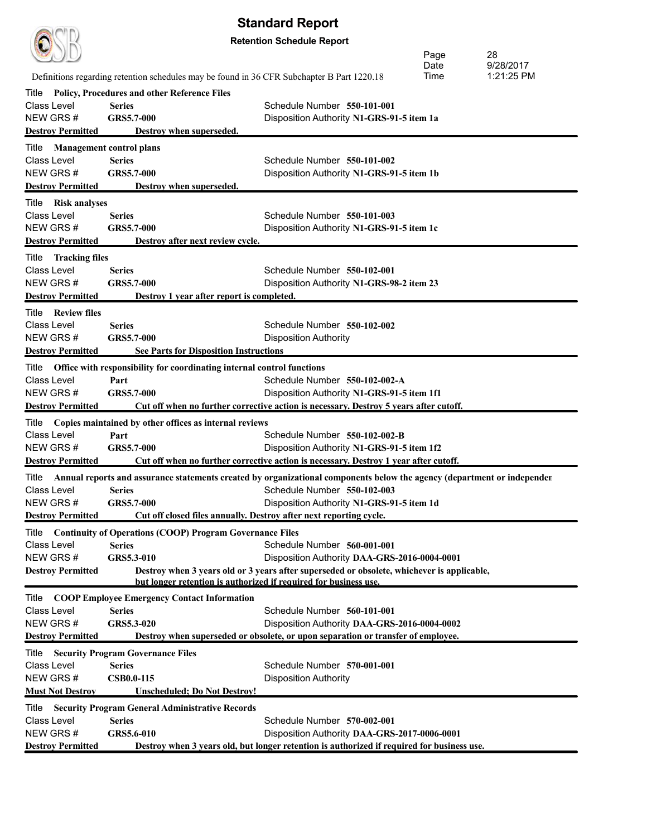|                                      |                                                                                            | <b>Standard Report</b>                                                                                                        |      |            |
|--------------------------------------|--------------------------------------------------------------------------------------------|-------------------------------------------------------------------------------------------------------------------------------|------|------------|
|                                      |                                                                                            | <b>Retention Schedule Report</b>                                                                                              |      |            |
|                                      |                                                                                            |                                                                                                                               | Page | 28         |
|                                      |                                                                                            |                                                                                                                               | Date | 9/28/2017  |
|                                      | Definitions regarding retention schedules may be found in 36 CFR Subchapter B Part 1220.18 |                                                                                                                               | Time | 1:21:25 PM |
| Title                                | <b>Policy, Procedures and other Reference Files</b>                                        |                                                                                                                               |      |            |
| Class Level                          | <b>Series</b>                                                                              | Schedule Number 550-101-001                                                                                                   |      |            |
| NEW GRS#                             | GRS5.7-000                                                                                 | Disposition Authority N1-GRS-91-5 item 1a                                                                                     |      |            |
| <b>Destroy Permitted</b>             | Destroy when superseded.                                                                   |                                                                                                                               |      |            |
| Title                                | <b>Management control plans</b>                                                            |                                                                                                                               |      |            |
| Class Level                          | <b>Series</b>                                                                              | Schedule Number 550-101-002                                                                                                   |      |            |
| NEW GRS#                             | <b>GRS5.7-000</b>                                                                          | Disposition Authority N1-GRS-91-5 item 1b                                                                                     |      |            |
| <b>Destroy Permitted</b>             | Destroy when superseded.                                                                   |                                                                                                                               |      |            |
| Title Risk analyses                  |                                                                                            |                                                                                                                               |      |            |
| Class Level<br>NEW GRS#              | <b>Series</b>                                                                              | Schedule Number 550-101-003                                                                                                   |      |            |
| <b>Destroy Permitted</b>             | <b>GRS5.7-000</b><br>Destroy after next review cycle.                                      | Disposition Authority N1-GRS-91-5 item 1c                                                                                     |      |            |
|                                      |                                                                                            |                                                                                                                               |      |            |
| Title Tracking files                 |                                                                                            |                                                                                                                               |      |            |
| Class Level                          | <b>Series</b>                                                                              | Schedule Number 550-102-001                                                                                                   |      |            |
| NEW GRS#<br><b>Destroy Permitted</b> | <b>GRS5.7-000</b><br>Destroy 1 year after report is completed.                             | Disposition Authority N1-GRS-98-2 item 23                                                                                     |      |            |
|                                      |                                                                                            |                                                                                                                               |      |            |
| Title Review files<br>Class Level    | <b>Series</b>                                                                              | Schedule Number 550-102-002                                                                                                   |      |            |
| NEW GRS#                             | GRS5.7-000                                                                                 | <b>Disposition Authority</b>                                                                                                  |      |            |
| <b>Destroy Permitted</b>             | <b>See Parts for Disposition Instructions</b>                                              |                                                                                                                               |      |            |
|                                      |                                                                                            |                                                                                                                               |      |            |
| Title<br><b>Class Level</b>          | Office with responsibility for coordinating internal control functions<br>Part             | Schedule Number 550-102-002-A                                                                                                 |      |            |
| NEW GRS#                             | GRS5.7-000                                                                                 | Disposition Authority N1-GRS-91-5 item 1f1                                                                                    |      |            |
| <b>Destroy Permitted</b>             |                                                                                            | Cut off when no further corrective action is necessary. Destroy 5 years after cutoff.                                         |      |            |
|                                      | Title Copies maintained by other offices as internal reviews                               |                                                                                                                               |      |            |
| Class Level                          | Part                                                                                       | Schedule Number 550-102-002-B                                                                                                 |      |            |
| NEW GRS#                             | GRS5.7-000                                                                                 | Disposition Authority N1-GRS-91-5 item 1f2                                                                                    |      |            |
| <b>Destroy Permitted</b>             |                                                                                            | Cut off when no further corrective action is necessary. Destroy 1 year after cutoff.                                          |      |            |
|                                      |                                                                                            | Title Annual reports and assurance statements created by organizational components below the agency (department or independer |      |            |
| Class Level                          | <b>Series</b>                                                                              | Schedule Number 550-102-003                                                                                                   |      |            |
| NEW GRS#                             | GRS5.7-000                                                                                 | Disposition Authority N1-GRS-91-5 item 1d                                                                                     |      |            |
| <b>Destroy Permitted</b>             |                                                                                            | Cut off closed files annually. Destroy after next reporting cycle.                                                            |      |            |
| Title                                | <b>Continuity of Operations (COOP) Program Governance Files</b>                            |                                                                                                                               |      |            |
| <b>Class Level</b>                   | <b>Series</b>                                                                              | Schedule Number 560-001-001                                                                                                   |      |            |
| NEW GRS#                             | GRS5.3-010                                                                                 | Disposition Authority DAA-GRS-2016-0004-0001                                                                                  |      |            |
| <b>Destroy Permitted</b>             |                                                                                            | Destroy when 3 years old or 3 years after superseded or obsolete, whichever is applicable,                                    |      |            |
|                                      | but longer retention is authorized if required for business use.                           |                                                                                                                               |      |            |
| Title                                | <b>COOP Employee Emergency Contact Information</b>                                         |                                                                                                                               |      |            |
| <b>Class Level</b>                   | <b>Series</b>                                                                              | Schedule Number 560-101-001                                                                                                   |      |            |
| NEW GRS#                             | GRS5.3-020                                                                                 | Disposition Authority DAA-GRS-2016-0004-0002                                                                                  |      |            |
| <b>Destroy Permitted</b>             |                                                                                            | Destroy when superseded or obsolete, or upon separation or transfer of employee.                                              |      |            |
| Title                                | <b>Security Program Governance Files</b>                                                   |                                                                                                                               |      |            |
| <b>Class Level</b>                   | <b>Series</b>                                                                              | Schedule Number 570-001-001                                                                                                   |      |            |
| NEW GRS#                             | <b>CSB0.0-115</b>                                                                          | <b>Disposition Authority</b>                                                                                                  |      |            |
| <b>Must Not Destroy</b>              | <b>Unscheduled; Do Not Destroy!</b>                                                        |                                                                                                                               |      |            |
| Title                                | <b>Security Program General Administrative Records</b>                                     |                                                                                                                               |      |            |
| <b>Class Level</b>                   | <b>Series</b>                                                                              | Schedule Number 570-002-001                                                                                                   |      |            |
| NEW GRS#                             | GRS5.6-010                                                                                 | Disposition Authority DAA-GRS-2017-0006-0001                                                                                  |      |            |
| <b>Destroy Permitted</b>             |                                                                                            | Destroy when 3 years old, but longer retention is authorized if required for business use.                                    |      |            |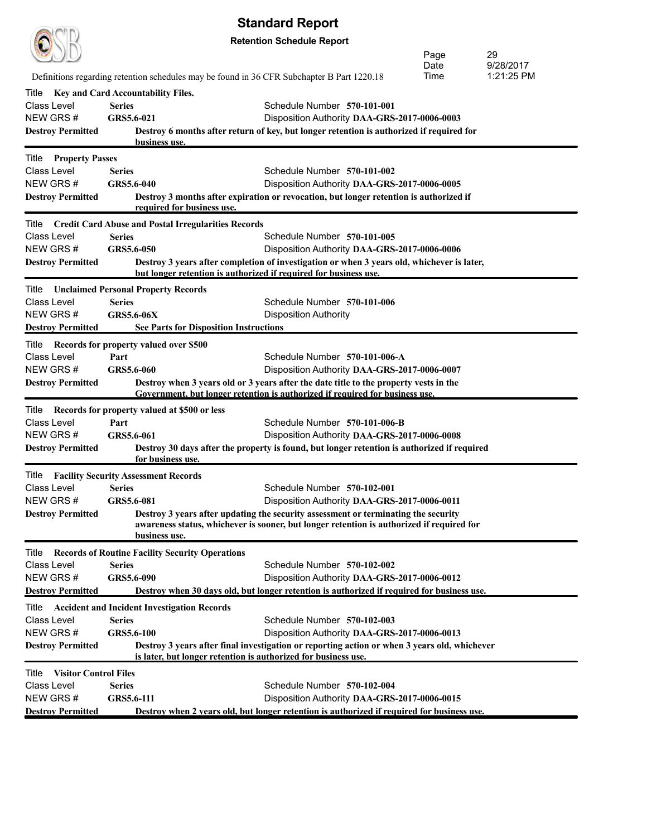|                                                   |                                  |                                                                  | <b>Standard Report</b>                                                                                                                                                          |              |                         |  |  |
|---------------------------------------------------|----------------------------------|------------------------------------------------------------------|---------------------------------------------------------------------------------------------------------------------------------------------------------------------------------|--------------|-------------------------|--|--|
|                                                   | <b>Retention Schedule Report</b> |                                                                  |                                                                                                                                                                                 |              |                         |  |  |
|                                                   |                                  |                                                                  |                                                                                                                                                                                 | Page         | 29                      |  |  |
|                                                   |                                  |                                                                  | Definitions regarding retention schedules may be found in 36 CFR Subchapter B Part 1220.18                                                                                      | Date<br>Time | 9/28/2017<br>1:21:25 PM |  |  |
| Title                                             |                                  |                                                                  |                                                                                                                                                                                 |              |                         |  |  |
| Class Level                                       | <b>Series</b>                    | Key and Card Accountability Files.                               | Schedule Number 570-101-001                                                                                                                                                     |              |                         |  |  |
| NEW GRS#                                          | GRS5.6-021                       |                                                                  | Disposition Authority DAA-GRS-2017-0006-0003                                                                                                                                    |              |                         |  |  |
| <b>Destroy Permitted</b>                          |                                  | business use.                                                    | Destroy 6 months after return of key, but longer retention is authorized if required for                                                                                        |              |                         |  |  |
| <b>Title Property Passes</b>                      |                                  |                                                                  |                                                                                                                                                                                 |              |                         |  |  |
| <b>Class Level</b>                                | <b>Series</b>                    |                                                                  | Schedule Number 570-101-002                                                                                                                                                     |              |                         |  |  |
| NEW GRS#                                          | GRS5.6-040                       |                                                                  | Disposition Authority DAA-GRS-2017-0006-0005                                                                                                                                    |              |                         |  |  |
| <b>Destroy Permitted</b>                          |                                  | required for business use.                                       | Destroy 3 months after expiration or revocation, but longer retention is authorized if                                                                                          |              |                         |  |  |
|                                                   |                                  | Title Credit Card Abuse and Postal Irregularities Records        |                                                                                                                                                                                 |              |                         |  |  |
| <b>Class Level</b>                                | <b>Series</b>                    |                                                                  | Schedule Number 570-101-005                                                                                                                                                     |              |                         |  |  |
| NEW GRS#                                          | GRS5.6-050                       |                                                                  | Disposition Authority DAA-GRS-2017-0006-0006                                                                                                                                    |              |                         |  |  |
| <b>Destroy Permitted</b>                          |                                  | but longer retention is authorized if required for business use. | Destroy 3 years after completion of investigation or when 3 years old, whichever is later,                                                                                      |              |                         |  |  |
| Title                                             |                                  | <b>Unclaimed Personal Property Records</b>                       |                                                                                                                                                                                 |              |                         |  |  |
| Class Level                                       | <b>Series</b>                    |                                                                  | Schedule Number 570-101-006                                                                                                                                                     |              |                         |  |  |
| NEW GRS#                                          | <b>GRS5.6-06X</b>                |                                                                  | <b>Disposition Authority</b>                                                                                                                                                    |              |                         |  |  |
| <b>Destroy Permitted</b>                          |                                  | <b>See Parts for Disposition Instructions</b>                    |                                                                                                                                                                                 |              |                         |  |  |
| Title                                             |                                  | Records for property valued over \$500                           |                                                                                                                                                                                 |              |                         |  |  |
| Class Level                                       | Part                             |                                                                  | Schedule Number 570-101-006-A                                                                                                                                                   |              |                         |  |  |
| NEW GRS#<br><b>Destroy Permitted</b>              | GRS5.6-060                       |                                                                  | Disposition Authority DAA-GRS-2017-0006-0007<br>Destroy when 3 years old or 3 years after the date title to the property vests in the                                           |              |                         |  |  |
|                                                   |                                  |                                                                  | Government, but longer retention is authorized if required for business use.                                                                                                    |              |                         |  |  |
| Title                                             |                                  | Records for property valued at \$500 or less                     |                                                                                                                                                                                 |              |                         |  |  |
| <b>Class Level</b>                                | Part                             |                                                                  | Schedule Number 570-101-006-B                                                                                                                                                   |              |                         |  |  |
| NEW GRS #                                         | GRS5.6-061                       |                                                                  | Disposition Authority DAA-GRS-2017-0006-0008                                                                                                                                    |              |                         |  |  |
| <b>Destroy Permitted</b>                          |                                  | for business use.                                                | Destroy 30 days after the property is found, but longer retention is authorized if required                                                                                     |              |                         |  |  |
| <b>Title Facility Security Assessment Records</b> |                                  |                                                                  |                                                                                                                                                                                 |              |                         |  |  |
| Class Level Series                                |                                  |                                                                  | Schedule Number 570-102-001                                                                                                                                                     |              |                         |  |  |
| NEW GRS#                                          | GRS5.6-081                       |                                                                  | Disposition Authority DAA-GRS-2017-0006-0011                                                                                                                                    |              |                         |  |  |
| <b>Destroy Permitted</b>                          |                                  | business use.                                                    | Destroy 3 years after updating the security assessment or terminating the security<br>awareness status, whichever is sooner, but longer retention is authorized if required for |              |                         |  |  |
| Title                                             |                                  | <b>Records of Routine Facility Security Operations</b>           |                                                                                                                                                                                 |              |                         |  |  |
| <b>Class Level</b>                                | <b>Series</b>                    |                                                                  | Schedule Number 570-102-002                                                                                                                                                     |              |                         |  |  |
| NEW GRS#                                          | GRS5.6-090                       |                                                                  | Disposition Authority DAA-GRS-2017-0006-0012                                                                                                                                    |              |                         |  |  |
| <b>Destroy Permitted</b>                          |                                  |                                                                  | Destroy when 30 days old, but longer retention is authorized if required for business use.                                                                                      |              |                         |  |  |
| Title                                             |                                  | <b>Accident and Incident Investigation Records</b>               |                                                                                                                                                                                 |              |                         |  |  |
| Class Level                                       | <b>Series</b>                    |                                                                  | Schedule Number 570-102-003                                                                                                                                                     |              |                         |  |  |
| NEW GRS#<br><b>Destroy Permitted</b>              | GRS5.6-100                       |                                                                  | Disposition Authority DAA-GRS-2017-0006-0013<br>Destroy 3 years after final investigation or reporting action or when 3 years old, whichever                                    |              |                         |  |  |
|                                                   |                                  | is later, but longer retention is authorized for business use.   |                                                                                                                                                                                 |              |                         |  |  |
| <b>Visitor Control Files</b><br>Title             |                                  |                                                                  |                                                                                                                                                                                 |              |                         |  |  |
| Class Level                                       | <b>Series</b>                    |                                                                  | Schedule Number 570-102-004                                                                                                                                                     |              |                         |  |  |
| NEW GRS#<br><b>Destroy Permitted</b>              | GRS5.6-111                       |                                                                  | Disposition Authority DAA-GRS-2017-0006-0015<br>Destroy when 2 years old, but longer retention is authorized if required for business use.                                      |              |                         |  |  |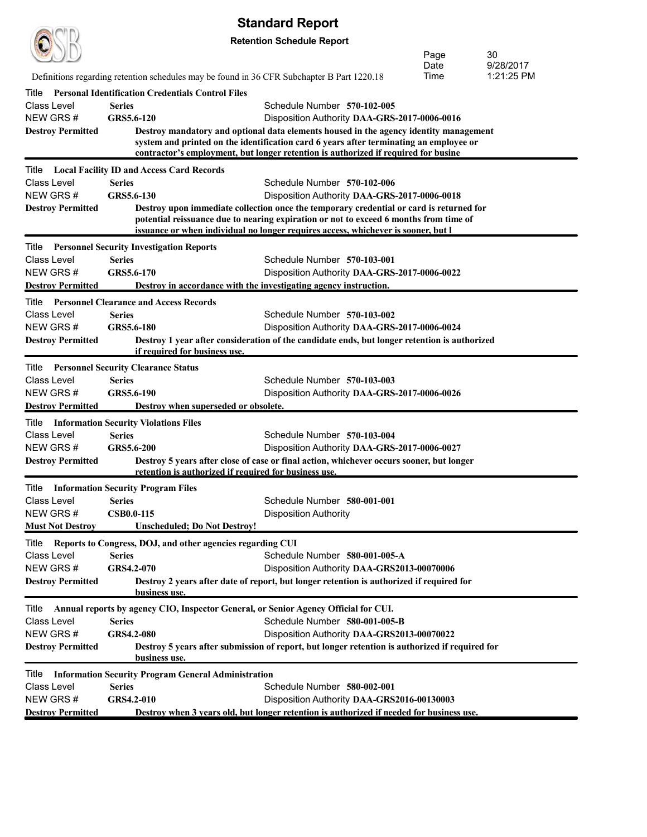| <b>Retention Schedule Report</b><br>30<br>Page<br>9/28/2017<br>Date<br>Time<br>1:21:25 PM<br>Definitions regarding retention schedules may be found in 36 CFR Subchapter B Part 1220.18<br><b>Personal Identification Credentials Control Files</b><br>Title<br><b>Series</b><br>Schedule Number 570-102-005<br>GRS5.6-120<br>Disposition Authority DAA-GRS-2017-0006-0016<br>Destroy mandatory and optional data elements housed in the agency identity management<br>system and printed on the identification card 6 years after terminating an employee or<br>contractor's employment, but longer retention is authorized if required for busine<br><b>Local Facility ID and Access Card Records</b><br>Title<br>Class Level<br>Series<br>Schedule Number 570-102-006<br>GRS5.6-130<br>Disposition Authority DAA-GRS-2017-0006-0018<br><b>Destroy Permitted</b><br>Destroy upon immediate collection once the temporary credential or card is returned for<br>potential reissuance due to nearing expiration or not to exceed 6 months from time of<br>issuance or when individual no longer requires access, whichever is sooner, but I<br>Title<br><b>Personnel Security Investigation Reports</b><br><b>Series</b><br>Schedule Number 570-103-001<br>Class Level<br>GRS5.6-170<br>Disposition Authority DAA-GRS-2017-0006-0022<br>Destroy in accordance with the investigating agency instruction.<br><b>Personnel Clearance and Access Records</b><br>Title<br><b>Class Level</b><br>Series<br>Schedule Number 570-103-002<br>NEW GRS #<br>GRS5.6-180<br>Disposition Authority DAA-GRS-2017-0006-0024<br><b>Destroy Permitted</b><br>Destroy 1 year after consideration of the candidate ends, but longer retention is authorized<br>if required for business use.<br><b>Personnel Security Clearance Status</b><br>Title<br><b>Series</b><br>Schedule Number 570-103-003<br>GRS5.6-190<br>Disposition Authority DAA-GRS-2017-0006-0026<br>Destroy when superseded or obsolete.<br><b>Information Security Violations Files</b><br>Title<br>Schedule Number 570-103-004<br>Class Level<br>Series<br>NEW GRS #<br>GRS5.6-200<br>Disposition Authority DAA-GRS-2017-0006-0027<br>Destroy 5 years after close of case or final action, whichever occurs sooner, but longer<br>retention is authorized if required for business use.<br>Title<br><b>Information Security Program Files</b><br>Schedule Number 580-001-001<br>Series<br><b>CSB0.0-115</b><br><b>Disposition Authority</b><br><b>Unscheduled; Do Not Destroy!</b><br>Reports to Congress, DOJ, and other agencies regarding CUI<br>Title<br><b>Class Level</b><br><b>Series</b><br>Schedule Number 580-001-005-A<br>NEW GRS#<br>GRS4.2-070<br>Disposition Authority DAA-GRS2013-00070006<br>Destroy 2 years after date of report, but longer retention is authorized if required for<br>business use.<br>Annual reports by agency CIO, Inspector General, or Senior Agency Official for CUI.<br>Title<br>Schedule Number 580-001-005-B<br>Class Level<br><b>Series</b><br><b>GRS4.2-080</b><br>Disposition Authority DAA-GRS2013-00070022<br>Destroy 5 years after submission of report, but longer retention is authorized if required for<br><b>Destroy Permitted</b><br>business use.<br><b>Information Security Program General Administration</b><br>Title<br><b>Series</b><br>Schedule Number 580-002-001<br>GRS4.2-010<br>Disposition Authority DAA-GRS2016-00130003<br>Destroy when 3 years old, but longer retention is authorized if needed for business use. |                          | <b>Standard Report</b> |  |
|------------------------------------------------------------------------------------------------------------------------------------------------------------------------------------------------------------------------------------------------------------------------------------------------------------------------------------------------------------------------------------------------------------------------------------------------------------------------------------------------------------------------------------------------------------------------------------------------------------------------------------------------------------------------------------------------------------------------------------------------------------------------------------------------------------------------------------------------------------------------------------------------------------------------------------------------------------------------------------------------------------------------------------------------------------------------------------------------------------------------------------------------------------------------------------------------------------------------------------------------------------------------------------------------------------------------------------------------------------------------------------------------------------------------------------------------------------------------------------------------------------------------------------------------------------------------------------------------------------------------------------------------------------------------------------------------------------------------------------------------------------------------------------------------------------------------------------------------------------------------------------------------------------------------------------------------------------------------------------------------------------------------------------------------------------------------------------------------------------------------------------------------------------------------------------------------------------------------------------------------------------------------------------------------------------------------------------------------------------------------------------------------------------------------------------------------------------------------------------------------------------------------------------------------------------------------------------------------------------------------------------------------------------------------------------------------------------------------------------------------------------------------------------------------------------------------------------------------------------------------------------------------------------------------------------------------------------------------------------------------------------------------------------------------------------------------------------------------------------------------------------------------------------------------------------------------------------------------------------------------------------------------------------------------------------------------------------------------------------------------------------------------------------------------------------------------------------------------------------------------------------------------------------------|--------------------------|------------------------|--|
|                                                                                                                                                                                                                                                                                                                                                                                                                                                                                                                                                                                                                                                                                                                                                                                                                                                                                                                                                                                                                                                                                                                                                                                                                                                                                                                                                                                                                                                                                                                                                                                                                                                                                                                                                                                                                                                                                                                                                                                                                                                                                                                                                                                                                                                                                                                                                                                                                                                                                                                                                                                                                                                                                                                                                                                                                                                                                                                                                                                                                                                                                                                                                                                                                                                                                                                                                                                                                                                                                                                                          |                          |                        |  |
|                                                                                                                                                                                                                                                                                                                                                                                                                                                                                                                                                                                                                                                                                                                                                                                                                                                                                                                                                                                                                                                                                                                                                                                                                                                                                                                                                                                                                                                                                                                                                                                                                                                                                                                                                                                                                                                                                                                                                                                                                                                                                                                                                                                                                                                                                                                                                                                                                                                                                                                                                                                                                                                                                                                                                                                                                                                                                                                                                                                                                                                                                                                                                                                                                                                                                                                                                                                                                                                                                                                                          |                          |                        |  |
|                                                                                                                                                                                                                                                                                                                                                                                                                                                                                                                                                                                                                                                                                                                                                                                                                                                                                                                                                                                                                                                                                                                                                                                                                                                                                                                                                                                                                                                                                                                                                                                                                                                                                                                                                                                                                                                                                                                                                                                                                                                                                                                                                                                                                                                                                                                                                                                                                                                                                                                                                                                                                                                                                                                                                                                                                                                                                                                                                                                                                                                                                                                                                                                                                                                                                                                                                                                                                                                                                                                                          |                          |                        |  |
|                                                                                                                                                                                                                                                                                                                                                                                                                                                                                                                                                                                                                                                                                                                                                                                                                                                                                                                                                                                                                                                                                                                                                                                                                                                                                                                                                                                                                                                                                                                                                                                                                                                                                                                                                                                                                                                                                                                                                                                                                                                                                                                                                                                                                                                                                                                                                                                                                                                                                                                                                                                                                                                                                                                                                                                                                                                                                                                                                                                                                                                                                                                                                                                                                                                                                                                                                                                                                                                                                                                                          |                          |                        |  |
|                                                                                                                                                                                                                                                                                                                                                                                                                                                                                                                                                                                                                                                                                                                                                                                                                                                                                                                                                                                                                                                                                                                                                                                                                                                                                                                                                                                                                                                                                                                                                                                                                                                                                                                                                                                                                                                                                                                                                                                                                                                                                                                                                                                                                                                                                                                                                                                                                                                                                                                                                                                                                                                                                                                                                                                                                                                                                                                                                                                                                                                                                                                                                                                                                                                                                                                                                                                                                                                                                                                                          |                          |                        |  |
|                                                                                                                                                                                                                                                                                                                                                                                                                                                                                                                                                                                                                                                                                                                                                                                                                                                                                                                                                                                                                                                                                                                                                                                                                                                                                                                                                                                                                                                                                                                                                                                                                                                                                                                                                                                                                                                                                                                                                                                                                                                                                                                                                                                                                                                                                                                                                                                                                                                                                                                                                                                                                                                                                                                                                                                                                                                                                                                                                                                                                                                                                                                                                                                                                                                                                                                                                                                                                                                                                                                                          | Class Level              |                        |  |
|                                                                                                                                                                                                                                                                                                                                                                                                                                                                                                                                                                                                                                                                                                                                                                                                                                                                                                                                                                                                                                                                                                                                                                                                                                                                                                                                                                                                                                                                                                                                                                                                                                                                                                                                                                                                                                                                                                                                                                                                                                                                                                                                                                                                                                                                                                                                                                                                                                                                                                                                                                                                                                                                                                                                                                                                                                                                                                                                                                                                                                                                                                                                                                                                                                                                                                                                                                                                                                                                                                                                          | NEW GRS#                 |                        |  |
|                                                                                                                                                                                                                                                                                                                                                                                                                                                                                                                                                                                                                                                                                                                                                                                                                                                                                                                                                                                                                                                                                                                                                                                                                                                                                                                                                                                                                                                                                                                                                                                                                                                                                                                                                                                                                                                                                                                                                                                                                                                                                                                                                                                                                                                                                                                                                                                                                                                                                                                                                                                                                                                                                                                                                                                                                                                                                                                                                                                                                                                                                                                                                                                                                                                                                                                                                                                                                                                                                                                                          | <b>Destroy Permitted</b> |                        |  |
|                                                                                                                                                                                                                                                                                                                                                                                                                                                                                                                                                                                                                                                                                                                                                                                                                                                                                                                                                                                                                                                                                                                                                                                                                                                                                                                                                                                                                                                                                                                                                                                                                                                                                                                                                                                                                                                                                                                                                                                                                                                                                                                                                                                                                                                                                                                                                                                                                                                                                                                                                                                                                                                                                                                                                                                                                                                                                                                                                                                                                                                                                                                                                                                                                                                                                                                                                                                                                                                                                                                                          |                          |                        |  |
|                                                                                                                                                                                                                                                                                                                                                                                                                                                                                                                                                                                                                                                                                                                                                                                                                                                                                                                                                                                                                                                                                                                                                                                                                                                                                                                                                                                                                                                                                                                                                                                                                                                                                                                                                                                                                                                                                                                                                                                                                                                                                                                                                                                                                                                                                                                                                                                                                                                                                                                                                                                                                                                                                                                                                                                                                                                                                                                                                                                                                                                                                                                                                                                                                                                                                                                                                                                                                                                                                                                                          |                          |                        |  |
|                                                                                                                                                                                                                                                                                                                                                                                                                                                                                                                                                                                                                                                                                                                                                                                                                                                                                                                                                                                                                                                                                                                                                                                                                                                                                                                                                                                                                                                                                                                                                                                                                                                                                                                                                                                                                                                                                                                                                                                                                                                                                                                                                                                                                                                                                                                                                                                                                                                                                                                                                                                                                                                                                                                                                                                                                                                                                                                                                                                                                                                                                                                                                                                                                                                                                                                                                                                                                                                                                                                                          | NEW GRS#                 |                        |  |
|                                                                                                                                                                                                                                                                                                                                                                                                                                                                                                                                                                                                                                                                                                                                                                                                                                                                                                                                                                                                                                                                                                                                                                                                                                                                                                                                                                                                                                                                                                                                                                                                                                                                                                                                                                                                                                                                                                                                                                                                                                                                                                                                                                                                                                                                                                                                                                                                                                                                                                                                                                                                                                                                                                                                                                                                                                                                                                                                                                                                                                                                                                                                                                                                                                                                                                                                                                                                                                                                                                                                          |                          |                        |  |
|                                                                                                                                                                                                                                                                                                                                                                                                                                                                                                                                                                                                                                                                                                                                                                                                                                                                                                                                                                                                                                                                                                                                                                                                                                                                                                                                                                                                                                                                                                                                                                                                                                                                                                                                                                                                                                                                                                                                                                                                                                                                                                                                                                                                                                                                                                                                                                                                                                                                                                                                                                                                                                                                                                                                                                                                                                                                                                                                                                                                                                                                                                                                                                                                                                                                                                                                                                                                                                                                                                                                          |                          |                        |  |
|                                                                                                                                                                                                                                                                                                                                                                                                                                                                                                                                                                                                                                                                                                                                                                                                                                                                                                                                                                                                                                                                                                                                                                                                                                                                                                                                                                                                                                                                                                                                                                                                                                                                                                                                                                                                                                                                                                                                                                                                                                                                                                                                                                                                                                                                                                                                                                                                                                                                                                                                                                                                                                                                                                                                                                                                                                                                                                                                                                                                                                                                                                                                                                                                                                                                                                                                                                                                                                                                                                                                          |                          |                        |  |
|                                                                                                                                                                                                                                                                                                                                                                                                                                                                                                                                                                                                                                                                                                                                                                                                                                                                                                                                                                                                                                                                                                                                                                                                                                                                                                                                                                                                                                                                                                                                                                                                                                                                                                                                                                                                                                                                                                                                                                                                                                                                                                                                                                                                                                                                                                                                                                                                                                                                                                                                                                                                                                                                                                                                                                                                                                                                                                                                                                                                                                                                                                                                                                                                                                                                                                                                                                                                                                                                                                                                          |                          |                        |  |
|                                                                                                                                                                                                                                                                                                                                                                                                                                                                                                                                                                                                                                                                                                                                                                                                                                                                                                                                                                                                                                                                                                                                                                                                                                                                                                                                                                                                                                                                                                                                                                                                                                                                                                                                                                                                                                                                                                                                                                                                                                                                                                                                                                                                                                                                                                                                                                                                                                                                                                                                                                                                                                                                                                                                                                                                                                                                                                                                                                                                                                                                                                                                                                                                                                                                                                                                                                                                                                                                                                                                          | NEW GRS#                 |                        |  |
|                                                                                                                                                                                                                                                                                                                                                                                                                                                                                                                                                                                                                                                                                                                                                                                                                                                                                                                                                                                                                                                                                                                                                                                                                                                                                                                                                                                                                                                                                                                                                                                                                                                                                                                                                                                                                                                                                                                                                                                                                                                                                                                                                                                                                                                                                                                                                                                                                                                                                                                                                                                                                                                                                                                                                                                                                                                                                                                                                                                                                                                                                                                                                                                                                                                                                                                                                                                                                                                                                                                                          | <b>Destroy Permitted</b> |                        |  |
|                                                                                                                                                                                                                                                                                                                                                                                                                                                                                                                                                                                                                                                                                                                                                                                                                                                                                                                                                                                                                                                                                                                                                                                                                                                                                                                                                                                                                                                                                                                                                                                                                                                                                                                                                                                                                                                                                                                                                                                                                                                                                                                                                                                                                                                                                                                                                                                                                                                                                                                                                                                                                                                                                                                                                                                                                                                                                                                                                                                                                                                                                                                                                                                                                                                                                                                                                                                                                                                                                                                                          |                          |                        |  |
|                                                                                                                                                                                                                                                                                                                                                                                                                                                                                                                                                                                                                                                                                                                                                                                                                                                                                                                                                                                                                                                                                                                                                                                                                                                                                                                                                                                                                                                                                                                                                                                                                                                                                                                                                                                                                                                                                                                                                                                                                                                                                                                                                                                                                                                                                                                                                                                                                                                                                                                                                                                                                                                                                                                                                                                                                                                                                                                                                                                                                                                                                                                                                                                                                                                                                                                                                                                                                                                                                                                                          |                          |                        |  |
|                                                                                                                                                                                                                                                                                                                                                                                                                                                                                                                                                                                                                                                                                                                                                                                                                                                                                                                                                                                                                                                                                                                                                                                                                                                                                                                                                                                                                                                                                                                                                                                                                                                                                                                                                                                                                                                                                                                                                                                                                                                                                                                                                                                                                                                                                                                                                                                                                                                                                                                                                                                                                                                                                                                                                                                                                                                                                                                                                                                                                                                                                                                                                                                                                                                                                                                                                                                                                                                                                                                                          |                          |                        |  |
|                                                                                                                                                                                                                                                                                                                                                                                                                                                                                                                                                                                                                                                                                                                                                                                                                                                                                                                                                                                                                                                                                                                                                                                                                                                                                                                                                                                                                                                                                                                                                                                                                                                                                                                                                                                                                                                                                                                                                                                                                                                                                                                                                                                                                                                                                                                                                                                                                                                                                                                                                                                                                                                                                                                                                                                                                                                                                                                                                                                                                                                                                                                                                                                                                                                                                                                                                                                                                                                                                                                                          |                          |                        |  |
|                                                                                                                                                                                                                                                                                                                                                                                                                                                                                                                                                                                                                                                                                                                                                                                                                                                                                                                                                                                                                                                                                                                                                                                                                                                                                                                                                                                                                                                                                                                                                                                                                                                                                                                                                                                                                                                                                                                                                                                                                                                                                                                                                                                                                                                                                                                                                                                                                                                                                                                                                                                                                                                                                                                                                                                                                                                                                                                                                                                                                                                                                                                                                                                                                                                                                                                                                                                                                                                                                                                                          |                          |                        |  |
|                                                                                                                                                                                                                                                                                                                                                                                                                                                                                                                                                                                                                                                                                                                                                                                                                                                                                                                                                                                                                                                                                                                                                                                                                                                                                                                                                                                                                                                                                                                                                                                                                                                                                                                                                                                                                                                                                                                                                                                                                                                                                                                                                                                                                                                                                                                                                                                                                                                                                                                                                                                                                                                                                                                                                                                                                                                                                                                                                                                                                                                                                                                                                                                                                                                                                                                                                                                                                                                                                                                                          |                          |                        |  |
|                                                                                                                                                                                                                                                                                                                                                                                                                                                                                                                                                                                                                                                                                                                                                                                                                                                                                                                                                                                                                                                                                                                                                                                                                                                                                                                                                                                                                                                                                                                                                                                                                                                                                                                                                                                                                                                                                                                                                                                                                                                                                                                                                                                                                                                                                                                                                                                                                                                                                                                                                                                                                                                                                                                                                                                                                                                                                                                                                                                                                                                                                                                                                                                                                                                                                                                                                                                                                                                                                                                                          | <b>Class Level</b>       |                        |  |
|                                                                                                                                                                                                                                                                                                                                                                                                                                                                                                                                                                                                                                                                                                                                                                                                                                                                                                                                                                                                                                                                                                                                                                                                                                                                                                                                                                                                                                                                                                                                                                                                                                                                                                                                                                                                                                                                                                                                                                                                                                                                                                                                                                                                                                                                                                                                                                                                                                                                                                                                                                                                                                                                                                                                                                                                                                                                                                                                                                                                                                                                                                                                                                                                                                                                                                                                                                                                                                                                                                                                          | NEW GRS#                 |                        |  |
|                                                                                                                                                                                                                                                                                                                                                                                                                                                                                                                                                                                                                                                                                                                                                                                                                                                                                                                                                                                                                                                                                                                                                                                                                                                                                                                                                                                                                                                                                                                                                                                                                                                                                                                                                                                                                                                                                                                                                                                                                                                                                                                                                                                                                                                                                                                                                                                                                                                                                                                                                                                                                                                                                                                                                                                                                                                                                                                                                                                                                                                                                                                                                                                                                                                                                                                                                                                                                                                                                                                                          | <b>Destroy Permitted</b> |                        |  |
|                                                                                                                                                                                                                                                                                                                                                                                                                                                                                                                                                                                                                                                                                                                                                                                                                                                                                                                                                                                                                                                                                                                                                                                                                                                                                                                                                                                                                                                                                                                                                                                                                                                                                                                                                                                                                                                                                                                                                                                                                                                                                                                                                                                                                                                                                                                                                                                                                                                                                                                                                                                                                                                                                                                                                                                                                                                                                                                                                                                                                                                                                                                                                                                                                                                                                                                                                                                                                                                                                                                                          |                          |                        |  |
|                                                                                                                                                                                                                                                                                                                                                                                                                                                                                                                                                                                                                                                                                                                                                                                                                                                                                                                                                                                                                                                                                                                                                                                                                                                                                                                                                                                                                                                                                                                                                                                                                                                                                                                                                                                                                                                                                                                                                                                                                                                                                                                                                                                                                                                                                                                                                                                                                                                                                                                                                                                                                                                                                                                                                                                                                                                                                                                                                                                                                                                                                                                                                                                                                                                                                                                                                                                                                                                                                                                                          |                          |                        |  |
|                                                                                                                                                                                                                                                                                                                                                                                                                                                                                                                                                                                                                                                                                                                                                                                                                                                                                                                                                                                                                                                                                                                                                                                                                                                                                                                                                                                                                                                                                                                                                                                                                                                                                                                                                                                                                                                                                                                                                                                                                                                                                                                                                                                                                                                                                                                                                                                                                                                                                                                                                                                                                                                                                                                                                                                                                                                                                                                                                                                                                                                                                                                                                                                                                                                                                                                                                                                                                                                                                                                                          |                          |                        |  |
|                                                                                                                                                                                                                                                                                                                                                                                                                                                                                                                                                                                                                                                                                                                                                                                                                                                                                                                                                                                                                                                                                                                                                                                                                                                                                                                                                                                                                                                                                                                                                                                                                                                                                                                                                                                                                                                                                                                                                                                                                                                                                                                                                                                                                                                                                                                                                                                                                                                                                                                                                                                                                                                                                                                                                                                                                                                                                                                                                                                                                                                                                                                                                                                                                                                                                                                                                                                                                                                                                                                                          | <b>Destroy Permitted</b> |                        |  |
|                                                                                                                                                                                                                                                                                                                                                                                                                                                                                                                                                                                                                                                                                                                                                                                                                                                                                                                                                                                                                                                                                                                                                                                                                                                                                                                                                                                                                                                                                                                                                                                                                                                                                                                                                                                                                                                                                                                                                                                                                                                                                                                                                                                                                                                                                                                                                                                                                                                                                                                                                                                                                                                                                                                                                                                                                                                                                                                                                                                                                                                                                                                                                                                                                                                                                                                                                                                                                                                                                                                                          |                          |                        |  |
|                                                                                                                                                                                                                                                                                                                                                                                                                                                                                                                                                                                                                                                                                                                                                                                                                                                                                                                                                                                                                                                                                                                                                                                                                                                                                                                                                                                                                                                                                                                                                                                                                                                                                                                                                                                                                                                                                                                                                                                                                                                                                                                                                                                                                                                                                                                                                                                                                                                                                                                                                                                                                                                                                                                                                                                                                                                                                                                                                                                                                                                                                                                                                                                                                                                                                                                                                                                                                                                                                                                                          | Class Level              |                        |  |
|                                                                                                                                                                                                                                                                                                                                                                                                                                                                                                                                                                                                                                                                                                                                                                                                                                                                                                                                                                                                                                                                                                                                                                                                                                                                                                                                                                                                                                                                                                                                                                                                                                                                                                                                                                                                                                                                                                                                                                                                                                                                                                                                                                                                                                                                                                                                                                                                                                                                                                                                                                                                                                                                                                                                                                                                                                                                                                                                                                                                                                                                                                                                                                                                                                                                                                                                                                                                                                                                                                                                          | NEW GRS#                 |                        |  |
|                                                                                                                                                                                                                                                                                                                                                                                                                                                                                                                                                                                                                                                                                                                                                                                                                                                                                                                                                                                                                                                                                                                                                                                                                                                                                                                                                                                                                                                                                                                                                                                                                                                                                                                                                                                                                                                                                                                                                                                                                                                                                                                                                                                                                                                                                                                                                                                                                                                                                                                                                                                                                                                                                                                                                                                                                                                                                                                                                                                                                                                                                                                                                                                                                                                                                                                                                                                                                                                                                                                                          | <b>Must Not Destroy</b>  |                        |  |
|                                                                                                                                                                                                                                                                                                                                                                                                                                                                                                                                                                                                                                                                                                                                                                                                                                                                                                                                                                                                                                                                                                                                                                                                                                                                                                                                                                                                                                                                                                                                                                                                                                                                                                                                                                                                                                                                                                                                                                                                                                                                                                                                                                                                                                                                                                                                                                                                                                                                                                                                                                                                                                                                                                                                                                                                                                                                                                                                                                                                                                                                                                                                                                                                                                                                                                                                                                                                                                                                                                                                          |                          |                        |  |
|                                                                                                                                                                                                                                                                                                                                                                                                                                                                                                                                                                                                                                                                                                                                                                                                                                                                                                                                                                                                                                                                                                                                                                                                                                                                                                                                                                                                                                                                                                                                                                                                                                                                                                                                                                                                                                                                                                                                                                                                                                                                                                                                                                                                                                                                                                                                                                                                                                                                                                                                                                                                                                                                                                                                                                                                                                                                                                                                                                                                                                                                                                                                                                                                                                                                                                                                                                                                                                                                                                                                          |                          |                        |  |
|                                                                                                                                                                                                                                                                                                                                                                                                                                                                                                                                                                                                                                                                                                                                                                                                                                                                                                                                                                                                                                                                                                                                                                                                                                                                                                                                                                                                                                                                                                                                                                                                                                                                                                                                                                                                                                                                                                                                                                                                                                                                                                                                                                                                                                                                                                                                                                                                                                                                                                                                                                                                                                                                                                                                                                                                                                                                                                                                                                                                                                                                                                                                                                                                                                                                                                                                                                                                                                                                                                                                          |                          |                        |  |
|                                                                                                                                                                                                                                                                                                                                                                                                                                                                                                                                                                                                                                                                                                                                                                                                                                                                                                                                                                                                                                                                                                                                                                                                                                                                                                                                                                                                                                                                                                                                                                                                                                                                                                                                                                                                                                                                                                                                                                                                                                                                                                                                                                                                                                                                                                                                                                                                                                                                                                                                                                                                                                                                                                                                                                                                                                                                                                                                                                                                                                                                                                                                                                                                                                                                                                                                                                                                                                                                                                                                          | <b>Destroy Permitted</b> |                        |  |
|                                                                                                                                                                                                                                                                                                                                                                                                                                                                                                                                                                                                                                                                                                                                                                                                                                                                                                                                                                                                                                                                                                                                                                                                                                                                                                                                                                                                                                                                                                                                                                                                                                                                                                                                                                                                                                                                                                                                                                                                                                                                                                                                                                                                                                                                                                                                                                                                                                                                                                                                                                                                                                                                                                                                                                                                                                                                                                                                                                                                                                                                                                                                                                                                                                                                                                                                                                                                                                                                                                                                          |                          |                        |  |
|                                                                                                                                                                                                                                                                                                                                                                                                                                                                                                                                                                                                                                                                                                                                                                                                                                                                                                                                                                                                                                                                                                                                                                                                                                                                                                                                                                                                                                                                                                                                                                                                                                                                                                                                                                                                                                                                                                                                                                                                                                                                                                                                                                                                                                                                                                                                                                                                                                                                                                                                                                                                                                                                                                                                                                                                                                                                                                                                                                                                                                                                                                                                                                                                                                                                                                                                                                                                                                                                                                                                          |                          |                        |  |
|                                                                                                                                                                                                                                                                                                                                                                                                                                                                                                                                                                                                                                                                                                                                                                                                                                                                                                                                                                                                                                                                                                                                                                                                                                                                                                                                                                                                                                                                                                                                                                                                                                                                                                                                                                                                                                                                                                                                                                                                                                                                                                                                                                                                                                                                                                                                                                                                                                                                                                                                                                                                                                                                                                                                                                                                                                                                                                                                                                                                                                                                                                                                                                                                                                                                                                                                                                                                                                                                                                                                          | NEW GRS#                 |                        |  |
|                                                                                                                                                                                                                                                                                                                                                                                                                                                                                                                                                                                                                                                                                                                                                                                                                                                                                                                                                                                                                                                                                                                                                                                                                                                                                                                                                                                                                                                                                                                                                                                                                                                                                                                                                                                                                                                                                                                                                                                                                                                                                                                                                                                                                                                                                                                                                                                                                                                                                                                                                                                                                                                                                                                                                                                                                                                                                                                                                                                                                                                                                                                                                                                                                                                                                                                                                                                                                                                                                                                                          |                          |                        |  |
|                                                                                                                                                                                                                                                                                                                                                                                                                                                                                                                                                                                                                                                                                                                                                                                                                                                                                                                                                                                                                                                                                                                                                                                                                                                                                                                                                                                                                                                                                                                                                                                                                                                                                                                                                                                                                                                                                                                                                                                                                                                                                                                                                                                                                                                                                                                                                                                                                                                                                                                                                                                                                                                                                                                                                                                                                                                                                                                                                                                                                                                                                                                                                                                                                                                                                                                                                                                                                                                                                                                                          |                          |                        |  |
|                                                                                                                                                                                                                                                                                                                                                                                                                                                                                                                                                                                                                                                                                                                                                                                                                                                                                                                                                                                                                                                                                                                                                                                                                                                                                                                                                                                                                                                                                                                                                                                                                                                                                                                                                                                                                                                                                                                                                                                                                                                                                                                                                                                                                                                                                                                                                                                                                                                                                                                                                                                                                                                                                                                                                                                                                                                                                                                                                                                                                                                                                                                                                                                                                                                                                                                                                                                                                                                                                                                                          |                          |                        |  |
|                                                                                                                                                                                                                                                                                                                                                                                                                                                                                                                                                                                                                                                                                                                                                                                                                                                                                                                                                                                                                                                                                                                                                                                                                                                                                                                                                                                                                                                                                                                                                                                                                                                                                                                                                                                                                                                                                                                                                                                                                                                                                                                                                                                                                                                                                                                                                                                                                                                                                                                                                                                                                                                                                                                                                                                                                                                                                                                                                                                                                                                                                                                                                                                                                                                                                                                                                                                                                                                                                                                                          | <b>Class Level</b>       |                        |  |
|                                                                                                                                                                                                                                                                                                                                                                                                                                                                                                                                                                                                                                                                                                                                                                                                                                                                                                                                                                                                                                                                                                                                                                                                                                                                                                                                                                                                                                                                                                                                                                                                                                                                                                                                                                                                                                                                                                                                                                                                                                                                                                                                                                                                                                                                                                                                                                                                                                                                                                                                                                                                                                                                                                                                                                                                                                                                                                                                                                                                                                                                                                                                                                                                                                                                                                                                                                                                                                                                                                                                          | NEW GRS#                 |                        |  |
|                                                                                                                                                                                                                                                                                                                                                                                                                                                                                                                                                                                                                                                                                                                                                                                                                                                                                                                                                                                                                                                                                                                                                                                                                                                                                                                                                                                                                                                                                                                                                                                                                                                                                                                                                                                                                                                                                                                                                                                                                                                                                                                                                                                                                                                                                                                                                                                                                                                                                                                                                                                                                                                                                                                                                                                                                                                                                                                                                                                                                                                                                                                                                                                                                                                                                                                                                                                                                                                                                                                                          | <b>Destroy Permitted</b> |                        |  |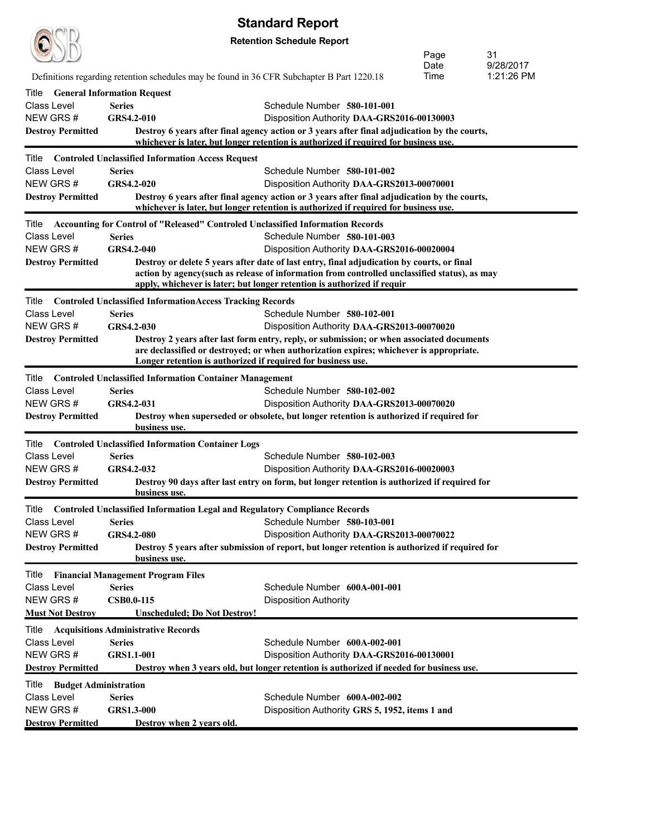|                                       |                                                                                            | <b>Standard Report</b>                                                                                                                                                                                                                                                |      |            |  |  |  |
|---------------------------------------|--------------------------------------------------------------------------------------------|-----------------------------------------------------------------------------------------------------------------------------------------------------------------------------------------------------------------------------------------------------------------------|------|------------|--|--|--|
|                                       | <b>Retention Schedule Report</b><br>Page<br>31                                             |                                                                                                                                                                                                                                                                       |      |            |  |  |  |
|                                       |                                                                                            |                                                                                                                                                                                                                                                                       | Date | 9/28/2017  |  |  |  |
|                                       | Definitions regarding retention schedules may be found in 36 CFR Subchapter B Part 1220.18 |                                                                                                                                                                                                                                                                       | Time | 1:21:26 PM |  |  |  |
| Title                                 | <b>General Information Request</b>                                                         |                                                                                                                                                                                                                                                                       |      |            |  |  |  |
| Class Level                           | <b>Series</b>                                                                              | Schedule Number 580-101-001                                                                                                                                                                                                                                           |      |            |  |  |  |
| NEW GRS#                              | GRS4.2-010                                                                                 | Disposition Authority DAA-GRS2016-00130003                                                                                                                                                                                                                            |      |            |  |  |  |
| <b>Destroy Permitted</b>              |                                                                                            | Destroy 6 years after final agency action or 3 years after final adjudication by the courts,<br>whichever is later, but longer retention is authorized if required for business use.                                                                                  |      |            |  |  |  |
| Title                                 | <b>Controled Unclassified Information Access Request</b>                                   |                                                                                                                                                                                                                                                                       |      |            |  |  |  |
| <b>Class Level</b>                    | <b>Series</b>                                                                              | Schedule Number 580-101-002                                                                                                                                                                                                                                           |      |            |  |  |  |
| NEW GRS#                              | GRS4.2-020                                                                                 | Disposition Authority DAA-GRS2013-00070001                                                                                                                                                                                                                            |      |            |  |  |  |
| <b>Destroy Permitted</b>              |                                                                                            | Destroy 6 years after final agency action or 3 years after final adjudication by the courts,<br>whichever is later, but longer retention is authorized if required for business use.                                                                                  |      |            |  |  |  |
| Title                                 | Accounting for Control of "Released" Controled Unclassified Information Records            |                                                                                                                                                                                                                                                                       |      |            |  |  |  |
| <b>Class Level</b>                    | <b>Series</b>                                                                              | Schedule Number 580-101-003                                                                                                                                                                                                                                           |      |            |  |  |  |
| NEW GRS#                              | <b>GRS4.2-040</b>                                                                          | Disposition Authority DAA-GRS2016-00020004                                                                                                                                                                                                                            |      |            |  |  |  |
| <b>Destroy Permitted</b>              |                                                                                            | Destroy or delete 5 years after date of last entry, final adjudication by courts, or final<br>action by agency(such as release of information from controlled unclassified status), as may<br>apply, whichever is later; but longer retention is authorized if requir |      |            |  |  |  |
| Title                                 | <b>Controled Unclassified InformationAccess Tracking Records</b>                           |                                                                                                                                                                                                                                                                       |      |            |  |  |  |
| <b>Class Level</b>                    | <b>Series</b>                                                                              | Schedule Number 580-102-001                                                                                                                                                                                                                                           |      |            |  |  |  |
| NEW GRS#                              | GRS4.2-030                                                                                 | Disposition Authority DAA-GRS2013-00070020                                                                                                                                                                                                                            |      |            |  |  |  |
| <b>Destroy Permitted</b>              |                                                                                            | Destroy 2 years after last form entry, reply, or submission; or when associated documents                                                                                                                                                                             |      |            |  |  |  |
|                                       | are declassified or destroyed; or when authorization expires; whichever is appropriate.    |                                                                                                                                                                                                                                                                       |      |            |  |  |  |
|                                       | Longer retention is authorized if required for business use.                               |                                                                                                                                                                                                                                                                       |      |            |  |  |  |
| Title                                 | <b>Controled Unclassified Information Container Management</b>                             |                                                                                                                                                                                                                                                                       |      |            |  |  |  |
| <b>Class Level</b>                    | <b>Series</b>                                                                              | Schedule Number 580-102-002                                                                                                                                                                                                                                           |      |            |  |  |  |
| NEW GRS#                              | GRS4.2-031                                                                                 | Disposition Authority DAA-GRS2013-00070020                                                                                                                                                                                                                            |      |            |  |  |  |
| <b>Destroy Permitted</b>              | business use.                                                                              | Destroy when superseded or obsolete, but longer retention is authorized if required for                                                                                                                                                                               |      |            |  |  |  |
| Title                                 | <b>Controled Unclassified Information Container Logs</b>                                   |                                                                                                                                                                                                                                                                       |      |            |  |  |  |
| <b>Class Level</b>                    | <b>Series</b>                                                                              | Schedule Number 580-102-003                                                                                                                                                                                                                                           |      |            |  |  |  |
| NEW GRS#                              | GRS4.2-032                                                                                 | Disposition Authority DAA-GRS2016-00020003                                                                                                                                                                                                                            |      |            |  |  |  |
| <b>Destroy Permitted</b>              | business use.                                                                              | Destroy 90 days after last entry on form, but longer retention is authorized if required for                                                                                                                                                                          |      |            |  |  |  |
| Title                                 | <b>Controled Unclassified Information Legal and Regulatory Compliance Records</b>          |                                                                                                                                                                                                                                                                       |      |            |  |  |  |
| Class Level                           | <b>Series</b>                                                                              | Schedule Number 580-103-001                                                                                                                                                                                                                                           |      |            |  |  |  |
| NEW GRS#                              | <b>GRS4.2-080</b>                                                                          | Disposition Authority DAA-GRS2013-00070022                                                                                                                                                                                                                            |      |            |  |  |  |
| <b>Destroy Permitted</b>              | business use.                                                                              | Destroy 5 years after submission of report, but longer retention is authorized if required for                                                                                                                                                                        |      |            |  |  |  |
| Title                                 | <b>Financial Management Program Files</b>                                                  |                                                                                                                                                                                                                                                                       |      |            |  |  |  |
| <b>Class Level</b>                    | <b>Series</b>                                                                              | Schedule Number 600A-001-001                                                                                                                                                                                                                                          |      |            |  |  |  |
| NEW GRS#                              | <b>CSB0.0-115</b>                                                                          | <b>Disposition Authority</b>                                                                                                                                                                                                                                          |      |            |  |  |  |
| <b>Must Not Destroy</b>               | <b>Unscheduled; Do Not Destroy!</b>                                                        |                                                                                                                                                                                                                                                                       |      |            |  |  |  |
| Title                                 | <b>Acquisitions Administrative Records</b>                                                 |                                                                                                                                                                                                                                                                       |      |            |  |  |  |
| <b>Class Level</b>                    | <b>Series</b>                                                                              | Schedule Number 600A-002-001                                                                                                                                                                                                                                          |      |            |  |  |  |
| NEW GRS#                              | <b>GRS1.1-001</b>                                                                          | Disposition Authority DAA-GRS2016-00130001                                                                                                                                                                                                                            |      |            |  |  |  |
| <b>Destroy Permitted</b>              |                                                                                            | Destroy when 3 years old, but longer retention is authorized if needed for business use.                                                                                                                                                                              |      |            |  |  |  |
| <b>Budget Administration</b><br>Title |                                                                                            |                                                                                                                                                                                                                                                                       |      |            |  |  |  |
| Class Level                           | <b>Series</b>                                                                              | Schedule Number 600A-002-002                                                                                                                                                                                                                                          |      |            |  |  |  |
| NEW GRS#                              | <b>GRS1.3-000</b>                                                                          | Disposition Authority GRS 5, 1952, items 1 and                                                                                                                                                                                                                        |      |            |  |  |  |
| <b>Destroy Permitted</b>              | Destroy when 2 years old.                                                                  |                                                                                                                                                                                                                                                                       |      |            |  |  |  |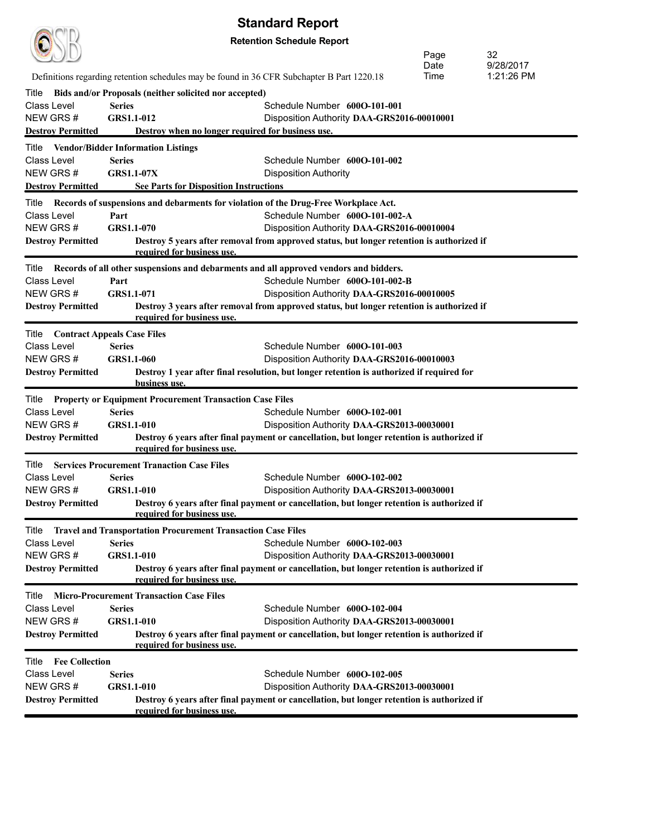|                                |                                                                     | σιαπιαι υποροπι                                                                                                       |      |            |
|--------------------------------|---------------------------------------------------------------------|-----------------------------------------------------------------------------------------------------------------------|------|------------|
|                                |                                                                     | <b>Retention Schedule Report</b>                                                                                      |      |            |
|                                |                                                                     |                                                                                                                       | Page | 32         |
|                                |                                                                     |                                                                                                                       | Date | 9/28/2017  |
|                                |                                                                     | Definitions regarding retention schedules may be found in 36 CFR Subchapter B Part 1220.18                            | Time | 1:21:26 PM |
| Title                          | Bids and/or Proposals (neither solicited nor accepted)              |                                                                                                                       |      |            |
| Class Level<br>NEW GRS#        | <b>Series</b>                                                       | Schedule Number 600O-101-001                                                                                          |      |            |
| <b>Destroy Permitted</b>       | GRS1.1-012                                                          | Disposition Authority DAA-GRS2016-00010001<br>Destroy when no longer required for business use.                       |      |            |
|                                |                                                                     |                                                                                                                       |      |            |
| Title                          | <b>Vendor/Bidder Information Listings</b><br><b>Series</b>          |                                                                                                                       |      |            |
| Class Level<br>NEW GRS#        | <b>GRS1.1-07X</b>                                                   | Schedule Number 600O-101-002<br><b>Disposition Authority</b>                                                          |      |            |
| <b>Destroy Permitted</b>       |                                                                     | <b>See Parts for Disposition Instructions</b>                                                                         |      |            |
|                                |                                                                     |                                                                                                                       |      |            |
| Title<br><b>Class Level</b>    |                                                                     | Records of suspensions and debarments for violation of the Drug-Free Workplace Act.<br>Schedule Number 600O-101-002-A |      |            |
| NEW GRS#                       | Part<br>GRS1.1-070                                                  | Disposition Authority DAA-GRS2016-00010004                                                                            |      |            |
| <b>Destroy Permitted</b>       |                                                                     | Destroy 5 years after removal from approved status, but longer retention is authorized if                             |      |            |
|                                | required for business use.                                          |                                                                                                                       |      |            |
| Title                          |                                                                     | Records of all other suspensions and debarments and all approved vendors and bidders.                                 |      |            |
| <b>Class Level</b>             | Part                                                                | Schedule Number 600O-101-002-B                                                                                        |      |            |
| NEW GRS#                       | GRS1.1-071                                                          | Disposition Authority DAA-GRS2016-00010005                                                                            |      |            |
| <b>Destroy Permitted</b>       |                                                                     | Destroy 3 years after removal from approved status, but longer retention is authorized if                             |      |            |
|                                | required for business use.                                          |                                                                                                                       |      |            |
| Title                          | <b>Contract Appeals Case Files</b>                                  |                                                                                                                       |      |            |
| <b>Class Level</b>             | <b>Series</b>                                                       | Schedule Number 600O-101-003                                                                                          |      |            |
| NEW GRS#                       | <b>GRS1.1-060</b>                                                   | Disposition Authority DAA-GRS2016-00010003                                                                            |      |            |
| <b>Destroy Permitted</b>       | business use.                                                       | Destroy 1 year after final resolution, but longer retention is authorized if required for                             |      |            |
| Title                          | <b>Property or Equipment Procurement Transaction Case Files</b>     |                                                                                                                       |      |            |
| Class Level                    | <b>Series</b>                                                       | Schedule Number 600O-102-001                                                                                          |      |            |
| NEW GRS#                       | GRS1.1-010                                                          | Disposition Authority DAA-GRS2013-00030001                                                                            |      |            |
| <b>Destroy Permitted</b>       |                                                                     | Destroy 6 years after final payment or cancellation, but longer retention is authorized if                            |      |            |
|                                | required for business use.                                          |                                                                                                                       |      |            |
| Title                          | <b>Services Procurement Tranaction Case Files</b>                   |                                                                                                                       |      |            |
| Class Level                    | <b>Series</b>                                                       | Schedule Number 600O-102-002                                                                                          |      |            |
| NEW GRS #                      | <b>GRS1.1-010</b>                                                   | Disposition Authority DAA-GRS2013-00030001                                                                            |      |            |
| <b>Destroy Permitted</b>       | required for business use.                                          | Destroy 6 years after final payment or cancellation, but longer retention is authorized if                            |      |            |
| Title                          | <b>Travel and Transportation Procurement Transaction Case Files</b> |                                                                                                                       |      |            |
| Class Level                    | <b>Series</b>                                                       | Schedule Number 600O-102-003                                                                                          |      |            |
| NEW GRS#                       | <b>GRS1.1-010</b>                                                   | Disposition Authority DAA-GRS2013-00030001                                                                            |      |            |
| <b>Destroy Permitted</b>       | required for business use.                                          | Destroy 6 years after final payment or cancellation, but longer retention is authorized if                            |      |            |
| Title                          | <b>Micro-Procurement Transaction Case Files</b>                     |                                                                                                                       |      |            |
| Class Level                    | <b>Series</b>                                                       | Schedule Number 600O-102-004                                                                                          |      |            |
| NEW GRS#                       | GRS1.1-010                                                          | Disposition Authority DAA-GRS2013-00030001                                                                            |      |            |
| <b>Destroy Permitted</b>       |                                                                     | Destroy 6 years after final payment or cancellation, but longer retention is authorized if                            |      |            |
|                                | required for business use.                                          |                                                                                                                       |      |            |
| <b>Fee Collection</b><br>Title |                                                                     |                                                                                                                       |      |            |
| <b>Class Level</b>             | <b>Series</b>                                                       | Schedule Number 600O-102-005                                                                                          |      |            |
| NEW GRS #                      | <b>GRS1.1-010</b>                                                   | Disposition Authority DAA-GRS2013-00030001                                                                            |      |            |
| <b>Destroy Permitted</b>       | required for business use.                                          | Destroy 6 years after final payment or cancellation, but longer retention is authorized if                            |      |            |
|                                |                                                                     |                                                                                                                       |      |            |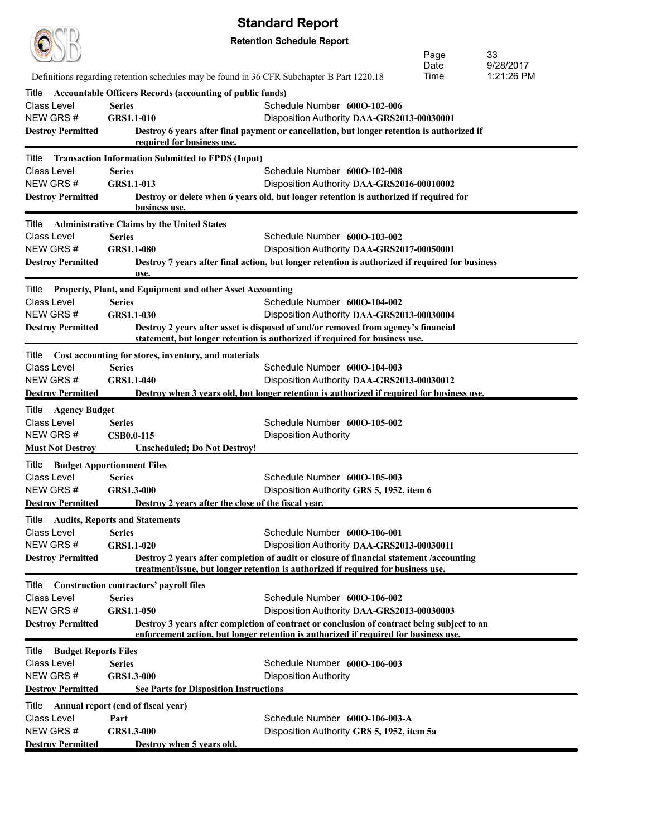|                                      |                                                                                            | Stanuaru Report                                                                                                                                                              |      |            |
|--------------------------------------|--------------------------------------------------------------------------------------------|------------------------------------------------------------------------------------------------------------------------------------------------------------------------------|------|------------|
|                                      |                                                                                            | <b>Retention Schedule Report</b>                                                                                                                                             |      |            |
|                                      |                                                                                            |                                                                                                                                                                              | Page | 33         |
|                                      |                                                                                            |                                                                                                                                                                              | Date | 9/28/2017  |
|                                      | Definitions regarding retention schedules may be found in 36 CFR Subchapter B Part 1220.18 |                                                                                                                                                                              | Time | 1:21:26 PM |
| Title                                | <b>Accountable Officers Records (accounting of public funds)</b>                           |                                                                                                                                                                              |      |            |
| <b>Class Level</b>                   | <b>Series</b>                                                                              | Schedule Number 600O-102-006                                                                                                                                                 |      |            |
| NEW GRS#                             | <b>GRS1.1-010</b>                                                                          | Disposition Authority DAA-GRS2013-00030001                                                                                                                                   |      |            |
| <b>Destroy Permitted</b>             | required for business use.                                                                 | Destroy 6 years after final payment or cancellation, but longer retention is authorized if                                                                                   |      |            |
| Title                                | <b>Transaction Information Submitted to FPDS (Input)</b>                                   |                                                                                                                                                                              |      |            |
| Class Level                          | <b>Series</b>                                                                              | Schedule Number 600O-102-008                                                                                                                                                 |      |            |
| NEW GRS#                             | GRS1.1-013                                                                                 | Disposition Authority DAA-GRS2016-00010002                                                                                                                                   |      |            |
| <b>Destroy Permitted</b>             | business use.                                                                              | Destroy or delete when 6 years old, but longer retention is authorized if required for                                                                                       |      |            |
|                                      | Title Administrative Claims by the United States                                           |                                                                                                                                                                              |      |            |
| Class Level                          | <b>Series</b>                                                                              | Schedule Number 600O-103-002                                                                                                                                                 |      |            |
| NEW GRS#                             | <b>GRS1.1-080</b>                                                                          | Disposition Authority DAA-GRS2017-00050001                                                                                                                                   |      |            |
| <b>Destroy Permitted</b>             | use.                                                                                       | Destroy 7 years after final action, but longer retention is authorized if required for business                                                                              |      |            |
| Title                                | Property, Plant, and Equipment and other Asset Accounting                                  |                                                                                                                                                                              |      |            |
| Class Level                          | <b>Series</b>                                                                              | Schedule Number 600O-104-002                                                                                                                                                 |      |            |
| NEW GRS#                             | <b>GRS1.1-030</b>                                                                          | Disposition Authority DAA-GRS2013-00030004                                                                                                                                   |      |            |
| <b>Destroy Permitted</b>             |                                                                                            | Destroy 2 years after asset is disposed of and/or removed from agency's financial                                                                                            |      |            |
|                                      |                                                                                            | statement, but longer retention is authorized if required for business use.                                                                                                  |      |            |
| Title                                | Cost accounting for stores, inventory, and materials                                       |                                                                                                                                                                              |      |            |
| Class Level                          | <b>Series</b>                                                                              | Schedule Number 600O-104-003                                                                                                                                                 |      |            |
| NEW GRS#                             | <b>GRS1.1-040</b>                                                                          | Disposition Authority DAA-GRS2013-00030012                                                                                                                                   |      |            |
| <b>Destroy Permitted</b>             |                                                                                            | Destroy when 3 years old, but longer retention is authorized if required for business use.                                                                                   |      |            |
| Title Agency Budget                  |                                                                                            |                                                                                                                                                                              |      |            |
| <b>Class Level</b>                   | <b>Series</b>                                                                              | Schedule Number 600O-105-002                                                                                                                                                 |      |            |
| NEW GRS#                             | <b>CSB0.0-115</b>                                                                          | <b>Disposition Authority</b>                                                                                                                                                 |      |            |
| <b>Must Not Destroy</b>              | <b>Unscheduled; Do Not Destroy!</b>                                                        |                                                                                                                                                                              |      |            |
| Title                                | <b>Budget Apportionment Files</b>                                                          |                                                                                                                                                                              |      |            |
| Class Level                          | <b>Series</b>                                                                              | Schedule Number 600O-105-003                                                                                                                                                 |      |            |
| NEW GRS#                             | <b>GRS1.3-000</b>                                                                          | Disposition Authority GRS 5, 1952, item 6                                                                                                                                    |      |            |
| <b>Destroy Permitted</b>             | Destroy 2 years after the close of the fiscal year.                                        |                                                                                                                                                                              |      |            |
| Title                                | <b>Audits, Reports and Statements</b>                                                      |                                                                                                                                                                              |      |            |
| Class Level                          | <b>Series</b>                                                                              | Schedule Number 600O-106-001                                                                                                                                                 |      |            |
| NEW GRS#                             | <b>GRS1.1-020</b>                                                                          | Disposition Authority DAA-GRS2013-00030011                                                                                                                                   |      |            |
| <b>Destroy Permitted</b>             |                                                                                            | Destroy 2 years after completion of audit or closure of financial statement /accounting<br>treatment/issue, but longer retention is authorized if required for business use. |      |            |
| Title                                | <b>Construction contractors' payroll files</b>                                             |                                                                                                                                                                              |      |            |
| <b>Class Level</b>                   | <b>Series</b>                                                                              | Schedule Number 600O-106-002                                                                                                                                                 |      |            |
| NEW GRS#                             | <b>GRS1.1-050</b>                                                                          | Disposition Authority DAA-GRS2013-00030003                                                                                                                                   |      |            |
| <b>Destroy Permitted</b>             |                                                                                            | Destroy 3 years after completion of contract or conclusion of contract being subject to an                                                                                   |      |            |
|                                      |                                                                                            | enforcement action, but longer retention is authorized if required for business use.                                                                                         |      |            |
| Title<br><b>Budget Reports Files</b> |                                                                                            |                                                                                                                                                                              |      |            |
| <b>Class Level</b>                   | <b>Series</b>                                                                              | Schedule Number 600O-106-003                                                                                                                                                 |      |            |
| NEW GRS#                             | GRS1.3-000                                                                                 | <b>Disposition Authority</b>                                                                                                                                                 |      |            |
| <b>Destroy Permitted</b>             | <b>See Parts for Disposition Instructions</b>                                              |                                                                                                                                                                              |      |            |
| Title                                | Annual report (end of fiscal year)                                                         |                                                                                                                                                                              |      |            |
| <b>Class Level</b>                   | Part                                                                                       | Schedule Number 600O-106-003-A                                                                                                                                               |      |            |
| NEW GRS#                             | <b>GRS1.3-000</b>                                                                          | Disposition Authority GRS 5, 1952, item 5a                                                                                                                                   |      |            |
| <b>Destroy Permitted</b>             | Destroy when 5 years old.                                                                  |                                                                                                                                                                              |      |            |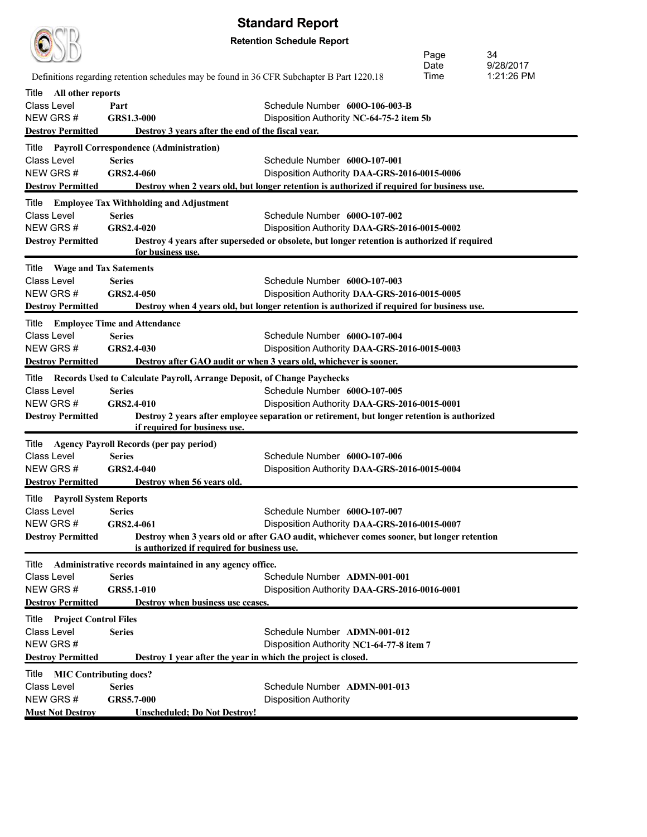|                                                                                               | Definitions regarding retention schedules may be found in 36 CFR Subchapter B Part 1220.18         | <b>Standard Report</b><br><b>Retention Schedule Report</b>                                                                                                                   | Page<br><b>Date</b><br>Time | 34<br>9/28/2017<br>1:21:26 PM |
|-----------------------------------------------------------------------------------------------|----------------------------------------------------------------------------------------------------|------------------------------------------------------------------------------------------------------------------------------------------------------------------------------|-----------------------------|-------------------------------|
| All other reports<br>Title<br>Class Level<br>NFW GRS #<br><b>Destroy Permitted</b>            | Part<br>GRS1.3-000<br>Destroy 3 years after the end of the fiscal year.                            | Schedule Number 6000-106-003-B<br>Disposition Authority NC-64-75-2 item 5b                                                                                                   |                             |                               |
| Title<br>Class Level<br>NFW GRS #<br><b>Destroy Permitted</b>                                 | <b>Payroll Correspondence (Administration)</b><br><b>Series</b><br>GRS2.4-060                      | Schedule Number 6000-107-001<br>Disposition Authority DAA-GRS-2016-0015-0006<br>Destroy when 2 years old, but longer retention is authorized if required for business use.   |                             |                               |
| Title<br>Class Level<br>NEW GRS#<br><b>Destroy Permitted</b>                                  | <b>Employee Tax Withholding and Adjustment</b><br><b>Series</b><br>GRS2.4-020<br>for business use. | Schedule Number 6000-107-002<br>Disposition Authority DAA-GRS-2016-0015-0002<br>Destroy 4 years after superseded or obsolete, but longer retention is authorized if required |                             |                               |
| <b>Wage and Tax Satements</b><br>Title<br>Class Level<br>NEW GRS#<br><b>Destroy Permitted</b> | <b>Series</b><br>GRS2.4-050                                                                        | Schedule Number 6000-107-003<br>Disposition Authority DAA-GRS-2016-0015-0005<br>Destroy when 4 years old, but longer retention is authorized if required for business use.   |                             |                               |

Title **Employee Time and Attendance**

NEW GRS # **GRS2.4-030** Disposition Authority **DAA-GRS-2016-0015-0003 Destroy Permitted Destroy after GAO audit or when 3 years old, whichever is sooner.** Title **Records Used to Calculate Payroll, Arrange Deposit, of Change Paychecks** Class Level **Series** Schedule Number **600O-107-005** NEW GRS # **GRS2.4-010** Disposition Authority **DAA-GRS-2016-0015-0001**

Class Level **Series** Schedule Number **600O-107-004**

NEW GRS # **GRS5.7-000** Disposition Authority

**Must Not Destroy Unscheduled; Do Not Destroy!**

#### **Destroy Permitted Destroy 2 years after employee separation or retirement, but longer retention is authorized if required for business use.** Title **Agency Payroll Records (per pay period)**

| Class Level                            | <b>Series</b>                                                 | Schedule Number 6000-107-006                                                              |
|----------------------------------------|---------------------------------------------------------------|-------------------------------------------------------------------------------------------|
| NEW GRS#                               | <b>GRS2.4-040</b>                                             | Disposition Authority DAA-GRS-2016-0015-0004                                              |
| <b>Destroy Permitted</b>               | Destroy when 56 years old.                                    |                                                                                           |
| <b>Payroll System Reports</b><br>Title |                                                               |                                                                                           |
| Class Level                            | <b>Series</b>                                                 | Schedule Number 6000-107-007                                                              |
| NEW GRS #                              | GRS2.4-061                                                    | Disposition Authority DAA-GRS-2016-0015-0007                                              |
| <b>Destroy Permitted</b>               | is authorized if required for business use.                   | Destroy when 3 years old or after GAO audit, whichever comes sooner, but longer retention |
| Title                                  | Administrative records maintained in any agency office.       |                                                                                           |
| Class Level                            | <b>Series</b>                                                 | Schedule Number ADMN-001-001                                                              |
| NEW GRS#                               | <b>GRS5.1-010</b>                                             | Disposition Authority DAA-GRS-2016-0016-0001                                              |
| <b>Destroy Permitted</b>               | Destroy when business use ceases.                             |                                                                                           |
| <b>Title</b> Project Control Files     |                                                               |                                                                                           |
| Class Level                            | <b>Series</b>                                                 | Schedule Number ADMN-001-012                                                              |
| NEW GRS #                              |                                                               | Disposition Authority NC1-64-77-8 item 7                                                  |
| <b>Destroy Permitted</b>               | Destroy 1 year after the year in which the project is closed. |                                                                                           |
| <b>MIC Contributing docs?</b><br>Title |                                                               |                                                                                           |
| Class Level                            | <b>Series</b>                                                 | Schedule Number ADMN-001-013                                                              |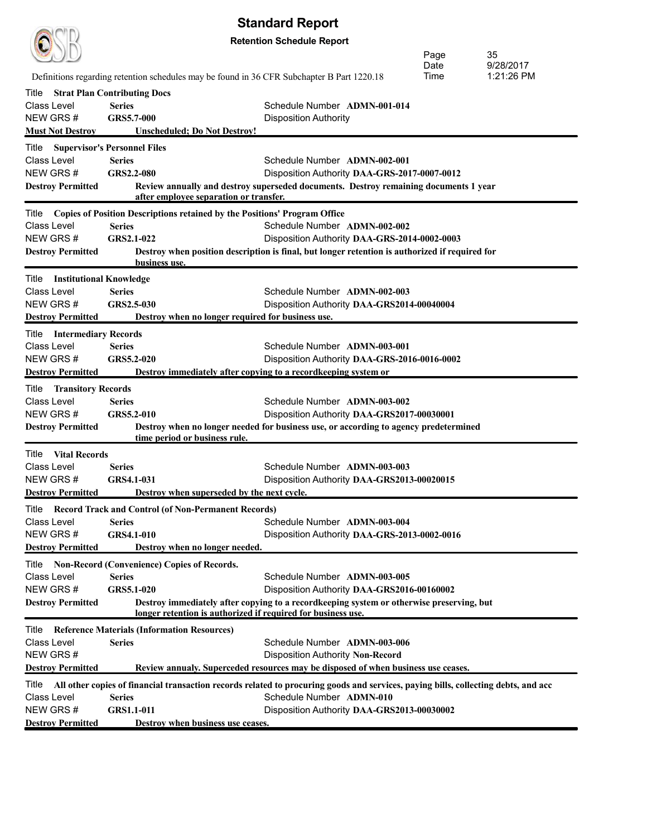|                                                   |                                                            | <b>Standard Report</b>                                                                                                                |
|---------------------------------------------------|------------------------------------------------------------|---------------------------------------------------------------------------------------------------------------------------------------|
|                                                   |                                                            | <b>Retention Schedule Report</b>                                                                                                      |
|                                                   |                                                            | Page<br>35                                                                                                                            |
|                                                   |                                                            | 9/28/2017<br>Date<br>Time<br>1:21:26 PM<br>Definitions regarding retention schedules may be found in 36 CFR Subchapter B Part 1220.18 |
|                                                   |                                                            |                                                                                                                                       |
| Title<br>Class Level                              | <b>Strat Plan Contributing Docs</b><br><b>Series</b>       | Schedule Number ADMN-001-014                                                                                                          |
| NEW GRS#                                          | GRS5.7-000                                                 | <b>Disposition Authority</b>                                                                                                          |
| <b>Must Not Destroy</b>                           | <b>Unscheduled; Do Not Destroy!</b>                        |                                                                                                                                       |
| Title                                             | <b>Supervisor's Personnel Files</b>                        |                                                                                                                                       |
| Class Level                                       | <b>Series</b>                                              | Schedule Number ADMN-002-001                                                                                                          |
| NEW GRS#                                          | GRS2.2-080                                                 | Disposition Authority DAA-GRS-2017-0007-0012                                                                                          |
| <b>Destroy Permitted</b>                          |                                                            | Review annually and destroy superseded documents. Destroy remaining documents 1 year<br>after employee separation or transfer.        |
|                                                   |                                                            | Title Copies of Position Descriptions retained by the Positions' Program Office                                                       |
| Class Level                                       | <b>Series</b>                                              | Schedule Number ADMN-002-002                                                                                                          |
| NEW GRS#                                          | GRS2.1-022                                                 | Disposition Authority DAA-GRS-2014-0002-0003                                                                                          |
| <b>Destroy Permitted</b>                          |                                                            | Destroy when position description is final, but longer retention is authorized if required for                                        |
|                                                   | business use.                                              |                                                                                                                                       |
| <b>Title</b> Institutional Knowledge              |                                                            |                                                                                                                                       |
| Class Level                                       | <b>Series</b>                                              | Schedule Number ADMN-002-003                                                                                                          |
| NEW GRS #                                         | GRS2.5-030                                                 | Disposition Authority DAA-GRS2014-00040004                                                                                            |
| <b>Destroy Permitted</b>                          |                                                            | Destroy when no longer required for business use.                                                                                     |
| <b>Title</b> Intermediary Records                 |                                                            |                                                                                                                                       |
| Class Level                                       | <b>Series</b>                                              | Schedule Number ADMN-003-001                                                                                                          |
| NEW GRS#                                          | GRS5.2-020                                                 | Disposition Authority DAA-GRS-2016-0016-0002<br>Destroy immediately after copying to a recordkeeping system or                        |
| <b>Destroy Permitted</b>                          |                                                            |                                                                                                                                       |
| <b>Transitory Records</b><br>Title<br>Class Level | <b>Series</b>                                              | Schedule Number ADMN-003-002                                                                                                          |
| NEW GRS#                                          | GRS5.2-010                                                 | Disposition Authority DAA-GRS2017-00030001                                                                                            |
| <b>Destroy Permitted</b>                          |                                                            | Destroy when no longer needed for business use, or according to agency predetermined                                                  |
|                                                   | time period or business rule.                              |                                                                                                                                       |
| <b>Title</b> Vital Records                        |                                                            |                                                                                                                                       |
| Class Level                                       | <b>Series</b>                                              | Schedule Number ADMN-003-003                                                                                                          |
| NEW GRS#                                          | GRS4.1-031                                                 | Disposition Authority DAA-GRS2013-00020015                                                                                            |
| <b>Destroy Permitted</b>                          |                                                            | Destroy when superseded by the next cycle.                                                                                            |
| Title                                             | <b>Record Track and Control (of Non-Permanent Records)</b> |                                                                                                                                       |
| <b>Class Level</b>                                | <b>Series</b>                                              | Schedule Number ADMN-003-004                                                                                                          |
| NEW GRS#                                          | GRS4.1-010                                                 | Disposition Authority DAA-GRS-2013-0002-0016                                                                                          |
| <b>Destroy Permitted</b>                          | Destroy when no longer needed.                             |                                                                                                                                       |
| Title                                             | Non-Record (Convenience) Copies of Records.                |                                                                                                                                       |
| <b>Class Level</b><br>NEW GRS#                    | <b>Series</b><br>GRS5.1-020                                | Schedule Number ADMN-003-005<br>Disposition Authority DAA-GRS2016-00160002                                                            |
| <b>Destroy Permitted</b>                          |                                                            | Destroy immediately after copying to a recordkeeping system or otherwise preserving, but                                              |
|                                                   |                                                            | longer retention is authorized if required for business use.                                                                          |
| Title                                             | <b>Reference Materials (Information Resources)</b>         |                                                                                                                                       |
| Class Level                                       | <b>Series</b>                                              | Schedule Number ADMN-003-006                                                                                                          |
| NEW GRS#                                          |                                                            | <b>Disposition Authority Non-Record</b>                                                                                               |
| <b>Destroy Permitted</b>                          |                                                            | Review annualy. Superceded resources may be disposed of when business use ceases.                                                     |
| Title                                             |                                                            | All other copies of financial transaction records related to procuring goods and services, paying bills, collecting debts, and acc    |
| <b>Class Level</b>                                | <b>Series</b>                                              | Schedule Number ADMN-010                                                                                                              |
| NEW GRS#                                          | <b>GRS1.1-011</b>                                          | Disposition Authority DAA-GRS2013-00030002                                                                                            |
| <b>Destroy Permitted</b>                          | Destroy when business use ceases.                          |                                                                                                                                       |